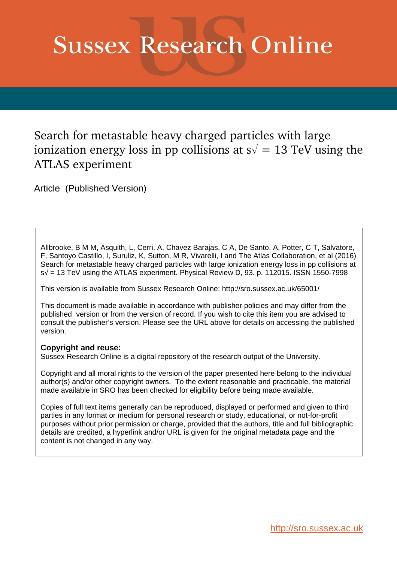# **Sussex Research Online**

# Search for metastable heavy charged particles with large ionization energy loss in pp collisions at  $s\sqrt{ } = 13$  TeV using the ATLAS experiment

Article (Published Version)

Allbrooke, B M M, Asquith, L, Cerri, A, Chavez Barajas, C A, De Santo, A, Potter, C T, Salvatore, F, Santoyo Castillo, I, Suruliz, K, Sutton, M R, Vivarelli, I and The Atlas Collaboration, et al (2016) Search for metastable heavy charged particles with large ionization energy loss in pp collisions at s√ = 13 TeV using the ATLAS experiment. Physical Review D, 93. p. 112015. ISSN 1550-7998

This version is available from Sussex Research Online: http://sro.sussex.ac.uk/65001/

This document is made available in accordance with publisher policies and may differ from the published version or from the version of record. If you wish to cite this item you are advised to consult the publisher's version. Please see the URL above for details on accessing the published version.

## **Copyright and reuse:**

Sussex Research Online is a digital repository of the research output of the University.

Copyright and all moral rights to the version of the paper presented here belong to the individual author(s) and/or other copyright owners. To the extent reasonable and practicable, the material made available in SRO has been checked for eligibility before being made available.

Copies of full text items generally can be reproduced, displayed or performed and given to third parties in any format or medium for personal research or study, educational, or not-for-profit purposes without prior permission or charge, provided that the authors, title and full bibliographic details are credited, a hyperlink and/or URL is given for the original metadata page and the content is not changed in any way.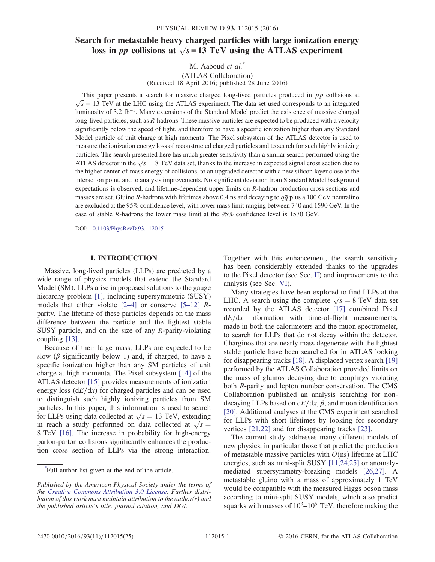### Search for metastable heavy charged particles with large ionization energy loss in *pp* collisions at  $\sqrt{s} = 13 \text{ TeV}$  using the ATLAS experiment

M. Aaboud et al.<sup>\*</sup>

(ATLAS Collaboration) (Received 18 April 2016; published 28 June 2016)

This paper presents a search for massive charged long-lived particles produced in pp collisions at  $\sqrt{s}$  = 13 TeV at the LHC using the ATLAS experiment. The data set used corresponds to an integrated luminosity of 3.2 fb<sup>-1</sup>. Many extensions of the Standard Model predict the existence of massive charged long-lived particles, such as R-hadrons. These massive particles are expected to be produced with a velocity significantly below the speed of light, and therefore to have a specific ionization higher than any Standard Model particle of unit charge at high momenta. The Pixel subsystem of the ATLAS detector is used to measure the ionization energy loss of reconstructed charged particles and to search for such highly ionizing particles. The search presented here has much greater sensitivity than a similar search performed using the ATLAS detector in the  $\sqrt{s} = 8$  TeV data set, thanks to the increase in expected signal cross section due to the higher center-of-mass energy of collisions, to an upgraded detector with a new silicon layer close to the interaction point, and to analysis improvements. No significant deviation from Standard Model background expectations is observed, and lifetime-dependent upper limits on R-hadron production cross sections and masses are set. Gluino R-hadrons with lifetimes above 0.4 ns and decaying to  $q\bar{q}$  plus a 100 GeV neutralino are excluded at the 95% confidence level, with lower mass limit ranging between 740 and 1590 GeV. In the case of stable R-hadrons the lower mass limit at the 95% confidence level is 1570 GeV.

<span id="page-1-0"></span>DOI: [10.1103/PhysRevD.93.112015](http://dx.doi.org/10.1103/PhysRevD.93.112015)

#### I. INTRODUCTION

Massive, long-lived particles (LLPs) are predicted by a wide range of physics models that extend the Standard Model (SM). LLPs arise in proposed solutions to the gauge hierarchy problem [\[1\],](#page-9-0) including supersymmetric (SUSY) models that either violate  $[2-4]$  $[2-4]$  or conserve  $[5-12]$  $[5-12]$  Rparity. The lifetime of these particles depends on the mass difference between the particle and the lightest stable SUSY particle, and on the size of any R-parity-violating coupling [\[13\]](#page-10-0).

Because of their large mass, LLPs are expected to be slow ( $\beta$  significantly below 1) and, if charged, to have a specific ionization higher than any SM particles of unit charge at high momenta. The Pixel subsystem [\[14\]](#page-10-1) of the ATLAS detector [\[15\]](#page-10-2) provides measurements of ionization energy loss  $(dE/dx)$  for charged particles and can be used to distinguish such highly ionizing particles from SM particles. In this paper, this information is used to search for LLPs using data collected at  $\sqrt{s} = 13$  TeV, extending in reach a study performed on data collected at  $\sqrt{s}$  = 8 TeV [\[16\]](#page-10-3). The increase in probability for high-energy parton-parton collisions significantly enhances the production cross section of LLPs via the strong interaction. Together with this enhancement, the search sensitivity has been considerably extended thanks to the upgrades to the Pixel detector (see Sec. [II](#page-1-0)) and improvements to the analysis (see Sec. [VI\)](#page-3-0).

<span id="page-1-1"></span>Many strategies have been explored to find LLPs at the LHC. A search using the complete  $\sqrt{s} = 8$  TeV data set recorded by the ATLAS detector [\[17\]](#page-10-4) combined Pixel  $dE/dx$  information with time-of-flight measurements, made in both the calorimeters and the muon spectrometer, to search for LLPs that do not decay within the detector. Charginos that are nearly mass degenerate with the lightest stable particle have been searched for in ATLAS looking for disappearing tracks [\[18\]](#page-10-5). A displaced vertex search [\[19\]](#page-10-6) performed by the ATLAS Collaboration provided limits on the mass of gluinos decaying due to couplings violating both R-parity and lepton number conservation. The CMS Collaboration published an analysis searching for nondecaying LLPs based on  $dE/dx$ ,  $\beta$ , and muon identification [\[20\]](#page-10-7). Additional analyses at the CMS experiment searched for LLPs with short lifetimes by looking for secondary vertices [\[21,22\]](#page-10-8) and for disappearing tracks [\[23\]](#page-10-9).

The current study addresses many different models of new physics, in particular those that predict the production of metastable massive particles with  $O(ns)$  lifetime at LHC energies, such as mini-split SUSY [\[11,24,25\]](#page-10-10) or anomalymediated supersymmetry-breaking models [\[26,27\].](#page-10-11) A metastable gluino with a mass of approximately 1 TeV would be compatible with the measured Higgs boson mass according to mini-split SUSY models, which also predict squarks with masses of  $10^3$ – $10^5$  TeV, therefore making the

<sup>\*</sup> Full author list given at the end of the article.

Published by the American Physical Society under the terms of the [Creative Commons Attribution 3.0 License.](http://creativecommons.org/licenses/by/3.0/) Further distribution of this work must maintain attribution to the author(s) and the published article's title, journal citation, and DOI.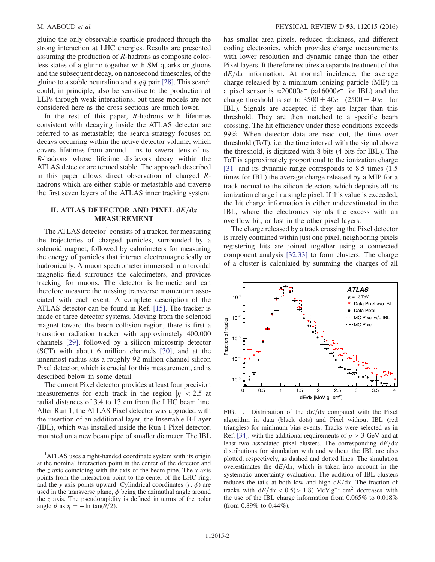gluino the only observable sparticle produced through the strong interaction at LHC energies. Results are presented assuming the production of R-hadrons as composite colorless states of a gluino together with SM quarks or gluons and the subsequent decay, on nanosecond timescales, of the gluino to a stable neutralino and a  $q\bar{q}$  pair [\[28\].](#page-10-12) This search could, in principle, also be sensitive to the production of LLPs through weak interactions, but these models are not considered here as the cross sections are much lower.

In the rest of this paper,  $R$ -hadrons with lifetimes consistent with decaying inside the ATLAS detector are referred to as metastable; the search strategy focuses on decays occurring within the active detector volume, which covers lifetimes from around 1 ns to several tens of ns. R-hadrons whose lifetime disfavors decay within the ATLAS detector are termed stable. The approach described in this paper allows direct observation of charged Rhadrons which are either stable or metastable and traverse the first seven layers of the ATLAS inner tracking system.

#### II. ATLAS DETECTOR AND PIXEL  $dE/dx$ MEASUREMENT

<span id="page-2-3"></span>The ATLAS detector<sup>1</sup> consists of a tracker, for measuring the trajectories of charged particles, surrounded by a solenoid magnet, followed by calorimeters for measuring the energy of particles that interact electromagnetically or hadronically. A muon spectrometer immersed in a toroidal magnetic field surrounds the calorimeters, and provides tracking for muons. The detector is hermetic and can therefore measure the missing transverse momentum associated with each event. A complete description of the ATLAS detector can be found in Ref. [\[15\].](#page-10-2) The tracker is made of three detector systems. Moving from the solenoid magnet toward the beam collision region, there is first a transition radiation tracker with approximately 400,000 channels [\[29\]](#page-10-13), followed by a silicon microstrip detector (SCT) with about 6 million channels [\[30\]](#page-10-14), and at the innermost radius sits a roughly 92 million channel silicon Pixel detector, which is crucial for this measurement, and is described below in some detail.

<span id="page-2-1"></span>The current Pixel detector provides at least four precision measurements for each track in the region  $|\eta| < 2.5$  at radial distances of 3.4 to 13 cm from the LHC beam line. After Run 1, the ATLAS Pixel detector was upgraded with the insertion of an additional layer, the Insertable B-Layer (IBL), which was installed inside the Run 1 Pixel detector, mounted on a new beam pipe of smaller diameter. The IBL <span id="page-2-0"></span>has smaller area pixels, reduced thickness, and different coding electronics, which provides charge measurements with lower resolution and dynamic range than the other Pixel layers. It therefore requires a separate treatment of the  $dE/dx$  information. At normal incidence, the average charge released by a minimum ionizing particle (MIP) in a pixel sensor is  $\approx 20000e^-$  ( $\approx 16000e^-$  for IBL) and the charge threshold is set to  $3500 \pm 40e^-$  (2500  $\pm 40e^-$  for IBL). Signals are accepted if they are larger than this threshold. They are then matched to a specific beam crossing. The hit efficiency under these conditions exceeds 99%. When detector data are read out, the time over threshold (ToT), i.e. the time interval with the signal above the threshold, is digitized with 8 bits (4 bits for IBL). The ToT is approximately proportional to the ionization charge [\[31\]](#page-10-15) and its dynamic range corresponds to 8.5 times (1.5 times for IBL) the average charge released by a MIP for a track normal to the silicon detectors which deposits all its ionization charge in a single pixel. If this value is exceeded, the hit charge information is either underestimated in the IBL, where the electronics signals the excess with an overflow bit, or lost in the other pixel layers.

The charge released by a track crossing the Pixel detector is rarely contained within just one pixel; neighboring pixels registering hits are joined together using a connected component analysis [\[32,33\]](#page-10-16) to form clusters. The charge of a cluster is calculated by summing the charges of all

<span id="page-2-2"></span>

FIG. 1. Distribution of the  $dE/dx$  computed with the Pixel algorithm in data (black dots) and Pixel without IBL (red triangles) for minimum bias events. Tracks were selected as in Ref. [\[34\]](#page-10-17), with the additional requirements of  $p > 3$  GeV and at least two associated pixel clusters. The corresponding  $dE/dx$ distributions for simulation with and without the IBL are also plotted, respectively, as dashed and dotted lines. The simulation overestimates the  $dE/dx$ , which is taken into account in the systematic uncertainty evaluation. The addition of IBL clusters reduces the tails at both low and high  $dE/dx$ . The fraction of tracks with  $dE/dx < 0.5$ (> 1.8) MeV g<sup>-1</sup> cm<sup>2</sup> decreases with the use of the IBL charge information from 0.065% to 0.018% (from 0.89% to 0.44%).

<sup>&</sup>lt;sup>1</sup>ATLAS uses a right-handed coordinate system with its origin at the nominal interaction point in the center of the detector and the z axis coinciding with the axis of the beam pipe. The  $x$  axis points from the interaction point to the center of the LHC ring, and the y axis points upward. Cylindrical coordinates  $(r, \phi)$  are used in the transverse plane,  $\phi$  being the azimuthal angle around the  $z$  axis. The pseudorapidity is defined in terms of the polar angle  $\theta$  as  $\eta = -\ln \tan(\theta/2)$ .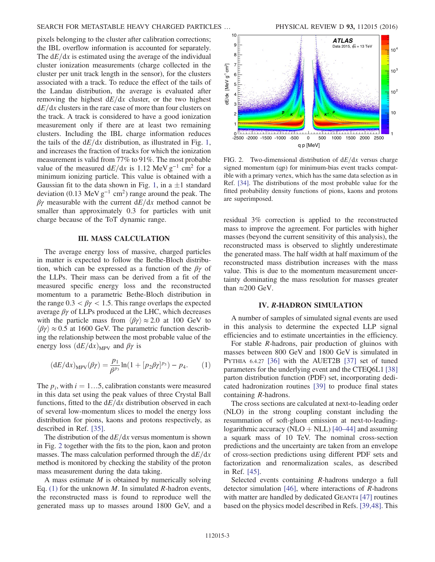pixels belonging to the cluster after calibration corrections; the IBL overflow information is accounted for separately. The  $dE/dx$  is estimated using the average of the individual cluster ionization measurements (charge collected in the cluster per unit track length in the sensor), for the clusters associated with a track. To reduce the effect of the tails of the Landau distribution, the average is evaluated after removing the highest  $dE/dx$  cluster, or the two highest  $dE/dx$  clusters in the rare case of more than four clusters on the track. A track is considered to have a good ionization measurement only if there are at least two remaining clusters. Including the IBL charge information reduces the tails of the  $dE/dx$  distribution, as illustrated in Fig. [1](#page-1-1), and increases the fraction of tracks for which the ionization measurement is valid from 77% to 91%. The most probable value of the measured  $dE/dx$  is 1.12 MeV g<sup>-1</sup> cm<sup>2</sup> for a minimum ionizing particle. This value is obtained with a Gaussian fit to the data shown in Fig. [1](#page-1-1), in a  $\pm 1$  standard deviation (0.13 MeV  $g^{-1}$  cm<sup>2</sup>) range around the peak. The  $βγ$  measurable with the current dE/dx method cannot be smaller than approximately 0.3 for particles with unit charge because of the ToT dynamic range.

#### III. MASS CALCULATION

The average energy loss of massive, charged particles in matter is expected to follow the Bethe-Bloch distribution, which can be expressed as a function of the  $\beta\gamma$  of the LLPs. Their mass can be derived from a fit of the measured specific energy loss and the reconstructed momentum to a parametric Bethe-Bloch distribution in the range  $0.3 < \beta \gamma < 1.5$ . This range overlaps the expected average  $\beta\gamma$  of LLPs produced at the LHC, which decreases with the particle mass from  $\langle \beta \gamma \rangle \approx 2.0$  at 100 GeV to  $\langle \beta \gamma \rangle \approx 0.5$  at 1600 GeV. The parametric function describing the relationship between the most probable value of the energy loss  $(dE/dx)_{MPV}$  and  $\beta\gamma$  is

$$
(dE/dx)_{\text{MPV}}(\beta \gamma) = \frac{p_1}{\beta^{p_3}} \ln(1 + [p_2 \beta \gamma]^{p_5}) - p_4. \tag{1}
$$

The  $p_i$ , with  $i = 1...5$ , calibration constants were measured in this data set using the peak values of three Crystal Ball functions, fitted to the  $dE/dx$  distribution observed in each of several low-momentum slices to model the energy loss distribution for pions, kaons and protons respectively, as described in Ref. [\[35\].](#page-10-18)

The distribution of the  $dE/dx$  versus momentum is shown in Fig. [2](#page-2-0) together with the fits to the pion, kaon and proton masses. The mass calculation performed through the  $dE/dx$ method is monitored by checking the stability of the proton mass measurement during the data taking.

A mass estimate  $M$  is obtained by numerically solving Eq. [\(1\)](#page-2-1) for the unknown  $M$ . In simulated  $R$ -hadron events, the reconstructed mass is found to reproduce well the generated mass up to masses around 1800 GeV, and a





FIG. 2. Two-dimensional distribution of  $dE/dx$  versus charge signed momentum (qp) for minimum-bias event tracks compatible with a primary vertex, which has the same data selection as in Ref. [\[34\]](#page-10-17). The distributions of the most probable value for the fitted probability density functions of pions, kaons and protons are superimposed.

residual 3% correction is applied to the reconstructed mass to improve the agreement. For particles with higher masses (beyond the current sensitivity of this analysis), the reconstructed mass is observed to slightly underestimate the generated mass. The half width at half maximum of the reconstructed mass distribution increases with the mass value. This is due to the momentum measurement uncertainty dominating the mass resolution for masses greater than  $\approx$  200 GeV.

#### IV. R-HADRON SIMULATION

A number of samples of simulated signal events are used in this analysis to determine the expected LLP signal efficiencies and to estimate uncertainties in the efficiency.

For stable R-hadrons, pair production of gluinos with masses between 800 GeV and 1800 GeV is simulated in PYTHIA 6.4.27 [\[36\]](#page-10-19) with the AUET2B [\[37\]](#page-10-20) set of tuned parameters for the underlying event and the CTEQ6L1 [\[38\]](#page-10-21) parton distribution function (PDF) set, incorporating dedicated hadronization routines [\[39\]](#page-10-22) to produce final states containing R-hadrons.

<span id="page-3-0"></span>The cross sections are calculated at next-to-leading order (NLO) in the strong coupling constant including the resummation of soft-gluon emission at next-to-leadinglogarithmic accuracy (NLO + NLL)  $[40-44]$  $[40-44]$  and assuming a squark mass of 10 TeV. The nominal cross-section predictions and the uncertainty are taken from an envelope of cross-section predictions using different PDF sets and factorization and renormalization scales, as described in Ref. [\[45\]](#page-10-24).

Selected events containing R-hadrons undergo a full detector simulation [\[46\],](#page-10-25) where interactions of R-hadrons with matter are handled by dedicated GEANT4 [\[47\]](#page-10-26) routines based on the physics model described in Refs. [\[39,48\].](#page-10-22) This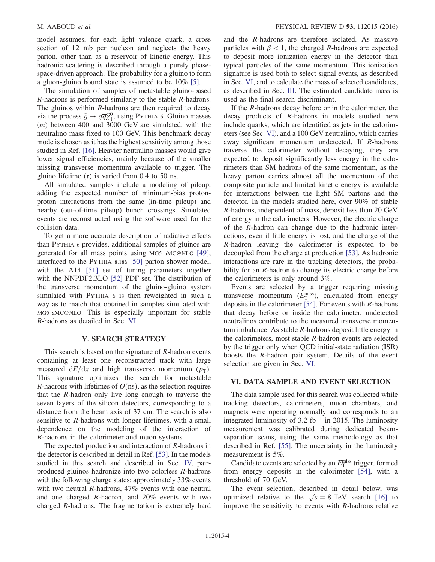model assumes, for each light valence quark, a cross section of 12 mb per nucleon and neglects the heavy parton, other than as a reservoir of kinetic energy. This hadronic scattering is described through a purely phasespace-driven approach. The probability for a gluino to form a gluon-gluino bound state is assumed to be 10% [\[5\]](#page-9-2).

The simulation of samples of metastable gluino-based R-hadrons is performed similarly to the stable R-hadrons. The gluinos within  *are then required to decay* via the process  $\tilde{g} \rightarrow q\overline{q}\tilde{\chi}_{1}^{0}$ , using PYTHIA 6. Gluino masses (m) between 400 and 3000 GeV are simulated, with the neutralino mass fixed to 100 GeV. This benchmark decay mode is chosen as it has the highest sensitivity among those studied in Ref. [\[16\]](#page-10-3). Heavier neutralino masses would give lower signal efficiencies, mainly because of the smaller missing transverse momentum available to trigger. The gluino lifetime ( $\tau$ ) is varied from 0.4 to 50 ns.

All simulated samples include a modeling of pileup, adding the expected number of minimum-bias protonproton interactions from the same (in-time pileup) and nearby (out-of-time pileup) bunch crossings. Simulated events are reconstructed using the software used for the collision data.

To get a more accurate description of radiative effects than PYTHIA 6 provides, additional samples of gluinos are generated for all mass points using MG5\_aMC@NLO [\[49\]](#page-10-27), interfaced to the PYTHIA 8.186 [\[50\]](#page-10-28) parton shower model, with the A14 [\[51\]](#page-11-0) set of tuning parameters together with the NNPDF2.3LO [\[52\]](#page-11-1) PDF set. The distribution of the transverse momentum of the gluino-gluino system simulated with PYTHIA 6 is then reweighted in such a way as to match that obtained in samples simulated with MG5\_aMC@NLO. This is especially important for stable R-hadrons as detailed in Sec. [VI.](#page-3-0)

#### V. SEARCH STRATEGY

This search is based on the signature of R-hadron events containing at least one reconstructed track with large measured  $dE/dx$  and high transverse momentum ( $p<sub>T</sub>$ ). This signature optimizes the search for metastable R-hadrons with lifetimes of  $O(ns)$ , as the selection requires that the R-hadron only live long enough to traverse the seven layers of the silicon detectors, corresponding to a distance from the beam axis of 37 cm. The search is also sensitive to R-hadrons with longer lifetimes, with a small dependence on the modeling of the interaction of R-hadrons in the calorimeter and muon systems.

The expected production and interaction of R-hadrons in the detector is described in detail in Ref. [\[53\]](#page-11-2). In the models studied in this search and described in Sec. [IV,](#page-2-2) pairproduced gluinos hadronize into two colorless R-hadrons with the following charge states: approximately 33% events with two neutral R-hadrons, 47% events with one neutral and one charged R-hadron, and 20% events with two charged R-hadrons. The fragmentation is extremely hard and the R-hadrons are therefore isolated. As massive particles with  $\beta$  < 1, the charged R-hadrons are expected to deposit more ionization energy in the detector than typical particles of the same momentum. This ionization signature is used both to select signal events, as described in Sec. [VI](#page-3-0), and to calculate the mass of selected candidates, as described in Sec. [III.](#page-2-3) The estimated candidate mass is used as the final search discriminant.

If the R-hadrons decay before or in the calorimeter, the decay products of R-hadrons in models studied here include quarks, which are identified as jets in the calorimeters (see Sec. [VI](#page-3-0)), and a 100 GeV neutralino, which carries away significant momentum undetected. If R-hadrons traverse the calorimeter without decaying, they are expected to deposit significantly less energy in the calorimeters than SM hadrons of the same momentum, as the heavy parton carries almost all the momentum of the composite particle and limited kinetic energy is available for interactions between the light SM partons and the detector. In the models studied here, over 90% of stable R-hadrons, independent of mass, deposit less than 20 GeV of energy in the calorimeters. However, the electric charge of the R-hadron can change due to the hadronic interactions, even if little energy is lost, and the charge of the R-hadron leaving the calorimeter is expected to be decoupled from the charge at production [\[53\]](#page-11-2). As hadronic interactions are rare in the tracking detectors, the probability for an R-hadron to change its electric charge before the calorimeters is only around 3%.

Events are selected by a trigger requiring missing transverse momentum  $(E_{\text{T}}^{\text{miss}})$ , calculated from energy deposits in the calorimeter  $[54]$ . For events with R-hadrons that decay before or inside the calorimeter, undetected neutralinos contribute to the measured transverse momentum imbalance. As stable R-hadrons deposit little energy in the calorimeters, most stable R-hadron events are selected by the trigger only when QCD initial-state radiation (ISR) boosts the R-hadron pair system. Details of the event selection are given in Sec. [VI.](#page-3-0)

#### VI. DATA SAMPLE AND EVENT SELECTION

The data sample used for this search was collected while tracking detectors, calorimeters, muon chambers, and magnets were operating normally and corresponds to an integrated luminosity of 3.2 fb<sup>−</sup><sup>1</sup> in 2015. The luminosity measurement was calibrated during dedicated beamseparation scans, using the same methodology as that described in Ref. [\[55\].](#page-11-4) The uncertainty in the luminosity measurement is 5%.

Candidate events are selected by an  $E_{\rm T}^{\rm miss}$  trigger, formed from energy deposits in the calorimeter [\[54\]](#page-11-3), with a threshold of 70 GeV.

The event selection, described in detail below, was optimized relative to the  $\sqrt{s} = 8$  TeV search [\[16\]](#page-10-3) to improve the sensitivity to events with R-hadrons relative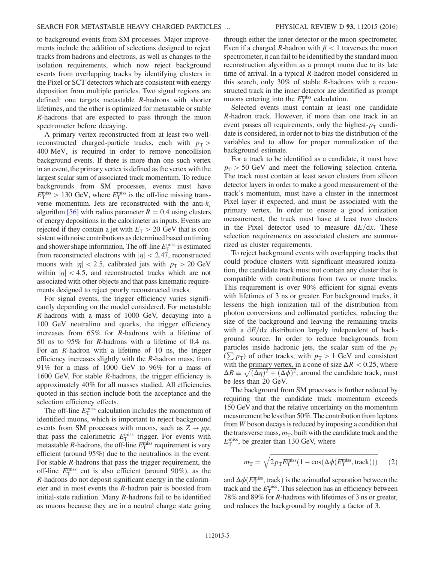to background events from SM processes. Major improvements include the addition of selections designed to reject tracks from hadrons and electrons, as well as changes to the isolation requirements, which now reject background events from overlapping tracks by identifying clusters in the Pixel or SCT detectors which are consistent with energy deposition from multiple particles. Two signal regions are defined: one targets metastable R-hadrons with shorter lifetimes, and the other is optimized for metastable or stable R-hadrons that are expected to pass through the muon spectrometer before decaying.

A primary vertex reconstructed from at least two wellreconstructed charged-particle tracks, each with  $p_T$  > 400 MeV, is required in order to remove noncollision background events. If there is more than one such vertex in an event, the primary vertex is defined as the vertex with the largest scalar sum of associated track momentum. To reduce backgrounds from SM processes, events must have  $E_{\rm T}^{\rm miss} > 130$  GeV, where  $E_{\rm T}^{\rm miss}$  is the off-line missing transverse momentum. Jets are reconstructed with the anti- $k<sub>t</sub>$ algorithm [\[56\]](#page-11-5) with radius parameter  $R = 0.4$  using clusters of energy depositions in the calorimeter as inputs. Events are rejected if they contain a jet with  $E_T > 20$  GeV that is consistent with noise contributions as determined based ontiming and shower shape information. The off-line  $E_{\rm T}^{\rm miss}$  is estimated from reconstructed electrons with  $|\eta|$  < 2.47, reconstructed muons with  $|\eta| < 2.5$ , calibrated jets with  $p<sub>T</sub> > 20$  GeV within  $|\eta|$  < 4.5, and reconstructed tracks which are not associated with other objects and that pass kinematic requirements designed to reject poorly reconstructed tracks.

For signal events, the trigger efficiency varies significantly depending on the model considered. For metastable R-hadrons with a mass of 1000 GeV, decaying into a 100 GeV neutralino and quarks, the trigger efficiency increases from 65% for R-hadrons with a lifetime of 50 ns to 95% for R-hadrons with a lifetime of 0.4 ns. For an R-hadron with a lifetime of 10 ns, the trigger efficiency increases slightly with the  $$ 91% for a mass of 1000 GeV to 96% for a mass of 1600 GeV. For stable R-hadrons, the trigger efficiency is approximately 40% for all masses studied. All efficiencies quoted in this section include both the acceptance and the selection efficiency effects.

<span id="page-5-0"></span>The off-line  $E_{\rm T}^{\rm miss}$  calculation includes the momentum of identified muons, which is important to reject background events from SM processes with muons, such as  $Z \rightarrow \mu\mu$ , that pass the calorimetric  $E_{\rm T}^{\rm miss}$  trigger. For events with metastable *R*-hadrons, the off-line  $E_{\text{T}}^{\text{miss}}$  requirement is very efficient (around 95%) due to the neutralinos in the event. For stable R-hadrons that pass the trigger requirement, the off-line  $E_{\rm T}^{\rm miss}$  cut is also efficient (around 90%), as the R-hadrons do not deposit significant energy in the calorimeter and in most events the R-hadron pair is boosted from initial-state radiation. Many R-hadrons fail to be identified as muons because they are in a neutral charge state going <span id="page-5-1"></span>through either the inner detector or the muon spectrometer. Even if a charged R-hadron with  $\beta$  < 1 traverses the muon spectrometer, it can fail to be identified by the standard muon reconstruction algorithm as a prompt muon due to its late time of arrival. In a typical R-hadron model considered in this search, only 30% of stable R-hadrons with a reconstructed track in the inner detector are identified as prompt muons entering into the  $E_{\rm T}^{\rm miss}$  calculation.

Selected events must contain at least one candidate R-hadron track. However, if more than one track in an event passes all requirements, only the highest- $p<sub>T</sub>$  candidate is considered, in order not to bias the distribution of the variables and to allow for proper normalization of the background estimate.

For a track to be identified as a candidate, it must have  $p_T > 50$  GeV and meet the following selection criteria. The track must contain at least seven clusters from silicon detector layers in order to make a good measurement of the track's momentum, must have a cluster in the innermost Pixel layer if expected, and must be associated with the primary vertex. In order to ensure a good ionization measurement, the track must have at least two clusters in the Pixel detector used to measure  $dE/dx$ . These selection requirements on associated clusters are summarized as cluster requirements.

To reject background events with overlapping tracks that could produce clusters with significant measured ionization, the candidate track must not contain any cluster that is compatible with contributions from two or more tracks. This requirement is over 90% efficient for signal events with lifetimes of 3 ns or greater. For background tracks, it lessens the high ionization tail of the distribution from photon conversions and collimated particles, reducing the size of the background and leaving the remaining tracks with a  $dE/dx$  distribution largely independent of background source. In order to reduce backgrounds from particles inside hadronic jets, the scalar sum of the  $p_T$  $(\sum p_T)$  of other tracks, with  $p_T > 1$  GeV and consistent with the primary vertex, in a cone of size  $\Delta R < 0.25$ , where  $\Delta R \equiv \sqrt{(\Delta \eta)^2 + (\Delta \phi)^2}$ , around the candidate track, must be less than 20 GeV.

The background from SM processes is further reduced by requiring that the candidate track momentum exceeds 150 GeV and that the relative uncertainty on the momentum measurement be less than 50%. The contribution from leptons from W boson decays is reduced by imposing a condition that the transverse mass,  $m<sub>T</sub>$ , built with the candidate track and the  $E_{\rm T}^{\rm miss}$ , be greater than 130 GeV, where

$$
m_{\rm T} = \sqrt{2p_{\rm T}E_{\rm T}^{\rm miss}(1 - \cos(\Delta\phi(E_{\rm T}^{\rm miss},\text{track})))}
$$
 (2)

and  $\Delta \phi(E_{\rm T}^{\rm miss}, {\rm track})$  is the azimuthal separation between the track and the  $E_{\rm T}^{\rm miss}$ . This selection has an efficiency between 78% and 89% for R-hadrons with lifetimes of 3 ns or greater, and reduces the background by roughly a factor of 3.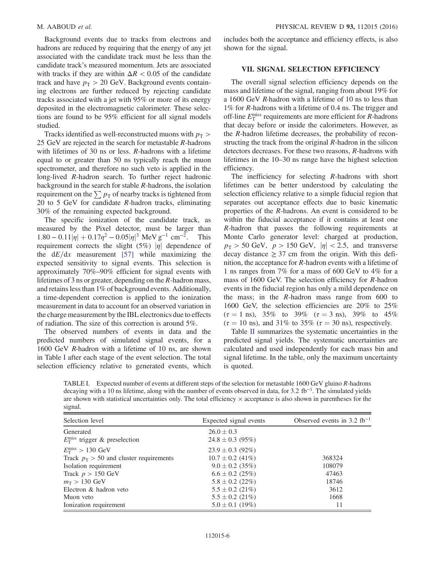<span id="page-6-0"></span>Background events due to tracks from electrons and hadrons are reduced by requiring that the energy of any jet associated with the candidate track must be less than the candidate track's measured momentum. Jets are associated with tracks if they are within  $\Delta R < 0.05$  of the candidate track and have  $p_T > 20$  GeV. Background events containing electrons are further reduced by rejecting candidate tracks associated with a jet with 95% or more of its energy deposited in the electromagnetic calorimeter. These selections are found to be 95% efficient for all signal models studied.

Tracks identified as well-reconstructed muons with  $p_T$  > 25 GeV are rejected in the search for metastable R-hadrons with lifetimes of 30 ns or less. R-hadrons with a lifetime equal to or greater than 50 ns typically reach the muon spectrometer, and therefore no such veto is applied in the long-lived R-hadron search. To further reject hadronic background in the search for stable *, the isolation* requirement on the  $\sum p_{\text{T}}$  of nearby tracks is tightened from 20 to 5 GeV for candidate R-hadron tracks, eliminating 30% of the remaining expected background.

The specific ionization of the candidate track, as measured by the Pixel detector, must be larger than  $1.80 - 0.11|\eta| + 0.17\eta^2 - 0.05|\eta|^3$  MeV g<sup>-1</sup> cm<sup>-2</sup>. This requirement corrects the slight (5%) | $\eta$ | dependence of the  $dE/dx$  measurement [\[57\]](#page-11-6) while maximizing the expected sensitivity to signal events. This selection is approximately 70%–90% efficient for signal events with lifetimes of 3 ns or greater, depending on the  $R$ -hadron mass, and retains less than 1% of background events. Additionally, a time-dependent correction is applied to the ionization measurement in data to account for an observed variation in the charge measurement by the IBL electronics due to effects of radiation. The size of this correction is around 5%.

The observed numbers of events in data and the predicted numbers of simulated signal events, for a 1600 GeV R-hadron with a lifetime of 10 ns, are shown in Table [I](#page-5-0) after each stage of the event selection. The total selection efficiency relative to generated events, which includes both the acceptance and efficiency effects, is also shown for the signal.

#### VII. SIGNAL SELECTION EFFICIENCY

<span id="page-6-1"></span>The overall signal selection efficiency depends on the mass and lifetime of the signal, ranging from about 19% for a 1600 GeV R-hadron with a lifetime of 10 ns to less than 1% for R-hadrons with a lifetime of 0.4 ns. The trigger and off-line  $E_{\rm T}^{\rm miss}$  requirements are more efficient for *R*-hadrons that decay before or inside the calorimeters. However, as the R-hadron lifetime decreases, the probability of reconstructing the track from the original R-hadron in the silicon detectors decreases. For these two reasons, R-hadrons with lifetimes in the 10–30 ns range have the highest selection efficiency.

The inefficiency for selecting  $R$ -hadrons with short lifetimes can be better understood by calculating the selection efficiency relative to a simple fiducial region that separates out acceptance effects due to basic kinematic properties of the R-hadrons. An event is considered to be within the fiducial acceptance if it contains at least one R-hadron that passes the following requirements at Monte Carlo generator level: charged at production,  $p_T > 50$  GeV,  $p > 150$  GeV,  $|\eta| < 2.5$ , and transverse decay distance  $\geq$  37 cm from the origin. With this definition, the acceptance for R-hadron events with a lifetime of 1 ns ranges from 7% for a mass of 600 GeV to 4% for a mass of 1600 GeV. The selection efficiency for R-hadron events in the fiducial region has only a mild dependence on the mass; in the R-hadron mass range from 600 to 1600 GeV, the selection efficiencies are 20% to 25%  $(\tau = 1 \text{ ns})$ , 35% to 39%  $(\tau = 3 \text{ ns})$ , 39% to 45%  $(\tau = 10 \text{ ns})$ , and 31% to 35% ( $\tau = 30 \text{ ns}$ ), respectively.

Table [II](#page-6-0) summarizes the systematic uncertainties in the predicted signal yields. The systematic uncertainties are calculated and used independently for each mass bin and signal lifetime. In the table, only the maximum uncertainty is quoted.

TABLE I. Expected number of events at different steps of the selection for metastable 1600 GeV gluino R-hadrons decaying with a 10 ns lifetime, along with the number of events observed in data, for 3.2 fb<sup>-1</sup>. The simulated yields are shown with statistical uncertainties only. The total efficiency  $\times$  acceptance is also shown in parentheses for the signal.

| Selection level                               | Expected signal events | Observed events in $3.2$ fb <sup>-1</sup> |
|-----------------------------------------------|------------------------|-------------------------------------------|
| Generated                                     | $26.0 \pm 0.3$         |                                           |
| $E_{\rm T}^{\rm miss}$ trigger & preselection | $24.8 \pm 0.3$ (95%)   |                                           |
| $E_{\rm T}^{\rm miss} > 130~{\rm GeV}$        | $23.9 \pm 0.3$ (92%)   |                                           |
| Track $p_T > 50$ and cluster requirements     | $10.7 \pm 0.2$ (41%)   | 368324                                    |
| Isolation requirement                         | $9.0 \pm 0.2$ (35%)    | 108079                                    |
| Track $p > 150$ GeV                           | $6.6 \pm 0.2$ (25%)    | 47463                                     |
| $m_T > 130 \text{ GeV}$                       | $5.8 \pm 0.2$ (22%)    | 18746                                     |
| Electron & hadron veto                        | $5.5 \pm 0.2$ (21%)    | 3612                                      |
| Muon veto                                     | $5.5 \pm 0.2$ (21%)    | 1668                                      |
| Ionization requirement                        | $5.0 \pm 0.1$ (19%)    | 11                                        |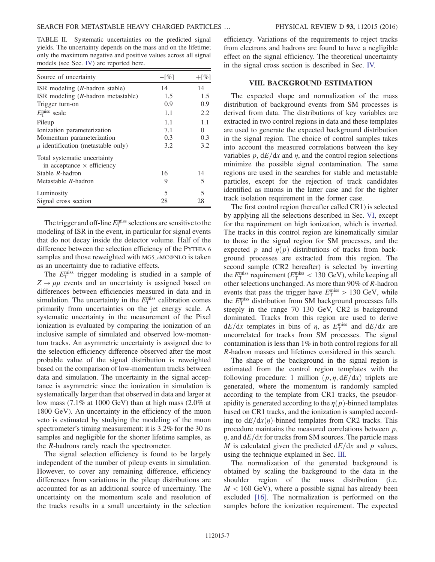<span id="page-7-0"></span>TABLE II. Systematic uncertainties on the predicted signal yields. The uncertainty depends on the mass and on the lifetime; only the maximum negative and positive values across all signal models (see Sec. [IV](#page-2-2)) are reported here.

| Source of uncertainty                                             | $-[%]$ | $+$ [%]  |
|-------------------------------------------------------------------|--------|----------|
| ISR modeling (R-hadron stable)                                    | 14     | 14       |
| ISR modeling (R-hadron metastable)                                | 1.5    | 1.5      |
| Trigger turn-on                                                   | 0.9    | 0.9      |
| $E_{\rm T}^{\rm miss}$ scale                                      | 1.1    | 2.2      |
| Pileup                                                            | 1.1    | 1.1      |
| Ionization parameterization                                       | 7.1    | $\Omega$ |
| Momentum parameterization                                         | 0.3    | 0.3      |
| $\mu$ identification (metastable only)                            | 3.2    | 3.2      |
| Total systematic uncertainty<br>in acceptance $\times$ efficiency |        |          |
| Stable R-hadron                                                   | 16     | 14       |
| Metastable R-hadron                                               | 9      | 5        |
| Luminosity                                                        | 5      | 5        |
| Signal cross section                                              | 28     | 28       |

The trigger and off-line  $E_{\rm T}^{\rm miss}$  selections are sensitive to the modeling of ISR in the event, in particular for signal events that do not decay inside the detector volume. Half of the difference between the selection efficiency of the PYTHIA 6 samples and those reweighted with MG5\_aMC@NLO is taken as an uncertainty due to radiative effects.

The  $E_{\rm T}^{\rm miss}$  trigger modeling is studied in a sample of  $Z \rightarrow \mu\mu$  events and an uncertainty is assigned based on differences between efficiencies measured in data and in simulation. The uncertainty in the  $E_{\rm T}^{\rm miss}$  calibration comes primarily from uncertainties on the jet energy scale. A systematic uncertainty in the measurement of the Pixel ionization is evaluated by comparing the ionization of an inclusive sample of simulated and observed low-momentum tracks. An asymmetric uncertainty is assigned due to the selection efficiency difference observed after the most probable value of the signal distribution is reweighted based on the comparison of low-momentum tracks between data and simulation. The uncertainty in the signal acceptance is asymmetric since the ionization in simulation is systematically larger than that observed in data and larger at low mass (7.1% at 1000 GeV) than at high mass (2.0% at 1800 GeV). An uncertainty in the efficiency of the muon veto is estimated by studying the modeling of the muon spectrometer's timing measurement: it is 3.2% for the 30 ns samples and negligible for the shorter lifetime samples, as the R-hadrons rarely reach the spectrometer.

<span id="page-7-1"></span>The signal selection efficiency is found to be largely independent of the number of pileup events in simulation. However, to cover any remaining difference, efficiency differences from variations in the pileup distributions are accounted for as an additional source of uncertainty. The uncertainty on the momentum scale and resolution of the tracks results in a small uncertainty in the selection efficiency. Variations of the requirements to reject tracks from electrons and hadrons are found to have a negligible effect on the signal efficiency. The theoretical uncertainty in the signal cross section is described in Sec. [IV.](#page-2-2)

#### VIII. BACKGROUND ESTIMATION

<span id="page-7-3"></span>The expected shape and normalization of the mass distribution of background events from SM processes is derived from data. The distributions of key variables are extracted in two control regions in data and these templates are used to generate the expected background distribution in the signal region. The choice of control samples takes into account the measured correlations between the key variables  $p$ ,  $dE/dx$  and  $\eta$ , and the control region selections minimize the possible signal contamination. The same regions are used in the searches for stable and metastable particles, except for the rejection of track candidates identified as muons in the latter case and for the tighter track isolation requirement in the former case.

The first control region (hereafter called CR1) is selected by applying all the selections described in Sec. [VI](#page-3-0), except for the requirement on high ionization, which is inverted. The tracks in this control region are kinematically similar to those in the signal region for SM processes, and the expected p and  $\eta(p)$  distributions of tracks from background processes are extracted from this region. The second sample (CR2 hereafter) is selected by inverting the  $E_{\rm T}^{\rm miss}$  requirement ( $E_{\rm T}^{\rm miss}$  < 130 GeV), while keeping all other selections unchanged. As more than 90% of R-hadron events that pass the trigger have  $E_{\rm T}^{\rm miss} > 130$  GeV, while the  $E_{\rm T}^{\rm miss}$  distribution from SM background processes falls steeply in the range 70–130 GeV, CR2 is background dominated. Tracks from this region are used to derive  $dE/dx$  templates in bins of  $\eta$ , as  $E_T^{\text{miss}}$  and  $dE/dx$  are uncorrelated for tracks from SM processes. The signal contamination is less than 1% in both control regions for all R-hadron masses and lifetimes considered in this search.

The shape of the background in the signal region is estimated from the control region templates with the following procedure: 1 million  $(p, \eta, dE/dx)$  triplets are generated, where the momentum is randomly sampled according to the template from CR1 tracks, the pseudorapidity is generated according to the  $\eta(p)$ -binned templates based on CR1 tracks, and the ionization is sampled according to  $dE/dx(\eta)$ -binned templates from CR2 tracks. This procedure maintains the measured correlations between p,  $\eta$ , and  $dE/dx$  for tracks from SM sources. The particle mass M is calculated given the predicted  $dE/dx$  and p values, using the technique explained in Sec. [III.](#page-2-3)

<span id="page-7-2"></span>The normalization of the generated background is obtained by scaling the background to the data in the shoulder region of the mass distribution (i.e.  $M < 160$  GeV), where a possible signal has already been excluded [\[16\].](#page-10-3) The normalization is performed on the samples before the ionization requirement. The expected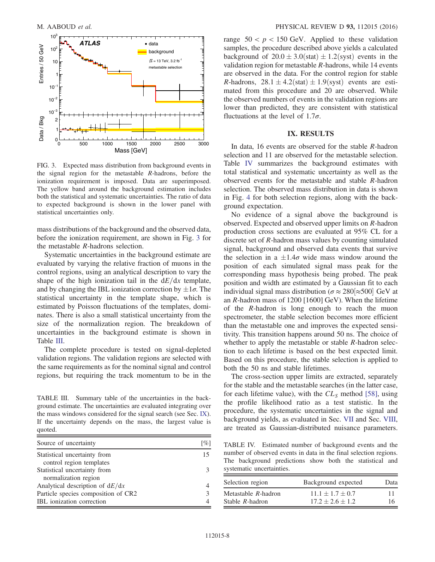<span id="page-8-0"></span>

FIG. 3. Expected mass distribution from background events in the signal region for the metastable R-hadrons, before the ionization requirement is imposed. Data are superimposed. The yellow band around the background estimation includes both the statistical and systematic uncertainties. The ratio of data to expected background is shown in the lower panel with statistical uncertainties only.

mass distributions of the background and the observed data, before the ionization requirement, are shown in Fig. [3](#page-7-0) for the metastable R-hadrons selection.

Systematic uncertainties in the background estimate are evaluated by varying the relative fraction of muons in the control regions, using an analytical description to vary the shape of the high ionization tail in the  $dE/dx$  template, and by changing the IBL ionization correction by  $\pm 1\sigma$ . The statistical uncertainty in the template shape, which is estimated by Poisson fluctuations of the templates, dominates. There is also a small statistical uncertainty from the size of the normalization region. The breakdown of uncertainties in the background estimate is shown in Table [III.](#page-7-1)

The complete procedure is tested on signal-depleted validation regions. The validation regions are selected with the same requirements as for the nominal signal and control regions, but requiring the track momentum to be in the

<span id="page-8-1"></span>TABLE III. Summary table of the uncertainties in the background estimate. The uncertainties are evaluated integrating over the mass windows considered for the signal search (see Sec. [IX\)](#page-7-3). If the uncertainty depends on the mass, the largest value is quoted.

| Source of uncertainty               | $\lceil \% \rceil$ |  |
|-------------------------------------|--------------------|--|
| Statistical uncertainty from        | 15                 |  |
| control region templates            |                    |  |
| Statistical uncertainty from        |                    |  |
| normalization region                |                    |  |
| Analytical description of $dE/dx$   |                    |  |
| Particle species composition of CR2 |                    |  |
| IBL ionization correction           |                    |  |

<span id="page-8-2"></span>range  $50 < p < 150$  GeV. Applied to these validation samples, the procedure described above yields a calculated background of  $20.0 \pm 3.0$ (stat)  $\pm 1.2$ (syst) events in the validation region for metastable R-hadrons, while 14 events are observed in the data. For the control region for stable R-hadrons,  $28.1 \pm 4.2$ (stat)  $\pm 1.9$ (syst) events are estimated from this procedure and 20 are observed. While the observed numbers of events in the validation regions are lower than predicted, they are consistent with statistical fluctuations at the level of  $1.7\sigma$ .

#### IX. RESULTS

In data, 16 events are observed for the stable R-hadron selection and 11 are observed for the metastable selection. Table [IV](#page-7-2) summarizes the background estimates with total statistical and systematic uncertainty as well as the observed events for the metastable and stable R-hadron selection. The observed mass distribution in data is shown in Fig. [4](#page-8-0) for both selection regions, along with the background expectation.

No evidence of a signal above the background is observed. Expected and observed upper limits on R-hadron production cross sections are evaluated at 95% CL for a discrete set of R-hadron mass values by counting simulated signal, background and observed data events that survive the selection in a  $\pm 1.4\sigma$  wide mass window around the position of each simulated signal mass peak for the corresponding mass hypothesis being probed. The peak position and width are estimated by a Gaussian fit to each individual signal mass distribution ( $\sigma \approx 280 \approx 500$ ) GeV at an R-hadron mass of 1200 [1600] GeV). When the lifetime of the R-hadron is long enough to reach the muon spectrometer, the stable selection becomes more efficient than the metastable one and improves the expected sensitivity. This transition happens around 50 ns. The choice of whether to apply the metastable or stable R-hadron selection to each lifetime is based on the best expected limit. Based on this procedure, the stable selection is applied to both the 50 ns and stable lifetimes.

<span id="page-8-3"></span>The cross-section upper limits are extracted, separately for the stable and the metastable searches (in the latter case, for each lifetime value), with the  $CL<sub>S</sub>$  method [\[58\]](#page-11-7), using the profile likelihood ratio as a test statistic. In the procedure, the systematic uncertainties in the signal and background yields, as evaluated in Sec. [VII](#page-5-1) and Sec. [VIII](#page-6-1), are treated as Gaussian-distributed nuisance parameters.

TABLE IV. Estimated number of background events and the number of observed events in data in the final selection regions. The background predictions show both the statistical and systematic uncertainties.

| Selection region    | Background expected    | Data |  |
|---------------------|------------------------|------|--|
| Metastable R-hadron | $11.1 \pm 1.7 \pm 0.7$ |      |  |
| Stable R-hadron     | $17.2 + 2.6 + 1.2$     | 16   |  |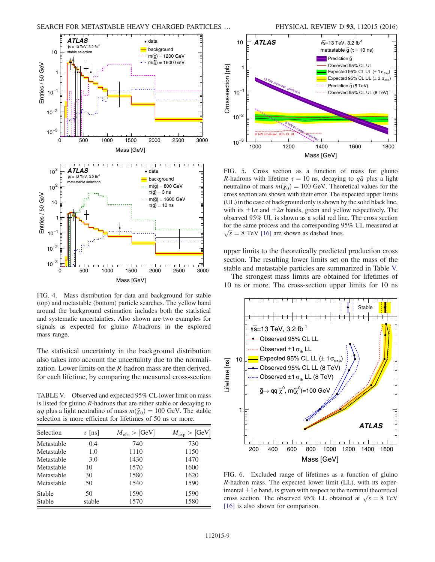

FIG. 4. Mass distribution for data and background for stable (top) and metastable (bottom) particle searches. The yellow band around the background estimation includes both the statistical and systematic uncertainties. Also shown are two examples for signals as expected for gluino R-hadrons in the explored mass range.

The statistical uncertainty in the background distribution also takes into account the uncertainty due to the normalization. Lower limits on the R-hadron mass are then derived, for each lifetime, by comparing the measured cross-section

<span id="page-9-0"></span>TABLE V. Observed and expected 95% CL lower limit on mass is listed for gluino R-hadrons that are either stable or decaying to  $q\bar{q}$  plus a light neutralino of mass  $m(\tilde{\chi}_0) = 100 \text{ GeV}$ . The stable selection is more efficient for lifetimes of 50 ns or more.

<span id="page-9-2"></span><span id="page-9-1"></span>

| Selection     | $\tau$ [ns] | $M_{\text{obs}} >$ [GeV] | GeV <br>$M_{\rm exp}$ > |
|---------------|-------------|--------------------------|-------------------------|
| Metastable    | 0.4         | 740                      | 730                     |
| Metastable    | 1.0         | 1110                     | 1150                    |
| Metastable    | 3.0         | 1430                     | 1470                    |
| Metastable    | 10          | 1570                     | 1600                    |
| Metastable    | 30          | 1580                     | 1620                    |
| Metastable    | 50          | 1540                     | 1590                    |
| <b>Stable</b> | 50          | 1590                     | 1590                    |
| <b>Stable</b> | stable      | 1570                     | 1580                    |



FIG. 5. Cross section as a function of mass for gluino R-hadrons with lifetime  $\tau = 10$  ns, decaying to  $q\bar{q}$  plus a light neutralino of mass  $m(\tilde{\chi}_0) = 100$  GeV. Theoretical values for the cross section are shown with their error. The expected upper limits (UL) in the case of background only is shown by the solid black line, with its  $\pm 1\sigma$  and  $\pm 2\sigma$  bands, green and yellow respectively. The observed 95% UL is shown as a solid red line. The cross section for the same process and the corresponding 95% UL measured at  $\sqrt{s}$  = 8 TeV [\[16\]](#page-10-3) are shown as dashed lines.

upper limits to the theoretically predicted production cross section. The resulting lower limits set on the mass of the stable and metastable particles are summarized in Table [V.](#page-8-1)

The strongest mass limits are obtained for lifetimes of 10 ns or more. The cross-section upper limits for 10 ns



FIG. 6. Excluded range of lifetimes as a function of gluino R-hadron mass. The expected lower limit (LL), with its experimental  $\pm 1\sigma$  band, is given with respect to the nominal theoretical cross section. The observed  $95\%$  LL obtained at  $\sqrt{s} = 8$  TeV [\[16\]](#page-10-3) is also shown for comparison.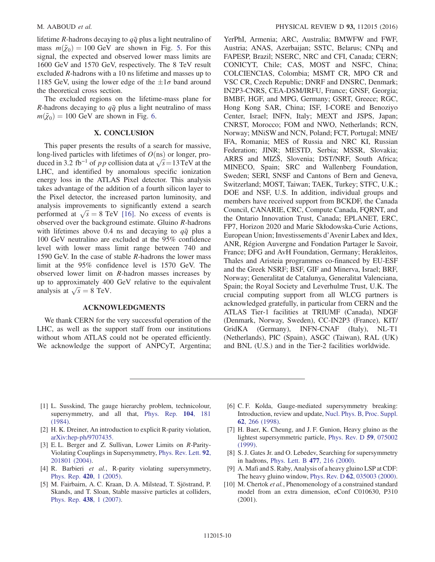<span id="page-10-10"></span>lifetime R-hadrons decaying to  $q\bar{q}$  plus a light neutralino of mass  $m(\tilde{\chi}_0) = 100 \text{ GeV}$  are shown in Fig. [5.](#page-8-2) For this signal, the expected and observed lower mass limits are 1600 GeV and 1570 GeV, respectively. The 8 TeV result excluded R-hadrons with a 10 ns lifetime and masses up to 1185 GeV, using the lower edge of the  $\pm 1\sigma$  band around the theoretical cross section.

<span id="page-10-2"></span><span id="page-10-1"></span><span id="page-10-0"></span>The excluded regions on the lifetime-mass plane for R-hadrons decaying to  $q\bar{q}$  plus a light neutralino of mass  $m(\tilde{\chi}_0) = 100$  GeV are shown in Fig. [6](#page-8-3).

#### <span id="page-10-22"></span><span id="page-10-21"></span><span id="page-10-20"></span>X. CONCLUSION

<span id="page-10-6"></span><span id="page-10-5"></span><span id="page-10-4"></span><span id="page-10-3"></span>This paper presents the results of a search for massive, long-lived particles with lifetimes of  $O(ns)$  or longer, produced in 3.2 fb<sup>-1</sup> of *pp* collision data at  $\sqrt{s}$  = 13TeV at the LHC, and identified by anomalous specific ionization energy loss in the ATLAS Pixel detector. This analysis takes advantage of the addition of a fourth silicon layer to the Pixel detector, the increased parton luminosity, and analysis improvements to significantly extend a search performed at  $\sqrt{s} = 8$  TeV [\[16\].](#page-10-3) No excess of events is observed over the background estimate. Gluino R-hadrons with lifetimes above 0.4 ns and decaying to  $q\bar{q}$  plus a 100 GeV neutralino are excluded at the 95% confidence level with lower mass limit range between 740 and 1590 GeV. In the case of stable  $R$ -hadrons the lower mass limit at the 95% confidence level is 1570 GeV. The observed lower limit on R-hadron masses increases by up to approximately 400 GeV relative to the equivalent analysis at  $\sqrt{s} = 8$  TeV.

#### <span id="page-10-23"></span>ACKNOWLEDGMENTS

<span id="page-10-9"></span><span id="page-10-8"></span><span id="page-10-7"></span>We thank CERN for the very successful operation of the LHC, as well as the support staff from our institutions without whom ATLAS could not be operated efficiently. We acknowledge the support of ANPCyT, Argentina;

<span id="page-10-19"></span><span id="page-10-18"></span><span id="page-10-17"></span><span id="page-10-16"></span><span id="page-10-15"></span><span id="page-10-14"></span>YerPhI, Armenia; ARC, Australia; BMWFW and FWF, Austria; ANAS, Azerbaijan; SSTC, Belarus; CNPq and FAPESP, Brazil; NSERC, NRC and CFI, Canada; CERN; CONICYT, Chile; CAS, MOST and NSFC, China; COLCIENCIAS, Colombia; MSMT CR, MPO CR and VSC CR, Czech Republic; DNRF and DNSRC, Denmark; IN2P3-CNRS, CEA-DSM/IRFU, France; GNSF, Georgia; BMBF, HGF, and MPG, Germany; GSRT, Greece; RGC, Hong Kong SAR, China; ISF, I-CORE and Benoziyo Center, Israel; INFN, Italy; MEXT and JSPS, Japan; CNRST, Morocco; FOM and NWO, Netherlands; RCN, Norway; MNiSW and NCN, Poland; FCT, Portugal; MNE/ IFA, Romania; MES of Russia and NRC KI, Russian Federation; JINR; MESTD, Serbia; MSSR, Slovakia; ARRS and MIZŠ, Slovenia; DST/NRF, South Africa; MINECO, Spain; SRC and Wallenberg Foundation, Sweden; SERI, SNSF and Cantons of Bern and Geneva, Switzerland; MOST, Taiwan; TAEK, Turkey; STFC, U.K.; DOE and NSF, U.S. In addition, individual groups and members have received support from BCKDF, the Canada Council, CANARIE, CRC, Compute Canada, FQRNT, and the Ontario Innovation Trust, Canada; EPLANET, ERC, FP7, Horizon 2020 and Marie Skłodowska-Curie Actions, European Union; Investissements d'Avenir Labex and Idex, ANR, Région Auvergne and Fondation Partager le Savoir, France; DFG and AvH Foundation, Germany; Herakleitos, Thales and Aristeia programmes co-financed by EU-ESF and the Greek NSRF; BSF, GIF and Minerva, Israel; BRF, Norway; Generalitat de Catalunya, Generalitat Valenciana, Spain; the Royal Society and Leverhulme Trust, U.K. The crucial computing support from all WLCG partners is acknowledged gratefully, in particular from CERN and the ATLAS Tier-1 facilities at TRIUMF (Canada), NDGF (Denmark, Norway, Sweden), CC-IN2P3 (France), KIT/ GridKA (Germany), INFN-CNAF (Italy), NL-T1 (Netherlands), PIC (Spain), ASGC (Taiwan), RAL (UK) and BNL (U.S.) and in the Tier-2 facilities worldwide.

- [1] L. Susskind, The gauge hierarchy problem, technicolour, supersymmetry, and all that, [Phys. Rep.](http://dx.doi.org/10.1016/0370-1573(84)90208-4) 104, 181 [\(1984\).](http://dx.doi.org/10.1016/0370-1573(84)90208-4)
- <span id="page-10-11"></span>[2] H. K. Dreiner, An introduction to explicit R-parity violation, [arXiv:hep-ph/9707435.](http://arXiv.org/abs/hep-ph/9707435)
- [3] E. L. Berger and Z. Sullivan, Lower Limits on R-Parity-Violating Couplings in Supersymmetry, [Phys. Rev. Lett.](http://dx.doi.org/10.1103/PhysRevLett.92.201801) 92, [201801 \(2004\).](http://dx.doi.org/10.1103/PhysRevLett.92.201801)
- <span id="page-10-12"></span>[4] R. Barbieri et al., R-parity violating supersymmetry, [Phys. Rep.](http://dx.doi.org/10.1016/j.physrep.2005.08.006) 420, 1 (2005).
- <span id="page-10-13"></span>[5] M. Fairbairn, A. C. Kraan, D. A. Milstead, T. Sjöstrand, P. Skands, and T. Sloan, Stable massive particles at colliders, [Phys. Rep.](http://dx.doi.org/10.1016/j.physrep.2006.10.002) 438, 1 (2007).
- <span id="page-10-26"></span><span id="page-10-25"></span><span id="page-10-24"></span>[6] C. F. Kolda, Gauge-mediated supersymmetry breaking: Introduction, review and update, [Nucl. Phys. B, Proc. Suppl.](http://dx.doi.org/10.1016/S0920-5632(97)00667-1) 62[, 266 \(1998\).](http://dx.doi.org/10.1016/S0920-5632(97)00667-1)
- <span id="page-10-27"></span>[7] H. Baer, K. Cheung, and J. F. Gunion, Heavy gluino as the lightest supersymmetric particle, [Phys. Rev. D](http://dx.doi.org/10.1103/PhysRevD.59.075002) 59, 075002 [\(1999\).](http://dx.doi.org/10.1103/PhysRevD.59.075002)
- [8] S. J. Gates Jr. and O. Lebedev, Searching for supersymmetry in hadrons, [Phys. Lett. B](http://dx.doi.org/10.1016/S0370-2693(00)00172-6) 477, 216 (2000).
- [9] A. Mafi and S. Raby, Analysis of a heavy gluino LSP at CDF: The heavy gluino window, Phys. Rev. D 62[, 035003 \(2000\).](http://dx.doi.org/10.1103/PhysRevD.62.035003)
- <span id="page-10-28"></span>[10] M. Chertok et al., Phenomenology of a constrained standard model from an extra dimension, eConf C010630, P310 (2001).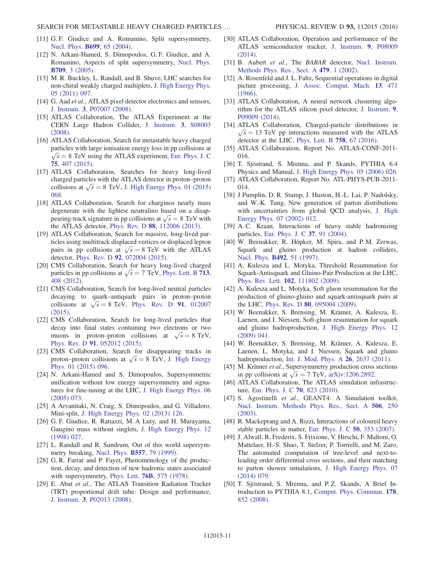- <span id="page-11-0"></span>[11] G. F. Giudice and A. Romanino, Split supersymmetry, [Nucl. Phys.](http://dx.doi.org/10.1016/j.nuclphysb.2004.08.001) B699, 65 (2004).
- <span id="page-11-1"></span>[12] N. Arkani-Hamed, S. Dimopoulos, G. F. Giudice, and A. Romanino, Aspects of split supersymmetry, [Nucl. Phys.](http://dx.doi.org/10.1016/j.nuclphysb.2004.12.026) B709[, 3 \(2005\)](http://dx.doi.org/10.1016/j.nuclphysb.2004.12.026).
- <span id="page-11-2"></span>[13] M. R. Buckley, L. Randall, and B. Shuve, LHC searches for non-chiral weakly charged multiplets, [J. High Energy Phys.](http://dx.doi.org/10.1007/JHEP05(2011)097) [05 \(2011\) 097.](http://dx.doi.org/10.1007/JHEP05(2011)097)
- <span id="page-11-3"></span>[14] G. Aad et al., ATLAS pixel detector electronics and sensors, J. Instrum. 3[, P07007 \(2008\)](http://dx.doi.org/10.1088/1748-0221/3/07/P07007).
- [15] ATLAS Collaboration, The ATLAS Experiment at the CERN Large Hadron Collider, [J. Instrum.](http://dx.doi.org/10.1088/1748-0221/3/08/S08003) 3, S08003 [\(2008\).](http://dx.doi.org/10.1088/1748-0221/3/08/S08003)
- <span id="page-11-9"></span>[16] ATLAS Collaboration, Search for metastable heavy charged particles with large ionisation energy loss in pp collisions at  $\sqrt{s}$  = 8 TeV using the ATLAS experiment, [Eur. Phys. J. C](http://dx.doi.org/10.1140/epjc/s10052-015-3609-0) 75[, 407 \(2015\).](http://dx.doi.org/10.1140/epjc/s10052-015-3609-0)
- <span id="page-11-10"></span>[17] ATLAS Collaboration, Searches for heavy long-lived charged particles with the ATLAS detector in proton–proton collisions at  $\sqrt{s} = 8$  TeV, [J. High Energy Phys. 01 \(2015\)](http://dx.doi.org/10.1007/JHEP01(2015)068) [068.](http://dx.doi.org/10.1007/JHEP01(2015)068)
- [18] ATLAS Collaboration, Search for charginos nearly mass degenerate with the lightest neutralino based on a disappearing-track signature in pp collisions at  $\sqrt{s} = 8$  TeV with the ATLAS detector, Phys. Rev. D 88[, 112006 \(2013\).](http://dx.doi.org/10.1103/PhysRevD.88.112006)
- [19] ATLAS Collaboration, Search for massive, long-lived particles using multitrack displaced vertices or displaced lepton pairs in pp collisions at  $\sqrt{s} = 8$  TeV with the ATLAS detector, Phys. Rev. D 92[, 072004 \(2015\)](http://dx.doi.org/10.1103/PhysRevD.92.072004).
- [20] CMS Collaboration, Search for heavy long-lived charged particles in pp collisions at  $\sqrt{s} = 7$  TeV, [Phys. Lett. B](http://dx.doi.org/10.1016/j.physletb.2012.06.023) 713, [408 \(2012\)](http://dx.doi.org/10.1016/j.physletb.2012.06.023).
- <span id="page-11-12"></span>[21] CMS Collaboration, Search for long-lived neutral particles decaying to quark–antiquark pairs in proton–proton collisions at  $\sqrt{s} = 8$  TeV, [Phys. Rev. D](http://dx.doi.org/10.1103/PhysRevD.91.012007) 91, 012007 [\(2015\).](http://dx.doi.org/10.1103/PhysRevD.91.012007)
- <span id="page-11-13"></span>[22] CMS Collaboration, Search for long-lived particles that decay into final states containing two electrons or two muons in proton–proton collisions at  $\sqrt{s} = 8$  TeV, Phys. Rev. D 91[, 052012 \(2015\)](http://dx.doi.org/10.1103/PhysRevD.91.052012).
- <span id="page-11-14"></span>[23] CMS Collaboration, Search for disappearing tracks in proton–proton collisions at  $\sqrt{s} = 8$  TeV, [J. High Energy](http://dx.doi.org/10.1007/JHEP01(2015)096) [Phys. 01 \(2015\) 096.](http://dx.doi.org/10.1007/JHEP01(2015)096)
- [24] N. Arkani-Hamed and S. Dimopoulos, Supersymmetric unification without low energy supersymmetry and signatures for fine-tuning at the LHC, [J. High Energy Phys. 06](http://dx.doi.org/10.1088/1126-6708/2005/06/073) [\(2005\) 073.](http://dx.doi.org/10.1088/1126-6708/2005/06/073)
- [25] A Arvanitaki, N. Craig, S. Dimopoulos, and G. Villadoro, Mini-split, [J. High Energy Phys. 02 \(2013\) 126.](http://dx.doi.org/10.1007/JHEP02(2013)126)
- [26] G. F. Giudice, R. Rattazzi, M. A Luty, and H. Murayama, Gaugino mass without singlets, [J. High Energy Phys. 12](http://dx.doi.org/10.1088/1126-6708/1998/12/027) [\(1998\) 027.](http://dx.doi.org/10.1088/1126-6708/1998/12/027)
- [27] L. Randall and R. Sundrum, Out of this world supersymmetry breaking, [Nucl. Phys.](http://dx.doi.org/10.1016/S0550-3213(99)00359-4) B557, 79 (1999).
- [28] G. R. Farrar and P. Fayet, Phenomenology of the production, decay, and detection of new hadronic states associated with supersymmetry, Phys. Lett. 76B[, 575 \(1978\)](http://dx.doi.org/10.1016/0370-2693(78)90858-4).
- <span id="page-11-11"></span><span id="page-11-8"></span>[29] E. Abat et al., The ATLAS Transition Radiation Tracker (TRT) proportional drift tube: Design and performance, J. Instrum. 3[, P02013 \(2008\)](http://dx.doi.org/10.1088/1748-0221/3/02/P02013).
- <span id="page-11-4"></span>[30] ATLAS Collaboration, Operation and performance of the ATLAS semiconductor tracker, [J. Instrum.](http://dx.doi.org/10.1088/1748-0221/9/08/P08009) 9, P08009 [\(2014\).](http://dx.doi.org/10.1088/1748-0221/9/08/P08009)
- <span id="page-11-5"></span>[31] B. Aubert et al., The BABAR detector, [Nucl. Instrum.](http://dx.doi.org/10.1016/S0168-9002(01)02012-5) [Methods Phys. Res., Sect. A](http://dx.doi.org/10.1016/S0168-9002(01)02012-5) 479, 1 (2002).
- <span id="page-11-6"></span>[32] A. Rosenfeld and J. L. Faltz, Sequential operations in digital picture processing, [J. Assoc. Comput. Mach.](http://dx.doi.org/10.1145/321356.321357) 13, 471 [\(1966\).](http://dx.doi.org/10.1145/321356.321357)
- <span id="page-11-7"></span>[33] ATLAS Collaboration, A neural network clustering algorithm for the ATLAS silicon pixel detector, [J. Instrum.](http://dx.doi.org/10.1088/1748-0221/9/09/P09009) 9, [P09009 \(2014\)](http://dx.doi.org/10.1088/1748-0221/9/09/P09009).
- [34] ATLAS Collaboration, Charged-particle distributions in  $\sqrt{s}$  = 13 TeV pp interactions measured with the ATLAS detector at the LHC, [Phys. Lett. B](http://dx.doi.org/10.1016/j.physletb.2016.04.050) 758, 67 (2016).
- [35] ATLAS Collaboration, Report No. ATLAS-CONF-2011- 016.
- [36] T. Sjöstrand, S. Mrenna, and P. Skands, PYTHIA 6.4 Physics and Manual, [J. High Energy Phys. 05 \(2006\) 026.](http://dx.doi.org/10.1088/1126-6708/2006/05/026)
- [37] ATLAS Collaboration, Report No. ATL-PHYS-PUB-2011-014.
- [38] J Pumplin, D. R. Stump, J. Huston, H.-L. Lai, P. Nadolsky, and W.-K. Tung, New generation of parton distributions with uncertainties from global QCD analysis, [J. High](http://dx.doi.org/10.1088/1126-6708/2002/07/012) [Energy Phys. 07 \(2002\) 012.](http://dx.doi.org/10.1088/1126-6708/2002/07/012)
- [39] A. C. Kraan, Interactions of heavy stable hadronizing particles, [Eur. Phys. J. C](http://dx.doi.org/10.1140/epjc/s2004-01946-6) 37, 91 (2004).
- [40] W. Beenakker, R. Höpker, M. Spira, and P.M. Zerwas, Squark and gluino production at hadron colliders, [Nucl. Phys.](http://dx.doi.org/10.1016/S0550-3213(97)80027-2) B492, 51 (1997).
- [41] A. Kulesza and L. Motyka, Threshold Resummation for Squark-Antisquark and Gluino-Pair Production at the LHC, Phys. Rev. Lett. 102[, 111802 \(2009\).](http://dx.doi.org/10.1103/PhysRevLett.102.111802)
- [42] A. Kulesza and L. Motyka, Soft gluon resummation for the production of gluino-gluino and squark-antisquark pairs at the LHC, Phys. Rev. D 80[, 095004 \(2009\).](http://dx.doi.org/10.1103/PhysRevD.80.095004)
- [43] W. Beenakker, S. Brensing, M. Krämer, A. Kulesza, E. Laenen, and I. Niessen, Soft-gluon resummation for squark and gluino hadroproduction, [J. High Energy Phys. 12](http://dx.doi.org/10.1088/1126-6708/2009/12/041) [\(2009\) 041.](http://dx.doi.org/10.1088/1126-6708/2009/12/041)
- [44] W. Beenakker, S. Brensing, M. Krämer, A. Kulesza, E. Laenen, L. Motyka, and I. Niessen, Squark and gluino hadroproduction, [Int. J. Mod. Phys. A](http://dx.doi.org/10.1142/S0217751X11053560) 26, 2637 (2011).
- [45] M. Krämer et al., Supersymmetry production cross sections in pp collisions at  $\sqrt{s} = 7$  TeV, [arXiv:1206.2892.](http://arXiv.org/abs/1206.2892)
- [46] ATLAS Collaboration, The ATLAS simulation infrastructure, [Eur. Phys. J. C](http://dx.doi.org/10.1140/epjc/s10052-010-1429-9) 70, 823 (2010).
- [47] S. Agostinelli et al., GEANT4: A Simulation toolkit, [Nucl. Instrum. Methods Phys. Res., Sect. A](http://dx.doi.org/10.1016/S0168-9002(03)01368-8) 506, 250 [\(2003\).](http://dx.doi.org/10.1016/S0168-9002(03)01368-8)
- [48] R. Mackeprang and A. Rizzi, Interactions of coloured heavy stable particles in matter, [Eur. Phys. J. C](http://dx.doi.org/10.1140/epjc/s10052-007-0252-4) 50, 353 (2007).
- [49] J. Alwall, R. Frederix, S. Frixione, V. Hirschi, F. Maltoni, O. Mattelaer, H.-S. Shao, T. Stelzer, P. Torrielli, and M. Zaro, The automated computation of tree-level and next-toleading order differential cross sections, and their matching to parton shower simulations, [J. High Energy Phys. 07](http://dx.doi.org/10.1007/JHEP07(2014)079) [\(2014\) 079.](http://dx.doi.org/10.1007/JHEP07(2014)079)
- [50] T. Sjöstrand, S. Mrenna, and P. Z. Skands, A Brief Introduction to PYTHIA 8.1, [Comput. Phys. Commun.](http://dx.doi.org/10.1016/j.cpc.2008.01.036) 178, [852 \(2008\)](http://dx.doi.org/10.1016/j.cpc.2008.01.036).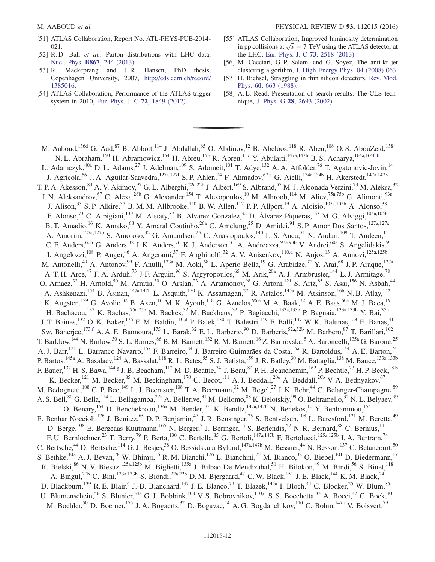- [51] ATLAS Collaboration, Report No. ATL-PHYS-PUB-2014- 021.
- [52] R. D. Ball et al., Parton distributions with LHC data, Nucl. Phys. B867[, 244 \(2013\).](http://dx.doi.org/10.1016/j.nuclphysb.2012.10.003)
- [53] R. Mackeprang and J.R. Hansen, PhD thesis, Copenhagen University, 2007, [http://cds.cern.ch/record/](http://cds.cern.ch/record/1385016) [1385016.](http://cds.cern.ch/record/1385016)
- [54] ATLAS Collaboration, Performance of the ATLAS trigger system in 2010, [Eur. Phys. J. C](http://dx.doi.org/10.1140/epjc/s10052-011-1849-1) 72, 1849 (2012).
- [55] ATLAS Collaboration, Improved luminosity determination in pp collisions at  $\sqrt{s} = 7$  TeV using the ATLAS detector at the LHC, [Eur. Phys. J. C](http://dx.doi.org/10.1140/epjc/s10052-013-2518-3) 73, 2518 (2013).
- [56] M. Cacciari, G. P. Salam, and G. Soyez, The anti-kt jet clustering algorithm, [J. High Energy Phys. 04 \(2008\) 063.](http://dx.doi.org/10.1088/1126-6708/2008/04/063)
- [57] H. Bichsel, Straggling in thin silicon detectors, [Rev. Mod.](http://dx.doi.org/10.1103/RevModPhys.60.663) Phys. 60[, 663 \(1988\).](http://dx.doi.org/10.1103/RevModPhys.60.663)
- [58] A.L. Read, Presentation of search results: The CLS technique, J. Phys. G 28[, 2693 \(2002\).](http://dx.doi.org/10.1088/0954-3899/28/10/313)

<span id="page-12-4"></span><span id="page-12-3"></span><span id="page-12-2"></span><span id="page-12-1"></span><span id="page-12-0"></span>M. Aaboud,<sup>136d</sup> G. Aad,<sup>87</sup> B. Abbott,<sup>114</sup> J. Abdallah,<sup>65</sup> O. Abdinov,<sup>12</sup> B. Abeloos,<sup>118</sup> R. Aben,<sup>108</sup> O. S. AbouZeid,<sup>138</sup> N. L. Abraham,<sup>150</sup> H. Abramowicz,<sup>154</sup> H. Abreu,<sup>153</sup> R. Abreu,<sup>117</sup> Y. Abulaiti,<sup>147a,147b</sup> B. S. Acharya,<sup>164a,164b[,b](#page-23-0)</sup> L. Adamczyk,<sup>40a</sup> D. L. Adams,<sup>27</sup> J. Adelman,<sup>109</sup> S. Adomeit,<sup>101</sup> T. Adye,<sup>132</sup> A. A. Affolder,<sup>76</sup> T. Agatonovic-Jovin,<sup>14</sup> J. Agricola,<sup>56</sup> J. A. Aguilar-Saavedra,<sup>127a,127f</sup> S. P. Ahlen,<sup>24</sup> F. Ahmadov,<sup>67[,c](#page-23-1)</sup> G. Aielli,<sup>134a,134b</sup> H. Akerstedt,<sup>147a,147b</sup> T. P. A. Åkesson,  $83$  A. V. Akimov,  $97$  G. L. Alberghi,  $22a,22b$  J. Albert,  $169$  S. Albrand,  $57$  M. J. Alconada Verzini,  $73$  M. Aleksa,  $32$ I. N. Aleksandrov,<sup>67</sup> C. Alexa,<sup>28b</sup> G. Alexander,<sup>154</sup> T. Alexopoulos,<sup>10</sup> M. Alhroob,<sup>114</sup> M. Aliev,<sup>75a,75b</sup> G. Alimonti,<sup>93a</sup> J. Alison,<sup>33</sup> S. P. Alkire,<sup>37</sup> B. M. M. Allbrooke,<sup>150</sup> B. W. Allen,<sup>117</sup> P. P. Allport,<sup>19</sup> A. Aloisio,<sup>105a,105b</sup> A. Alonso,<sup>38</sup> F. Alonso,<sup>73</sup> C. Alpigiani,<sup>139</sup> M. Alstaty,<sup>87</sup> B. Alvarez Gonzalez,<sup>32</sup> D. Álvarez Piqueras,<sup>167</sup> M. G. Alviggi,<sup>105a,105b</sup> B. T. Amadio,<sup>16</sup> K. Amako,<sup>68</sup> Y. Amaral Coutinho,<sup>26a</sup> C. Amelung,<sup>25</sup> D. Amidei,<sup>91</sup> S. P. Amor Dos Santos,<sup>127a,127c</sup> A. Amorim,<sup>127a,127b</sup> S. Amoroso,<sup>32</sup> G. Amundsen,<sup>25</sup> C. Anastopoulos,<sup>140</sup> L. S. Ancu,<sup>51</sup> N. Andari,<sup>109</sup> T. Andeen,<sup>11</sup> C. F. Anders,<sup>60b</sup> G. Anders,<sup>32</sup> J. K. Anders,<sup>76</sup> K. J. Anderson,<sup>33</sup> A. Andreazza,<sup>93a,93b</sup> V. Andrei,<sup>60a</sup> S. Angelidakis,<sup>9</sup> I. Angelozzi,<sup>108</sup> P. Anger,<sup>46</sup> A. Angerami,<sup>37</sup> F. Anghinolfi,<sup>32</sup> A. V. Anisenkov,<sup>11[0,d](#page-23-2)</sup> N. Anjos,<sup>13</sup> A. Annovi,<sup>125a,125b</sup> M. Antonelli,<sup>49</sup> A. Antonov,<sup>99</sup> F. Anulli,<sup>133a</sup> M. Aoki,<sup>68</sup> L. Aperio Bella,<sup>19</sup> G. Arabidze,<sup>92</sup> Y. Arai,<sup>68</sup> J. P. Araque,<sup>127a</sup> A. T. H. Arce,<sup>47</sup> F. A. Arduh,<sup>73</sup> J-F. Arguin,<sup>96</sup> S. Argyropoulos,<sup>65</sup> M. Arik,<sup>20a</sup> A. J. Armbruster,<sup>144</sup> L. J. Armitage,<sup>78</sup> O. Arnaez,<sup>32</sup> H. Arnold,<sup>50</sup> M. Arratia,<sup>30</sup> O. Arslan,<sup>23</sup> A. Artamonov,<sup>98</sup> G. Artoni,<sup>121</sup> S. Artz,<sup>85</sup> S. Asai,<sup>156</sup> N. Asbah,<sup>44</sup> A. Ashkenazi,<sup>154</sup> B. Åsman,<sup>147a,147b</sup> L. Asquith,<sup>150</sup> K. Assamagan,<sup>27</sup> R. Astalos,<sup>145a</sup> M. Atkinson,<sup>166</sup> N. B. Atlay,<sup>142</sup> K. Augsten,<sup>129</sup> G. Avolio,<sup>32</sup> B. Axen,<sup>16</sup> M. K. Ayoub,<sup>118</sup> G. Azuelos,<sup>9[6,e](#page-23-3)</sup> M. A. Baak,<sup>32</sup> A. E. Baas,<sup>60a</sup> M. J. Baca,<sup>19</sup> H. Bachacou,<sup>137</sup> K. Bachas,<sup>75a,75b</sup> M. Backes,<sup>32</sup> M. Backhaus,<sup>32</sup> P. Bagiacchi,<sup>133a,133b</sup> P. Bagnaia,<sup>133a,133b</sup> Y. Bai,<sup>35a</sup> J. T. Baines,<sup>132</sup> O. K. Baker,<sup>176</sup> E. M. Baldin,<sup>11[0,d](#page-23-2)</sup> P. Balek,<sup>130</sup> T. Balestri,<sup>149</sup> F. Balli,<sup>137</sup> W. K. Balunas,<sup>123</sup> E. Banas,<sup>41</sup> Sw. Banerjee,<sup>173[,f](#page-23-4)</sup> A. A. E. Bannoura,<sup>175</sup> L. Barak,<sup>32</sup> E. L. Barberio,<sup>90</sup> D. Barberis,<sup>52a,52b</sup> M. Barbero,<sup>87</sup> T. Barillari,<sup>102</sup> T. Barklow,<sup>144</sup> N. Barlow,<sup>30</sup> S. L. Barnes,<sup>86</sup> B. M. Barnett,<sup>132</sup> R. M. Barnett,<sup>16</sup> Z. Barnovska,<sup>5</sup> A. Baroncelli,<sup>135a</sup> G. Barone,<sup>25</sup> A. J. Barr,<sup>121</sup> L. Barranco Navarro,<sup>167</sup> F. Barreiro,<sup>84</sup> J. Barreiro Guimarães da Costa,<sup>35a</sup> R. Bartoldus,<sup>144</sup> A. E. Barton,<sup>74</sup> P. Bartos, <sup>145a</sup> A. Basalaev, <sup>124</sup> A. Bassalat, <sup>118</sup> R. L. Bates, <sup>55</sup> S. J. Batista, <sup>159</sup> J. R. Batley, <sup>30</sup> M. Battaglia, <sup>138</sup> M. Bauce, <sup>133a,133b</sup> F. Bauer,  $^{137}$  H. S. Bawa,  $^{144,g}$  $^{144,g}$  $^{144,g}$  J. B. Beacham,  $^{112}$  M. D. Beattie,  $^{74}$  T. Beau,  $^{82}$  P. H. Beauchemin,  $^{162}$  P. Bechtle,  $^{23}$  H. P. Beck,  $^{18,h}$  $^{18,h}$  $^{18,h}$ K. Becker,<sup>121</sup> M. Becker,<sup>85</sup> M. Beckingham,<sup>170</sup> C. Becot,<sup>111</sup> A. J. Beddall,<sup>20e</sup> A. Beddall,<sup>20b</sup> V. A. Bednyakov,<sup>67</sup> M. Bedognetti,<sup>108</sup> C. P. Bee,<sup>149</sup> L. J. Beemster,<sup>108</sup> T. A. Beermann,<sup>32</sup> M. Begel,<sup>27</sup> J. K. Behr,<sup>44</sup> C. Belanger-Champagne,<sup>89</sup> A. S. Bell,<sup>80</sup> G. Bella,<sup>154</sup> L. Bellagamba,<sup>22a</sup> A. Bellerive,<sup>31</sup> M. Bellomo,<sup>88</sup> K. Belotskiy,<sup>99</sup> O. Beltramello,<sup>32</sup> N. L. Belyaev,<sup>99</sup> O. Benary,<sup>154</sup> D. Benchekroun,<sup>136a</sup> M. Bender,<sup>101</sup> K. Bendtz,<sup>147a,147b</sup> N. Benekos,<sup>10</sup> Y. Benhammou,<sup>154</sup> E. Benhar Noccioli,<sup>176</sup> J. Benitez,<sup>65</sup> D. P. Benjamin,<sup>47</sup> J. R. Bensinger,<sup>25</sup> S. Bentvelsen,<sup>108</sup> L. Beresford,<sup>121</sup> M. Beretta,<sup>49</sup> D. Berge,<sup>108</sup> E. Bergeaas Kuutmann,<sup>165</sup> N. Berger,<sup>5</sup> J. Beringer,<sup>16</sup> S. Berlendis,<sup>57</sup> N. R. Bernard,<sup>88</sup> C. Bernius,<sup>111</sup> F. U. Bernlochner,<sup>23</sup> T. Berry,<sup>79</sup> P. Berta,<sup>130</sup> C. Bertella,<sup>85</sup> G. Bertoli,<sup>147a,147b</sup> F. Bertolucci,<sup>125a,125b</sup> I. A. Bertram,<sup>74</sup> C. Bertsche,<sup>44</sup> D. Bertsche,<sup>114</sup> G. J. Besjes,<sup>38</sup> O. Bessidskaia Bylund,<sup>147a,147b</sup> M. Bessner,<sup>44</sup> N. Besson,<sup>137</sup> C. Betancourt,<sup>50</sup> S. Bethke,<sup>102</sup> A. J. Bevan,<sup>78</sup> W. Bhimji,<sup>16</sup> R. M. Bianchi,<sup>126</sup> L. Bianchini,<sup>25</sup> M. Bianco,<sup>32</sup> O. Biebel,<sup>101</sup> D. Biedermann,<sup>17</sup> R. Bielski,<sup>86</sup> N. V. Biesuz,<sup>125a,125b</sup> M. Biglietti,<sup>135a</sup> J. Bilbao De Mendizabal,<sup>51</sup> H. Bilokon,<sup>49</sup> M. Bindi,<sup>56</sup> S. Binet,<sup>118</sup> A. Bingul,<sup>20b</sup> C. Bini,<sup>133a,133b</sup> S. Biondi,<sup>22a,22b</sup> D. M. Bjergaard,<sup>47</sup> C. W. Black,<sup>151</sup> J. E. Black,<sup>144</sup> K. M. Black,<sup>24</sup> D. Blackburn, <sup>139</sup> R. E. Blair, <sup>6</sup> J.-B. Blanchard, <sup>137</sup> J. E. Blanco, <sup>79</sup> T. Blazek, <sup>145a</sup> I. Bloch, <sup>44</sup> C. Blocker, <sup>25</sup> W. Blum, <sup>85, a</sup> U. Blumenschein,<sup>56</sup> S. Blunier,<sup>34a</sup> G. J. Bobbink,<sup>108</sup> V. S. Bobrovnikov,<sup>110[,d](#page-23-2)</sup> S. S. Bocchetta,<sup>83</sup> A. Bocci,<sup>47</sup> C. Bock,<sup>101</sup> M. Boehler,<sup>50</sup> D. Boerner,<sup>175</sup> J. A. Bogaerts,<sup>32</sup> D. Bogavac,<sup>14</sup> A. G. Bogdanchikov,<sup>110</sup> C. Bohm,<sup>147a</sup> V. Boisvert,<sup>79</sup>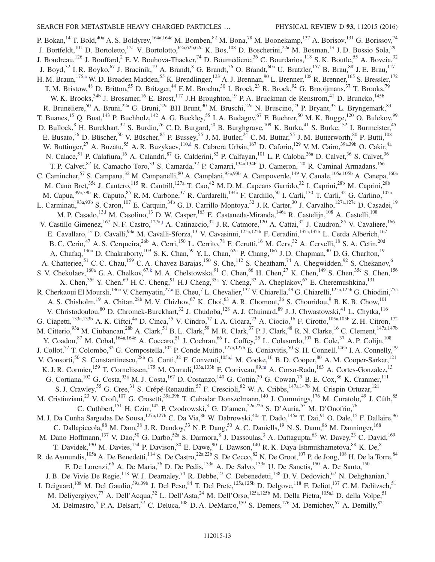<span id="page-13-5"></span><span id="page-13-4"></span><span id="page-13-3"></span><span id="page-13-2"></span><span id="page-13-1"></span><span id="page-13-0"></span>P. Bokan, <sup>14</sup> T. Bold, <sup>40a</sup> A. S. Boldyrev, <sup>164a, 164c</sup> M. Bomben, <sup>82</sup> M. Bona, <sup>78</sup> M. Boonekamp, <sup>137</sup> A. Borisov, <sup>131</sup> G. Borissov, <sup>74</sup> J. Bortfeldt,<sup>101</sup> D. Bortoletto,<sup>121</sup> V. Bortolotto,<sup>62a,62b,62c</sup> K. Bos,<sup>108</sup> D. Boscherini,<sup>22a</sup> M. Bosman,<sup>13</sup> J. D. Bossio Sola,<sup>29</sup> J. Boudreau,<sup>126</sup> J. Bouffard,<sup>2</sup> E. V. Bouhova-Thacker,<sup>74</sup> D. Boumediene,<sup>36</sup> C. Bourdarios,<sup>118</sup> S. K. Boutle,<sup>55</sup> A. Boveia,<sup>32</sup> J. Boyd,<sup>32</sup> I. R. Boyko,<sup>67</sup> J. Bracinik,<sup>19</sup> A. Brandt,<sup>8</sup> G. Brandt,<sup>56</sup> O. Brandt,<sup>60a</sup> U. Bratzler,<sup>157</sup> B. Brau,<sup>88</sup> J. E. Brau,<sup>117</sup> H. M. Braun,<sup>17[5,a](#page-23-7)</sup> W. D. Breaden Madden,<sup>55</sup> K. Brendlinger,<sup>123</sup> A. J. Brennan,<sup>90</sup> L. Brenner,<sup>108</sup> R. Brenner,<sup>165</sup> S. Bressler,<sup>172</sup> T. M. Bristow, <sup>48</sup> D. Britton, <sup>55</sup> D. Britzger, <sup>44</sup> F. M. Brochu, <sup>30</sup> I. Brock, <sup>23</sup> R. Brock, <sup>92</sup> G. Brooijmans, <sup>37</sup> T. Brooks, <sup>79</sup> W. K. Brooks,<sup>34b</sup> J. Brosamer,<sup>16</sup> E. Brost,<sup>117</sup> J.H Broughton,<sup>19</sup> P. A. Bruckman de Renstrom,<sup>41</sup> D. Bruncko,<sup>145b</sup> R. Bruneliere,<sup>50</sup> A. Bruni,<sup>22a</sup> G. Bruni,<sup>22a</sup> BH Brunt,<sup>30</sup> M. Bruschi,<sup>22a</sup> N. Bruscino,<sup>23</sup> P. Bryant,<sup>33</sup> L. Bryngemark,<sup>83</sup> T. Buanes,<sup>15</sup> Q. Buat,<sup>143</sup> P. Buchholz,<sup>142</sup> A. G. Buckley,<sup>55</sup> I. A. Budagov,<sup>67</sup> F. Buehrer,<sup>50</sup> M. K. Bugge,<sup>120</sup> O. Bulekov,<sup>99</sup> D. Bullock,  $8$  H. Burckhart,<sup>32</sup> S. Burdin,<sup>76</sup> C. D. Burgard,<sup>50</sup> B. Burghgrave,<sup>109</sup> K. Burka,<sup>41</sup> S. Burke,<sup>132</sup> I. Burmeister,<sup>45</sup> E. Busato,<sup>36</sup> D. Büscher,<sup>50</sup> V. Büscher,<sup>85</sup> P. Bussey,<sup>55</sup> J. M. Butler,<sup>24</sup> C. M. Buttar,<sup>55</sup> J. M. Butterworth,<sup>80</sup> P. Butti,<sup>108</sup> W. Buttinger,<sup>27</sup> A. Buzatu,<sup>55</sup> A. R. Buzykaev,<sup>11[0,d](#page-23-2)</sup> S. Cabrera Urbán,<sup>167</sup> D. Caforio,<sup>129</sup> V. M. Cairo,<sup>39a,39b</sup> O. Cakir,<sup>4a</sup> N. Calace,<sup>51</sup> P. Calafiura,<sup>16</sup> A. Calandri,<sup>87</sup> G. Calderini,<sup>82</sup> P. Calfayan,<sup>101</sup> L. P. Caloba,<sup>26a</sup> D. Calvet,<sup>36</sup> S. Calvet,<sup>36</sup> T. P. Calvet, <sup>87</sup> R. Camacho Toro, <sup>33</sup> S. Camarda, <sup>32</sup> P. Camarri, <sup>134a,134b</sup> D. Cameron, <sup>120</sup> R. Caminal Armadans, <sup>166</sup> C. Camincher,<sup>57</sup> S. Campana,<sup>32</sup> M. Campanelli,<sup>80</sup> A. Camplani,<sup>93a,93b</sup> A. Campoverde,<sup>149</sup> V. Canale,<sup>105a,105b</sup> A. Canepa,<sup>160a</sup> M. Cano Bret,<sup>35e</sup> J. Cantero,<sup>115</sup> R. Cantrill,<sup>127a</sup> T. Cao,<sup>42</sup> M. D. M. Capeans Garrido,<sup>32</sup> I. Caprini,<sup>28b</sup> M. Caprini,<sup>28b</sup> M. Capua,<sup>39a,39b</sup> R. Caputo,<sup>85</sup> R. M. Carbone,<sup>37</sup> R. Cardarelli,<sup>134a</sup> F. Cardillo,<sup>50</sup> I. Carli,<sup>130</sup> T. Carli,<sup>32</sup> G. Carlino,<sup>105a</sup> L. Carminati,<sup>93a,93b</sup> S. Caron,<sup>107</sup> E. Carquin,<sup>34b</sup> G. D. Carrillo-Montoya,<sup>32</sup> J. R. Carter,<sup>30</sup> J. Carvalho,<sup>127a,127c</sup> D. Casadei,<sup>19</sup> M. P. Casado,<sup>13[,i](#page-23-8)</sup> M. Casolino,<sup>13</sup> D. W. Casper,<sup>163</sup> E. Castaneda-Miranda,<sup>146a</sup> R. Castelijn,<sup>108</sup> A. Castelli,<sup>108</sup> V. Castillo Gimenez, <sup>167</sup> N. F. Castro, <sup>127a[,j](#page-23-9)</sup> A. Catinaccio, <sup>32</sup> J. R. Catmore, <sup>120</sup> A. Cattai, <sup>32</sup> J. Caudron, <sup>85</sup> V. Cavaliere, <sup>166</sup> E. Cavallaro,<sup>13</sup> D. Cavalli,<sup>93a</sup> M. Cavalli-Sforza,<sup>13</sup> V. Cavasinni,<sup>125a,125b</sup> F. Ceradini,<sup>135a,135b</sup> L. Cerda Alberich,<sup>167</sup> B. C. Cerio,<sup>47</sup> A. S. Cerqueira,<sup>26b</sup> A. Cerri,<sup>150</sup> L. Cerrito,<sup>78</sup> F. Cerutti,<sup>16</sup> M. Cerv,<sup>32</sup> A. Cervelli,<sup>18</sup> S. A. Cetin,<sup>20d</sup> A. Chafaq, <sup>136a</sup> D. Chakraborty, <sup>109</sup> S. K. Chan, <sup>59</sup> Y. L. Chan, <sup>62a</sup> P. Chang, <sup>166</sup> J. D. Chapman, <sup>30</sup> D. G. Charlton, <sup>19</sup> A. Chatterjee,<sup>51</sup> C. C. Chau,<sup>159</sup> C. A. Chavez Barajas,<sup>150</sup> S. Che,<sup>112</sup> S. Cheatham,<sup>74</sup> A. Chegwidden,<sup>92</sup> S. Chekanov,<sup>6</sup> S. V. Chekulaev,  $^{160a}$  G. A. Chelkov,  $^{67,k}$  $^{67,k}$  $^{67,k}$  M. A. Chelstowska,  $^{91}$  C. Chen,  $^{66}$  H. Chen,  $^{27}$  K. Chen,  $^{149}$  S. Chen,  $^{35c}$  S. Chen,  $^{156}$ X. Chen,<sup>35f</sup> Y. Chen,<sup>69</sup> H. C. Cheng,<sup>91</sup> H.J Cheng,<sup>35a</sup> Y. Cheng,<sup>33</sup> A. Cheplakov,<sup>67</sup> E. Cheremushkina,<sup>131</sup> R. Cherkaoui El Moursli,<sup>136e</sup> V. Chernyatin,<sup>2[7,a](#page-23-7)</sup> E. Cheu,<sup>7</sup> L. Chevalier,<sup>137</sup> V. Chiarella,<sup>49</sup> G. Chiarelli,<sup>125a,125b</sup> G. Chiodini,<sup>75a</sup> A. S. Chisholm,<sup>19</sup> A. Chitan,<sup>28b</sup> M. V. Chizhov,<sup>67</sup> K. Choi,<sup>63</sup> A. R. Chomont,<sup>36</sup> S. Chouridou,<sup>9</sup> B. K. B. Chow,<sup>101</sup> V. Christodoulou,<sup>80</sup> D. Chromek-Burckhart,<sup>32</sup> J. Chudoba,<sup>128</sup> A. J. Chuinard,<sup>89</sup> J. J. Chwastowski,<sup>41</sup> L. Chytka,<sup>116</sup> G. Ciapetti,<sup>133a,133b</sup> A. K. Ciftci,<sup>4a</sup> D. Cinca,<sup>55</sup> V. Cindro,<sup>77</sup> I. A. Cioara,<sup>23</sup> A. Ciocio,<sup>16</sup> F. Cirotto,<sup>105a,105b</sup> Z. H. Citron,<sup>172</sup> M. Citterio,<sup>93a</sup> M. Ciubancan,<sup>28b</sup> A. Clark,<sup>51</sup> B. L. Clark,<sup>59</sup> M. R. Clark,<sup>37</sup> P. J. Clark,<sup>48</sup> R. N. Clarke,<sup>16</sup> C. Clement,<sup>147a,147b</sup> Y. Coadou,<sup>87</sup> M. Cobal,<sup>164a,164c</sup> A. Coccaro,<sup>51</sup> J. Cochran,<sup>66</sup> L. Coffey,<sup>25</sup> L. Colasurdo,<sup>107</sup> B. Cole,<sup>37</sup> A. P. Colijn,<sup>108</sup> J. Collot,<sup>57</sup> T. Colombo,<sup>32</sup> G. Compostella,<sup>102</sup> P. Conde Muiño,<sup>127a,127b</sup> E. Coniavitis,<sup>50</sup> S. H. Connell,<sup>146b</sup> I. A. Connelly,<sup>79</sup> V. Consorti,<sup>50</sup> S. Constantinescu,<sup>28b</sup> G. Conti,<sup>32</sup> F. Conventi,<sup>105a[,l](#page-23-11)</sup> M. Cooke,<sup>16</sup> B. D. Cooper,<sup>80</sup> A. M. Cooper-Sarkar,<sup>121</sup> K. J. R. Cormier,<sup>159</sup> T. Cornelissen,<sup>175</sup> M. Corradi,<sup>133a,133b</sup> F. Corriveau,<sup>89[,m](#page-23-12)</sup> A. Corso-Radu,<sup>163</sup> A. Cortes-Gonzalez,<sup>13</sup> G. Cortiana,  $^{102}$  G. Costa,  $^{93a}$  M. J. Costa,  $^{167}$  D. Costanzo,  $^{140}$  G. Cottin,  $^{30}$  G. Cowan,  $^{79}$  B. E. Cox,  $^{86}$  K. Cranmer,  $^{111}$ S. J. Crawley,<sup>55</sup> G. Cree,<sup>31</sup> S. Crépé-Renaudin,<sup>57</sup> F. Crescioli,<sup>82</sup> W. A. Cribbs,<sup>147a,147b</sup> M. Crispin Ortuzar,<sup>121</sup> M. Cristinziani,<sup>23</sup> V. Croft,<sup>107</sup> G. Crosetti,<sup>39a,39b</sup> T. Cuhadar Donszelmann,<sup>140</sup> J. Cummings,<sup>176</sup> M. Curatolo,<sup>49</sup> J. Cúth,<sup>85</sup> C. Cuthbert, <sup>151</sup> H. Czirr, <sup>142</sup> P. Czodrowski, <sup>3</sup> G. D'amen, <sup>22a, 22b</sup> S. D'Auria, <sup>55</sup> M. D'Onofrio, <sup>76</sup> M. J. Da Cunha Sargedas De Sousa,<sup>127a,127b</sup> C. Da Via,<sup>86</sup> W. Dabrowski,<sup>40a</sup> T. Dado,<sup>145a</sup> T. Dai,<sup>91</sup> O. Dale,<sup>15</sup> F. Dallaire,<sup>96</sup> C. Dallapiccola, <sup>88</sup> M. Dam, <sup>38</sup> J. R. Dandoy, <sup>33</sup> N. P. Dang, <sup>50</sup> A. C. Daniells, <sup>19</sup> N. S. Dann, <sup>86</sup> M. Danninger, <sup>168</sup> M. Dano Hoffmann,<sup>137</sup> V. Dao,<sup>50</sup> G. Darbo,<sup>52a</sup> S. Darmora,<sup>8</sup> J. Dassoulas,<sup>3</sup> A. Dattagupta,<sup>63</sup> W. Davey,<sup>23</sup> C. David,<sup>169</sup> T. Davidek,<sup>130</sup> M. Davies,<sup>154</sup> P. Davison,<sup>80</sup> E. Dawe,<sup>90</sup> I. Dawson,<sup>140</sup> R. K. Daya-Ishmukhametova,<sup>88</sup> K. De,<sup>8</sup> R. de Asmundis,  $^{105a}$  A. De Benedetti,  $^{114}$  S. De Castro,  $^{22a,22b}$  S. De Cecco,  $^{82}$  N. De Groot,  $^{107}$  P. de Jong,  $^{108}$  H. De la Torre,  $^{84}$ F. De Lorenzi,<sup>66</sup> A. De Maria,<sup>56</sup> D. De Pedis,<sup>133a</sup> A. De Salvo,<sup>133a</sup> U. De Sanctis,<sup>150</sup> A. De Santo,<sup>150</sup> F. De Sanctis,<sup>150</sup> A. De Santo,<sup>150</sup> J. B. De Vivie De Regie,<sup>118</sup> W. J. Dearnaley,<sup>74</sup> R. Debbe,<sup>27</sup> C. Debenedetti,<sup>138</sup> D. V. Dedovich,<sup>67</sup> N. Dehghanian,<sup>3</sup> I. Deigaard,<sup>108</sup> M. Del Gaudio,<sup>39a,39b</sup> J. Del Peso,<sup>84</sup> T. Del Prete,<sup>125a,125b</sup> D. Delgove,<sup>118</sup> F. Deliot,<sup>137</sup> C. M. Delitzsch,<sup>51</sup> M. Deliyergiyev,<sup>77</sup> A. Dell'Acqua,<sup>32</sup> L. Dell'Asta,<sup>24</sup> M. Dell'Orso,<sup>125a,125b</sup> M. Della Pietra,<sup>105a,1</sup> D. della Volpe,<sup>51</sup> M. Delmastro, <sup>5</sup> P. A. Delsart, <sup>57</sup> C. Deluca, <sup>108</sup> D. A. DeMarco, <sup>159</sup> S. Demers, <sup>176</sup> M. Demichev, <sup>67</sup> A. Demilly, <sup>82</sup>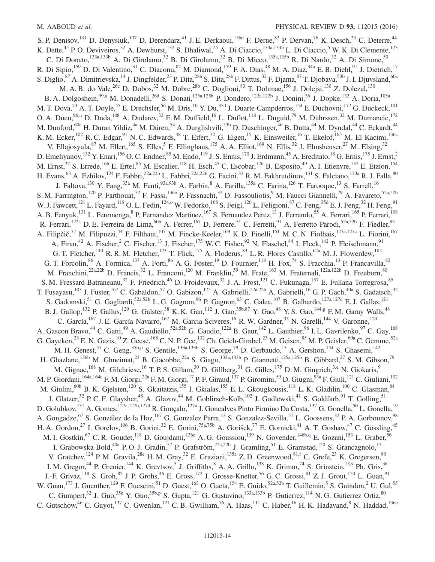<span id="page-14-7"></span><span id="page-14-6"></span><span id="page-14-5"></span><span id="page-14-4"></span><span id="page-14-3"></span><span id="page-14-2"></span><span id="page-14-1"></span><span id="page-14-0"></span>S. P. Denisov,<sup>131</sup> D. Denysiuk,<sup>137</sup> D. Derendarz,<sup>41</sup> J. E. Derkaoui,<sup>136d</sup> F. Derue,<sup>82</sup> P. Dervan,<sup>76</sup> K. Desch,<sup>23</sup> C. Deterre,<sup>44</sup> K. Dette,<sup>45</sup> P. O. Deviveiros,<sup>32</sup> A. Dewhurst,<sup>132</sup> S. Dhaliwal,<sup>25</sup> A. Di Ciaccio,<sup>134a,134b</sup> L. Di Ciaccio,<sup>5</sup> W. K. Di Clemente,<sup>123</sup> C. Di Donato,  $^{133a,133b}$  A. Di Girolamo,  $^{32}$  B. Di Girolamo,  $^{32}$  B. Di Micco,  $^{135a,135b}$  R. Di Nardo,  $^{32}$  A. Di Simone,  $^{50}$ R. Di Sipio,<sup>159</sup> D. Di Valentino,<sup>31</sup> C. Diaconu,<sup>87</sup> M. Diamond,<sup>159</sup> F. A. Dias,<sup>48</sup> M. A. Diaz,<sup>34a</sup> E. B. Diehl,<sup>91</sup> J. Dietrich,<sup>17</sup> S. Diglio, <sup>87</sup> A. Dimitrievska, <sup>14</sup> J. Dingfelder, <sup>23</sup> P. Dita, <sup>28b</sup> S. Dita, <sup>28b</sup> F. Dittus, <sup>32</sup> F. Djama, <sup>87</sup> T. Djobava, <sup>53b</sup> J. I. Djuvsland, <sup>60a</sup> M. A. B. do Vale,<sup>26c</sup> D. Dobos,<sup>32</sup> M. Dobre,<sup>28b</sup> C. Doglioni,<sup>83</sup> T. Dohmae,<sup>156</sup> J. Dolejsi,<sup>130</sup> Z. Dolezal,<sup>130</sup> B. A. Dolgoshein,<sup>99[,a](#page-23-7)</sup> M. Donadelli,<sup>26d</sup> S. Donati,<sup>125a,125b</sup> P. Dondero,<sup>122a,122b</sup> J. Donini,<sup>36</sup> J. Dopke,<sup>132</sup> A. Doria,<sup>105a</sup> M. T. Dova,<sup>73</sup> A. T. Doyle,<sup>55</sup> E. Drechsler,<sup>56</sup> M. Dris,<sup>10</sup> Y. Du,<sup>35d</sup> J. Duarte-Campderros,<sup>154</sup> E. Duchovni,<sup>172</sup> G. Duckeck,<sup>101</sup> O. A. Ducu,  $96, n$  D. Duda,  $108$  A. Dudarev,  $32$  E. M. Duffield,  $16$  L. Duflot,  $118$  L. Duguid,  $79$  M. Dührssen,  $32$  M. Dumancic,  $172$ M. Dunford,<sup>60a</sup> H. Duran Yildiz,<sup>4a</sup> M. Düren,<sup>54</sup> A. Durglishvili,<sup>53b</sup> D. Duschinger,<sup>46</sup> B. Dutta,<sup>44</sup> M. Dyndal,<sup>44</sup> C. Eckardt,<sup>44</sup> K. M. Ecker,<sup>102</sup> R. C. Edgar,<sup>91</sup> N. C. Edwards,<sup>48</sup> T. Eifert,<sup>32</sup> G. Eigen,<sup>15</sup> K. Einsweiler,<sup>16</sup> T. Ekelof,<sup>165</sup> M. El Kacimi,<sup>136c</sup> V. Ellajosyula,  $87$  M. Ellert,  $165$  S. Elles,  $5$  F. Ellinghaus,  $175$  A. A. Elliot,  $169$  N. Ellis,  $32$  J. Elmsheuser,  $27$  M. Elsing,  $32$ D. Emeliyanov,<sup>132</sup> Y. Enari,<sup>156</sup> O. C. Endner,<sup>85</sup> M. Endo,<sup>119</sup> J. S. Ennis,<sup>170</sup> J. Erdmann,<sup>45</sup> A. Ereditato,<sup>18</sup> G. Ernis,<sup>175</sup> J. Ernst,<sup>2</sup> M. Ernst,<sup>27</sup> S. Errede,<sup>166</sup> E. Ertel,<sup>85</sup> M. Escalier,<sup>118</sup> H. Esch,<sup>45</sup> C. Escobar,<sup>126</sup> B. Esposito,<sup>49</sup> A. I. Etienvre,<sup>137</sup> E. Etzion,<sup>154</sup> H. Evans, <sup>63</sup> A. Ezhilov, <sup>124</sup> F. Fabbri, <sup>22a, 22b</sup> L. Fabbri, <sup>22a, 22b</sup> G. Facini, <sup>33</sup> R. M. Fakhrutdinov, <sup>131</sup> S. Falciano, <sup>133a</sup> R. J. Falla, <sup>80</sup> J. Faltova,<sup>130</sup> Y. Fang,<sup>35a</sup> M. Fanti,<sup>93a,93b</sup> A. Farbin,<sup>8</sup> A. Farilla,<sup>135a</sup> C. Farina,<sup>126</sup> T. Farooque,<sup>13</sup> S. Farrell,<sup>16</sup> S. M. Farrington,<sup>170</sup> P. Farthouat,<sup>32</sup> F. Fassi,<sup>136e</sup> P. Fassnacht,<sup>32</sup> D. Fassouliotis,<sup>9</sup> M. Faucci Giannelli,<sup>79</sup> A. Favareto,<sup>52a,52b</sup> W. J. Fawcett,<sup>121</sup> L. Fayard,<sup>118</sup> O. L. Fedin,<sup>124[,o](#page-23-14)</sup> W. Fedorko,<sup>168</sup> S. Feigl,<sup>120</sup> L. Feligioni,<sup>87</sup> C. Feng,<sup>35d</sup> E. J. Feng,<sup>32</sup> H. Feng,<sup>91</sup> A. B. Fenyuk,<sup>131</sup> L. Feremenga, <sup>8</sup> P. Fernandez Martinez, <sup>167</sup> S. Fernandez Perez, <sup>13</sup> J. Ferrando, <sup>55</sup> A. Ferrari, <sup>165</sup> P. Ferrari, <sup>108</sup> R. Ferrari,<sup>122a</sup> D. E. Ferreira de Lima,<sup>60b</sup> A. Ferrer,<sup>167</sup> D. Ferrere,<sup>51</sup> C. Ferretti,<sup>91</sup> A. Ferretto Parodi,<sup>52a,52b</sup> F. Fiedler,<sup>85</sup> A. Filipčič,<sup>77</sup> M. Filipuzzi,<sup>44</sup> F. Filthaut,<sup>107</sup> M. Fincke-Keeler,<sup>169</sup> K. D. Finelli,<sup>151</sup> M. C. N. Fiolhais,<sup>127a,127c</sup> L. Fiorini,<sup>167</sup> A. Firan,<sup>42</sup> A. Fischer,<sup>2</sup> C. Fischer,<sup>13</sup> J. Fischer,<sup>175</sup> W. C. Fisher,<sup>92</sup> N. Flaschel,<sup>44</sup> I. Fleck,<sup>142</sup> P. Fleischmann,<sup>91</sup> G. T. Fletcher, <sup>140</sup> R. R. M. Fletcher, <sup>123</sup> T. Flick, <sup>175</sup> A. Floderus, <sup>83</sup> L. R. Flores Castillo, <sup>62a</sup> M. J. Flowerdew, <sup>102</sup> G. T. Forcolin,  $86$  A. Formica,  $137$  A. Forti,  $86$  A. G. Foster,  $19$  D. Fournier,  $118$  H. Fox,  $74$  S. Fracchia,  $13$  P. Francavilla,  $82$ M. Franchini,<sup>22a,22b</sup> D. Francis,<sup>32</sup> L. Franconi,<sup>120</sup> M. Franklin,<sup>59</sup> M. Frate,<sup>163</sup> M. Fraternali,<sup>122a,122b</sup> D. Freeborn,<sup>80</sup> S. M. Fressard-Batraneanu,<sup>32</sup> F. Friedrich,<sup>46</sup> D. Froidevaux,<sup>32</sup> J. A. Frost,<sup>121</sup> C. Fukunaga,<sup>157</sup> E. Fullana Torregrosa,<sup>85</sup> T. Fusayasu,<sup>103</sup> J. Fuster,<sup>167</sup> C. Gabaldon,<sup>57</sup> O. Gabizon,<sup>175</sup> A. Gabrielli,<sup>22a,22b</sup> A. Gabrielli,<sup>16</sup> G. P. Gach,<sup>40a</sup> S. Gadatsch,<sup>32</sup> S. Gadomski,<sup>51</sup> G. Gagliardi,<sup>52a,52b</sup> L. G. Gagnon,<sup>96</sup> P. Gagnon,<sup>63</sup> C. Galea,<sup>107</sup> B. Galhardo,<sup>127a,127c</sup> E. J. Gallas,<sup>121</sup> B. J. Gallop,<sup>132</sup> P. Gallus,<sup>129</sup> G. Galster,<sup>38</sup> K. K. Gan,<sup>112</sup> J. Gao,<sup>35b,87</sup> Y. Gao,<sup>48</sup> Y. S. Gao,<sup>144[,g](#page-23-5)</sup> F. M. Garay Walls,<sup>48</sup> C. García,<sup>167</sup> J. E. García Navarro,<sup>167</sup> M. Garcia-Sciveres,<sup>16</sup> R. W. Gardner,<sup>33</sup> N. Garelli,<sup>144</sup> V. Garonne,<sup>120</sup> A. Gascon Bravo,<sup>44</sup> C. Gatti,<sup>49</sup> A. Gaudiello,<sup>52a,52b</sup> G. Gaudio,<sup>122a</sup> B. Gaur,<sup>142</sup> L. Gauthier,<sup>96</sup> I. L. Gavrilenko,<sup>97</sup> C. Gay,<sup>168</sup> G. Gaycken,  $^{23}$  E. N. Gazis,  $^{10}$  Z. Gecse,  $^{168}$  C. N. P. Gee,  $^{132}$  Ch. Geich-Gimbel,  $^{23}$  M. Geisen,  $^{85}$  M. P. Geisler,  $^{60a}$  C. Gemme,  $^{52a}$ M. H. Genest,<sup>57</sup> C. Geng,<sup>35b[,p](#page-23-15)</sup> S. Gentile,<sup>133a,133b</sup> S. George,<sup>79</sup> D. Gerbaudo,<sup>13</sup> A. Gershon,<sup>154</sup> S. Ghasemi,<sup>142</sup> H. Ghazlane,<sup>136b</sup> M. Ghneimat,<sup>23</sup> B. Giacobbe,<sup>22a</sup> S. Giagu,<sup>133a,133b</sup> P. Giannetti,<sup>125a,125b</sup> B. Gibbard,<sup>27</sup> S. M. Gibson,<sup>79</sup> M. Gignac, <sup>168</sup> M. Gilchriese, <sup>16</sup> T. P. S. Gillam, <sup>30</sup> D. Gillberg, <sup>31</sup> G. Gilles, <sup>175</sup> D. M. Gingrich, <sup>3[,e](#page-23-3)</sup> N. Giokaris, <sup>9</sup> M. P. Giordani, <sup>164a,164c</sup> F. M. Giorgi,<sup>22a</sup> F. M. Giorgi,<sup>17</sup> P. F. Giraud,<sup>137</sup> P. Giromini,<sup>59</sup> D. Giugni,<sup>93a</sup> F. Giuli,<sup>121</sup> C. Giuliani,<sup>102</sup> M. Giulini,<sup>60b</sup> B. K. Gjelsten,<sup>120</sup> S. Gkaitatzis,<sup>155</sup> I. Gkialas,<sup>155</sup> E. L. Gkougkousis,<sup>118</sup> L. K. Gladilin,<sup>100</sup> C. Glasman,<sup>84</sup> J. Glatzer,<sup>32</sup> P. C. F. Glaysher,<sup>48</sup> A. Glazov,<sup>44</sup> M. Goblirsch-Kolb,<sup>102</sup> J. Godlewski,<sup>41</sup> S. Goldfarb,<sup>91</sup> T. Golling,<sup>51</sup> D. Golubkov,<sup>131</sup> A. Gomes,<sup>127a,127b,127d</sup> R. Gonçalo,<sup>127a</sup> J. Goncalves Pinto Firmino Da Costa,<sup>137</sup> G. Gonella,<sup>50</sup> L. Gonella,<sup>19</sup> A. Gongadze,<sup>67</sup> S. González de la Hoz,<sup>167</sup> G. Gonzalez Parra,<sup>13</sup> S. Gonzalez-Sevilla,<sup>51</sup> L. Goossens,<sup>32</sup> P. A. Gorbounov,<sup>98</sup> H. A. Gordon,<sup>27</sup> I. Gorelov,<sup>106</sup> B. Gorini,<sup>32</sup> E. Gorini,<sup>75a,75b</sup> A. Gorišek,<sup>77</sup> E. Gornicki,<sup>41</sup> A. T. Goshaw,<sup>47</sup> C. Gössling,<sup>45</sup> M. I. Gostkin, <sup>67</sup> C. R. Goudet, <sup>118</sup> D. Goujdami, <sup>136c</sup> A. G. Goussiou, <sup>139</sup> N. Govender, <sup>146[b,q](#page-23-16)</sup> E. Gozani, <sup>153</sup> L. Graber, <sup>56</sup> I. Grabowska-Bold,<sup>40a</sup> P. O. J. Gradin,<sup>57</sup> P. Grafström,<sup>22a,22b</sup> J. Gramling,<sup>51</sup> E. Gramstad,<sup>120</sup> S. Grancagnolo,<sup>17</sup> V. Gratchev,<sup>124</sup> P. M. Gravila,<sup>28e</sup> H. M. Gray,<sup>32</sup> E. Graziani,<sup>135a</sup> Z. D. Greenwood,<sup>81[,r](#page-23-17)</sup> C. Grefe,<sup>23</sup> K. Gregersen,<sup>80</sup> I. M. Gregor,<sup>44</sup> P. Grenier,<sup>144</sup> K. Grevtsov,<sup>5</sup> J. Griffiths,<sup>8</sup> A. A. Grillo,<sup>138</sup> K. Grimm,<sup>74</sup> S. Grinstein,<sup>13[,s](#page-23-18)</sup> Ph. Gris,<sup>36</sup> J.-F. Grivaz,<sup>118</sup> S. Groh,<sup>85</sup> J. P. Grohs,<sup>46</sup> E. Gross,<sup>172</sup> J. Grosse-Knetter,<sup>56</sup> G. C. Grossi,<sup>81</sup> Z. J. Grout,<sup>150</sup> L. Guan,<sup>91</sup> W. Guan, <sup>173</sup> J. Guenther, <sup>129</sup> F. Guescini, <sup>51</sup> D. Guest, <sup>163</sup> O. Gueta, <sup>154</sup> E. Guido, <sup>52a, 52b</sup> T. Guillemin, <sup>5</sup> S. Guindon, <sup>2</sup> U. Gul, <sup>55</sup> C. Gumpert,<sup>32</sup> J. Guo,<sup>35e</sup> Y. Guo,<sup>35b[,p](#page-23-15)</sup> S. Gupta,<sup>121</sup> G. Gustavino,<sup>133a,133b</sup> P. Gutierrez,<sup>114</sup> N. G. Gutierrez Ortiz,<sup>80</sup> C. Gutschow,  $^{46}$  C. Guyot,  $^{137}$  C. Gwenlan,  $^{121}$  C. B. Gwilliam,  $^{76}$  A. Haas,  $^{111}$  C. Haber,  $^{16}$  H. K. Hadavand,  $^{8}$  N. Haddad,  $^{136}$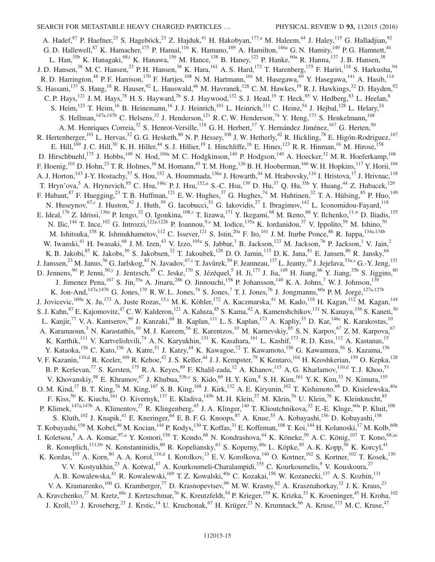<span id="page-15-2"></span><span id="page-15-1"></span><span id="page-15-0"></span>A. Hadef, <sup>87</sup> P. Haefner,<sup>23</sup> S. Hageböck,<sup>23</sup> Z. Hajduk,<sup>41</sup> H. Hakobyan,<sup>17[7,a](#page-23-7)</sup> M. Haleem,<sup>44</sup> J. Haley,<sup>115</sup> G. Halladjian,<sup>92</sup> G. D. Hallewell,<sup>87</sup> K. Hamacher,<sup>175</sup> P. Hamal,<sup>116</sup> K. Hamano,<sup>169</sup> A. Hamilton,<sup>146a</sup> G. N. Hamity,<sup>140</sup> P. G. Hamnett,<sup>44</sup> L. Han,<sup>35b</sup> K. Hanagaki,<sup>68[,t](#page-23-19)</sup> K. Hanawa,<sup>156</sup> M. Hance,<sup>138</sup> B. Haney,<sup>123</sup> P. Hanke,<sup>60a</sup> R. Hanna,<sup>137</sup> J. B. Hansen,<sup>38</sup> J. D. Hansen,<sup>38</sup> M. C. Hansen,<sup>23</sup> P. H. Hansen,<sup>38</sup> K. Hara,<sup>161</sup> A. S. Hard,<sup>173</sup> T. Harenberg,<sup>175</sup> F. Hariri,<sup>118</sup> S. Harkusha,<sup>94</sup> R. D. Harrington,<sup>48</sup> P. F. Harrison,<sup>170</sup> F. Hartjes,<sup>108</sup> N. M. Hartmann,<sup>101</sup> M. Hasegawa,<sup>69</sup> Y. Hasegawa,<sup>141</sup> A. Hasib,<sup>114</sup> S. Hassani,<sup>137</sup> S. Haug,<sup>18</sup> R. Hauser,<sup>92</sup> L. Hauswald,<sup>46</sup> M. Havranek,<sup>128</sup> C. M. Hawkes,<sup>19</sup> R. J. Hawkings,<sup>32</sup> D. Hayden,<sup>92</sup> C. P. Hays,<sup>121</sup> J. M. Hays,<sup>78</sup> H. S. Hayward,<sup>76</sup> S. J. Haywood,<sup>132</sup> S. J. Head,<sup>19</sup> T. Heck,<sup>85</sup> V. Hedberg,<sup>83</sup> L. Heelan,<sup>8</sup> S. Heim,<sup>123</sup> T. Heim,<sup>16</sup> B. Heinemann,<sup>16</sup> J. J. Heinrich,<sup>101</sup> L. Heinrich,<sup>111</sup> C. Heinz,<sup>54</sup> J. Hejbal,<sup>128</sup> L. Helary,<sup>24</sup> S. Hellman,  $147a,147b$  C. Helsens,  $32$  J. Henderson,  $121$  R. C. W. Henderson,  $74$  Y. Heng,  $173$  S. Henkelmann,  $168$ A. M. Henriques Correia,<sup>32</sup> S. Henrot-Versille,<sup>118</sup> G. H. Herbert,<sup>17</sup> Y. Hernández Jiménez,<sup>167</sup> G. Herten,<sup>50</sup> R. Hertenberger,  $^{101}$  L. Hervas,  $^{32}$  G. G. Hesketh,  $^{80}$  N. P. Hessey,  $^{108}$  J. W. Hetherly,  $^{42}$  R. Hickling,  $^{78}$  E. Higón-Rodriguez,  $^{167}$ E. Hill,<sup>169</sup> J. C. Hill,<sup>30</sup> K. H. Hiller,<sup>44</sup> S. J. Hillier,<sup>19</sup> I. Hinchliffe,<sup>16</sup> E. Hines,<sup>123</sup> R. R. Hinman,<sup>16</sup> M. Hirose,<sup>158</sup> D. Hirschbuehl,<sup>175</sup> J. Hobbs,<sup>149</sup> N. Hod,<sup>160a</sup> M. C. Hodgkinson,<sup>140</sup> P. Hodgson,<sup>140</sup> A. Hoecker,<sup>32</sup> M. R. Hoeferkamp,<sup>106</sup> F. Hoenig,  $^{101}$  D. Hohn,  $^{23}$  T. R. Holmes,  $^{16}$  M. Homann,  $^{45}$  T. M. Hong,  $^{126}$  B. H. Hooberman,  $^{166}$  W. H. Hopkins,  $^{117}$  Y. Horii,  $^{104}$ A. J. Horton,<sup>143</sup> J-Y. Hostachy,<sup>57</sup> S. Hou,<sup>152</sup> A. Hoummada,<sup>136a</sup> J. Howarth,<sup>44</sup> M. Hrabovsky,<sup>116</sup> I. Hristova,<sup>17</sup> J. Hrivnac,<sup>118</sup> T. Hryn'ova,<sup>5</sup> A. Hrynevich,<sup>95</sup> C. Hsu,<sup>146c</sup> P. J. Hsu,<sup>15[2,u](#page-23-20)</sup> S.-C. Hsu,<sup>139</sup> D. Hu,<sup>37</sup> Q. Hu,<sup>35b</sup> Y. Huang,<sup>44</sup> Z. Hubacek,<sup>129</sup> F. Hubaut,  $87$  F. Huegging,  $23$  T. B. Huffman,  $121$  E. W. Hughes,  $37$  G. Hughes,  $74$  M. Huhtinen,  $32$  T. A. Hülsing,  $85$  P. Huo,  $149$ N. Huseynov,<sup>67[,c](#page-23-1)</sup> J. Huston,<sup>92</sup> J. Huth,<sup>59</sup> G. Iacobucci,<sup>51</sup> G. Iakovidis,<sup>27</sup> I. Ibragimov,<sup>142</sup> L. Iconomidou-Fayard,<sup>118</sup> E. Ideal, <sup>176</sup> Z. Idrissi, <sup>136e</sup> P. Iengo, <sup>32</sup> O. Igonkina, <sup>108[,v](#page-23-21)</sup> T. Iizawa, <sup>171</sup> Y. Ikegami, <sup>68</sup> M. Ikeno, <sup>68</sup> Y. Ilchenko, <sup>1[1,w](#page-23-22)</sup> D. Iliadis, <sup>155</sup> N. Ilic,<sup>144</sup> T. Ince,<sup>102</sup> G. Introzzi,<sup>122a,122b</sup> P. Ioannou,<sup>9[,a](#page-23-7)</sup> M. Iodice,<sup>135a</sup> K. Iordanidou,<sup>37</sup> V. Ippolito,<sup>59</sup> M. Ishino,<sup>70</sup> M. Ishitsuka,<sup>158</sup> R. Ishmukhametov,<sup>112</sup> C. Issever,<sup>121</sup> S. Istin,<sup>20a</sup> F. Ito,<sup>161</sup> J. M. Iturbe Ponce,<sup>86</sup> R. Iuppa,<sup>134a,134b</sup> W. Iwanski,<sup>41</sup> H. Iwasaki,<sup>68</sup> J. M. Izen,<sup>43</sup> V. Izzo,<sup>105a</sup> S. Jabbar,<sup>3</sup> B. Jackson,<sup>123</sup> M. Jackson,<sup>76</sup> P. Jackson,<sup>1</sup> V. Jain,<sup>2</sup> K. B. Jakobi,<sup>85</sup> K. Jakobs,<sup>50</sup> S. Jakobsen,<sup>32</sup> T. Jakoubek,<sup>128</sup> D. O. Jamin,<sup>115</sup> D. K. Jana,<sup>81</sup> E. Jansen,<sup>80</sup> R. Jansky,<sup>64</sup> J. Janssen,<sup>23</sup> M. Janus,<sup>56</sup> G. Jarlskog,<sup>83</sup> N. Javadov,<sup>6[7,c](#page-23-1)</sup> T. Javůrek,<sup>50</sup> F. Jeanneau,<sup>137</sup> L. Jeanty,<sup>16</sup> J. Jejelava,<sup>53a[,x](#page-23-23)</sup> G.-Y. Jeng,<sup>151</sup> D. Jennens,<sup>90</sup> P. Jenni,<sup>50[,y](#page-23-24)</sup> J. Jentzsch,<sup>45</sup> C. Jeske,<sup>170</sup> S. Jézéquel,<sup>5</sup> H. Ji,<sup>173</sup> J. Jia,<sup>149</sup> H. Jiang,<sup>66</sup> Y. Jiang,<sup>35b</sup> S. Jiggins,<sup>80</sup> J. Jimenez Pena,<sup>167</sup> S. Jin,<sup>35a</sup> A. Jinaru,<sup>28b</sup> O. Jinnouchi,<sup>158</sup> P. Johansson,<sup>140</sup> K. A. Johns,<sup>7</sup> W. J. Johnson,<sup>139</sup> K. Jon-And,  $^{147a,147b}$  G. Jones,  $^{170}$  R. W. L. Jones,  $^{74}$  S. Jones,  $^{7}$  T. J. Jones,  $^{76}$  J. Jongmanns,  $^{60a}$  P. M. Jorge,  $^{127a,127b}$ J. Jovicevic,<sup>160a</sup> X. Ju,<sup>173</sup> A. Juste Rozas,<sup>1[3,s](#page-23-18)</sup> M. K. Köhler,<sup>172</sup> A. Kaczmarska,<sup>41</sup> M. Kado,<sup>118</sup> H. Kagan,<sup>112</sup> M. Kagan,<sup>144</sup> S. J. Kahn, <sup>87</sup> E. Kajomovitz, <sup>47</sup> C. W. Kalderon, <sup>121</sup> A. Kaluza, <sup>85</sup> S. Kama, <sup>42</sup> A. Kamenshchikov, <sup>131</sup> N. Kanaya, <sup>156</sup> S. Kaneti, <sup>30</sup> L. Kanjir,<sup>77</sup> V. A. Kantserov,<sup>99</sup> J. Kanzaki,<sup>68</sup> B. Kaplan,<sup>111</sup> L. S. Kaplan,<sup>173</sup> A. Kapliy,<sup>33</sup> D. Kar,<sup>146c</sup> K. Karakostas,<sup>10</sup> A. Karamaoun,<sup>3</sup> N. Karastathis,<sup>10</sup> M. J. Kareem,<sup>56</sup> E. Karentzos,<sup>10</sup> M. Karnevskiy,<sup>85</sup> S. N. Karpov,<sup>67</sup> Z. M. Karpova,<sup>67</sup> K. Karthik,<sup>111</sup> V. Kartvelishvili,<sup>74</sup> A. N. Karyukhin,<sup>131</sup> K. Kasahara,<sup>161</sup> L. Kashif,<sup>173</sup> R. D. Kass,<sup>112</sup> A. Kastanas,<sup>15</sup> Y. Kataoka,<sup>156</sup> C. Kato,<sup>156</sup> A. Katre,<sup>51</sup> J. Katzy,<sup>44</sup> K. Kawagoe,<sup>72</sup> T. Kawamoto,<sup>156</sup> G. Kawamura,<sup>56</sup> S. Kazama,<sup>156</sup> V. F. Kazanin, <sup>11[0,d](#page-23-2)</sup> R. Keeler, <sup>169</sup> R. Kehoe, <sup>42</sup> J. S. Keller, <sup>44</sup> J. J. Kempster, <sup>79</sup> K Kentaro, <sup>104</sup> H. Keoshkerian, <sup>159</sup> O. Kepka, <sup>128</sup> B. P. Kerševan,<sup>77</sup> S. Kersten,<sup>175</sup> R. A. Keyes,<sup>89</sup> F. Khalil-zada,<sup>12</sup> A. Khanov,<sup>115</sup> A. G. Kharlamov,<sup>11[0,d](#page-23-2)</sup> T. J. Khoo,<sup>51</sup> V. Khovanskiy,<sup>98</sup> E. Khramov,<sup>67</sup> J. Khubua,<sup>53b[,z](#page-23-25)</sup> S. Kido,<sup>69</sup> H. Y. Kim,<sup>8</sup> S. H. Kim,<sup>161</sup> Y. K. Kim,<sup>33</sup> N. Kimura,<sup>155</sup> O. M. Kind,<sup>17</sup> B. T. King,<sup>76</sup> M. King,<sup>167</sup> S. B. King,<sup>168</sup> J. Kirk,<sup>132</sup> A. E. Kiryunin,<sup>102</sup> T. Kishimoto,<sup>69</sup> D. Kisielewska,<sup>40a</sup> F. Kiss,<sup>50</sup> K. Kiuchi,<sup>161</sup> O. Kivernyk,<sup>137</sup> E. Kladiva,<sup>145b</sup> M. H. Klein,<sup>37</sup> M. Klein,<sup>76</sup> U. Klein,<sup>76</sup> K. Kleinknecht,<sup>85</sup> P. Klimek,<sup>147a,147b</sup> A. Klimentov,<sup>27</sup> R. Klingenberg,<sup>45</sup> J. A. Klinger,<sup>140</sup> T. Klioutchnikova,<sup>32</sup> E.-E. Kluge,<sup>60a</sup> P. Kluit,<sup>108</sup> S. Kluth,<sup>102</sup> J. Knapik,<sup>41</sup> E. Kneringer,<sup>64</sup> E. B. F. G. Knoops,<sup>87</sup> A. Knue,<sup>55</sup> A. Kobayashi,<sup>156</sup> D. Kobayashi,<sup>158</sup> T. Kobayashi,<sup>156</sup> M. Kobel,<sup>46</sup> M. Kocian,<sup>144</sup> P. Kodys,<sup>130</sup> T. Koffas,<sup>31</sup> E. Koffeman,<sup>108</sup> T. Koi,<sup>144</sup> H. Kolanoski,<sup>17</sup> M. Kolb,<sup>60b</sup> I. Koletsou,<sup>5</sup> A. A. Komar,<sup>9[7,a](#page-23-7)</sup> Y. Komori,<sup>156</sup> T. Kondo,<sup>68</sup> N. Kondrashova,<sup>44</sup> K. Köneke,<sup>50</sup> A. C. König,<sup>107</sup> T. Kono,<sup>6[8,aa](#page-23-26)</sup> R. Konoplich,<sup>111[,bb](#page-23-27)</sup> N. Konstantinidis,<sup>80</sup> R. Kopeliansky,<sup>63</sup> S. Koperny,<sup>40a</sup> L. Köpke,<sup>85</sup> A. K. Kopp,<sup>50</sup> K. Korcyl,<sup>41</sup> K. Kordas,<sup>155</sup> A. Korn,<sup>80</sup> A. A. Korol,<sup>11[0,d](#page-23-2)</sup> I. Korolkov,<sup>13</sup> E. V. Korolkova,<sup>140</sup> O. Kortner,<sup>102</sup> S. Kortner,<sup>102</sup> T. Kosek,<sup>130</sup> V. V. Kostyukhin,<sup>23</sup> A. Kotwal,<sup>47</sup> A. Kourkoumeli-Charalampidi,<sup>155</sup> C. Kourkoumelis,<sup>9</sup> V. Kouskoura,<sup>27</sup> A. B. Kowalewska,<sup>41</sup> R. Kowalewski,<sup>169</sup> T. Z. Kowalski,<sup>40a</sup> C. Kozakai,<sup>156</sup> W. Kozanecki,<sup>137</sup> A. S. Kozhin,<sup>131</sup> V. A. Kramarenko,<sup>100</sup> G. Kramberger,<sup>77</sup> D. Krasnopevtsev,<sup>99</sup> M. W. Krasny,<sup>82</sup> A. Krasznahorkay,<sup>32</sup> J. K. Kraus,<sup>23</sup> A. Kravchenko,<sup>27</sup> M. Kretz,<sup>60c</sup> J. Kretzschmar,<sup>76</sup> K. Kreutzfeldt,<sup>54</sup> P. Krieger,<sup>159</sup> K. Krizka,<sup>33</sup> K. Kroeninger,<sup>45</sup> H. Kroha,<sup>102</sup> J. Kroll,<sup>123</sup> J. Kroseberg,<sup>23</sup> J. Krstic,<sup>14</sup> U. Kruchonak,<sup>67</sup> H. Krüger,<sup>23</sup> N. Krumnack,<sup>66</sup> A. Kruse,<sup>173</sup> M. C. Kruse,<sup>47</sup>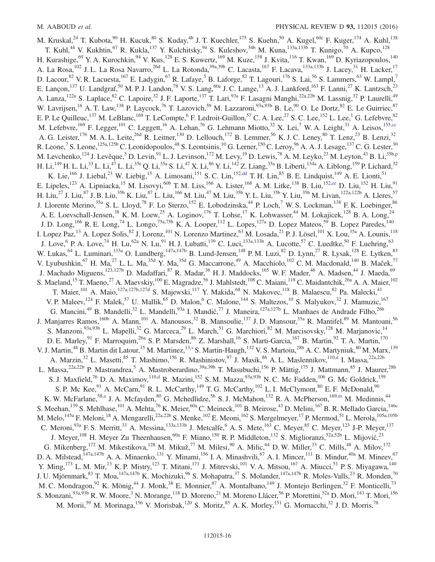<span id="page-16-4"></span><span id="page-16-3"></span><span id="page-16-2"></span><span id="page-16-1"></span><span id="page-16-0"></span>M. Kruskal,<sup>24</sup> T. Kubota,<sup>90</sup> H. Kucuk,<sup>80</sup> S. Kuday,<sup>4b</sup> J. T. Kuechler,<sup>175</sup> S. Kuehn,<sup>50</sup> A. Kugel,<sup>60c</sup> F. Kuger,<sup>174</sup> A. Kuhl,<sup>138</sup> T. Kuhl,<sup>44</sup> V. Kukhtin,<sup>67</sup> R. Kukla,<sup>137</sup> Y. Kulchitsky,<sup>94</sup> S. Kuleshov,<sup>34b</sup> M. Kuna,<sup>133a,133b</sup> T. Kunigo,<sup>70</sup> A. Kupco,<sup>128</sup> H. Kurashige,<sup>69</sup> Y. A. Kurochkin,<sup>94</sup> V. Kus,<sup>128</sup> E. S. Kuwertz,<sup>169</sup> M. Kuze,<sup>158</sup> J. Kvita,<sup>116</sup> T. Kwan,<sup>169</sup> D. Kyriazopoulos,<sup>140</sup> A. La Rosa, <sup>102</sup> J. L. La Rosa Navarro, <sup>26d</sup> L. La Rotonda, <sup>39a, 39b</sup> C. Lacasta, <sup>167</sup> F. Lacava, <sup>133a, 133b</sup> J. Lacey, <sup>31</sup> H. Lacker, <sup>17</sup> D. Lacour,<sup>82</sup> V. R. Lacuesta,<sup>167</sup> E. Ladygin,<sup>67</sup> R. Lafaye,<sup>5</sup> B. Laforge,<sup>82</sup> T. Lagouri,<sup>176</sup> S. Lai,<sup>56</sup> S. Lammers,<sup>63</sup> W. Lampl,<sup>7</sup> E. Lançon,<sup>137</sup> U. Landgraf,<sup>50</sup> M. P. J. Landon,<sup>78</sup> V. S. Lang,<sup>60a</sup> J. C. Lange,<sup>13</sup> A. J. Lankford,<sup>163</sup> F. Lanni,<sup>27</sup> K. Lantzsch,<sup>23</sup> A. Lanza,<sup>122a</sup> S. Laplace,<sup>82</sup> C. Lapoire,<sup>32</sup> J. F. Laporte,<sup>137</sup> T. Lari,<sup>93a</sup> F. Lasagni Manghi,<sup>22a,22b</sup> M. Lassnig,<sup>32</sup> P. Laurelli,<sup>49</sup> W. Lavrijsen,<sup>16</sup> A. T. Law,<sup>138</sup> P. Laycock,<sup>76</sup> T. Lazovich,<sup>59</sup> M. Lazzaroni,<sup>93a,93b</sup> B. Le,<sup>90</sup> O. Le Dortz,<sup>82</sup> E. Le Guirriec,<sup>87</sup> E. P. Le Quilleuc,  $^{137}$  M. LeBlanc,  $^{169}$  T. LeCompte,  $^6$  F. Ledroit-Guillon,  $^{57}$  C. A. Lee, $^{27}$  S. C. Lee,  $^{152}$  L. Lee,  $^1$  G. Lefebvre,  $^{82}$ M. Lefebvre,<sup>169</sup> F. Legger,<sup>101</sup> C. Leggett,<sup>16</sup> A. Lehan,<sup>76</sup> G. Lehmann Miotto,<sup>32</sup> X. Lei,<sup>7</sup> W. A. Leight,<sup>31</sup> A. Leisos,<sup>15[5,cc](#page-23-28)</sup> A. G. Leister,<sup>176</sup> M. A. L. Leite,<sup>26d</sup> R. Leitner,<sup>130</sup> D. Lellouch,<sup>172</sup> B. Lemmer,<sup>56</sup> K. J. C. Leney,<sup>80</sup> T. Lenz,<sup>23</sup> B. Lenzi,<sup>32</sup> R. Leone,<sup>7</sup> S. Leone,<sup>125a,125b</sup> C. Leonidopoulos,<sup>48</sup> S. Leontsinis,<sup>10</sup> G. Lerner,<sup>150</sup> C. Leroy,<sup>96</sup> A. A. J. Lesage,<sup>137</sup> C. G. Lester,<sup>30</sup> M. Levchenko, <sup>124</sup> J. Levêque, <sup>5</sup> D. Levin, <sup>91</sup> L. J. Levinson, <sup>172</sup> M. Levy, <sup>19</sup> D. Lewis, <sup>78</sup> A. M. Leyko, <sup>23</sup> M. Leyton, <sup>43</sup> B. Li, <sup>35b[,p](#page-23-15)</sup> H. Li,<sup>149</sup> H. L. Li,<sup>33</sup> L. Li,<sup>47</sup> L. Li,<sup>35e</sup> Q. Li,<sup>35a</sup> S. Li,<sup>47</sup> X. Li,<sup>86</sup> Y. Li,<sup>142</sup> Z. Liang,<sup>35a</sup> B. Liberti,<sup>134a</sup> A. Liblong,<sup>159</sup> P. Lichard,<sup>32</sup> K. Lie,<sup>166</sup> J. Liebal,<sup>23</sup> W. Liebig,<sup>15</sup> A. Limosani,<sup>151</sup> S. C. Lin,<sup>15[2,dd](#page-23-29)</sup> T. H. Lin,<sup>85</sup> B. E. Lindquist,<sup>149</sup> A. E. Lionti,<sup>51</sup> E. Lipeles,<sup>123</sup> A. Lipniacka,<sup>15</sup> M. Lisovyi,<sup>60b</sup> T.M. Liss,<sup>166</sup> A. Lister,<sup>168</sup> A.M. Litke,<sup>138</sup> B. Liu,<sup>152[,ee](#page-23-30)</sup> D. Liu,<sup>152</sup> H. Liu,<sup>91</sup> H. Liu,<sup>27</sup> J. Liu,<sup>87</sup> J. B. Liu,<sup>35b</sup> K. Liu,<sup>87</sup> L. Liu,<sup>166</sup> M. Liu,<sup>47</sup> M. Liu,<sup>35b</sup> Y. L. Liu,<sup>35b</sup> Y. Liu,<sup>35b</sup> M. Livan,<sup>122a,122b</sup> A. Lleres,<sup>57</sup> J. Llorente Merino,<sup>35a</sup> S. L. Lloyd,<sup>78</sup> F. Lo Sterzo,<sup>152</sup> E. Lobodzinska,<sup>44</sup> P. Loch,<sup>7</sup> W. S. Lockman,<sup>138</sup> F. K. Loebinger,<sup>86</sup> A. E. Loevschall-Jensen,<sup>38</sup> K. M. Loew,<sup>25</sup> A. Loginov,<sup>176</sup> T. Lohse,<sup>17</sup> K. Lohwasser,<sup>44</sup> M. Lokajicek,<sup>128</sup> B. A. Long,<sup>24</sup> J. D. Long,<sup>166</sup> R. E. Long,<sup>74</sup> L. Longo,<sup>75a,75b</sup> K. A. Looper,<sup>112</sup> L. Lopes,<sup>127a</sup> D. Lopez Mateos,<sup>59</sup> B. Lopez Paredes,<sup>140</sup> I. Lopez Paz,<sup>13</sup> A. Lopez Solis,<sup>82</sup> J. Lorenz,<sup>101</sup> N. Lorenzo Martinez,<sup>63</sup> M. Losada,<sup>21</sup> P. J. Lösel,<sup>101</sup> X. Lou,<sup>35a</sup> A. Lounis,<sup>118</sup> J. Love, <sup>6</sup> P. A. Love,<sup>74</sup> H. Lu,<sup>62a</sup> N. Lu,<sup>91</sup> H. J. Lubatti,<sup>139</sup> C. Luci,<sup>133a,133b</sup> A. Lucotte,<sup>57</sup> C. Luedtke,<sup>50</sup> F. Luehring,<sup>63</sup> W. Lukas, <sup>64</sup> L. Luminari, <sup>133a</sup> O. Lundberg, <sup>147a, 147b</sup> B. Lund-Jensen, <sup>148</sup> P. M. Luzi, <sup>82</sup> D. Lynn, <sup>27</sup> R. Lysak, <sup>128</sup> E. Lytken, <sup>83</sup> V. Lyubushkin,  $^{67}$  H. Ma,  $^{27}$  L. L. Ma,  $^{35d}$  Y. Ma,  $^{35d}$  G. Maccarrone,  $^{49}$  A. Macchiolo,  $^{102}$  C. M. Macdonald,  $^{140}$  B. Maček,  $^{77}$ J. Machado Miguens,<sup>123,127b</sup> D. Madaffari,<sup>87</sup> R. Madar,<sup>36</sup> H. J. Maddocks,<sup>165</sup> W. F. Mader,<sup>46</sup> A. Madsen,<sup>44</sup> J. Maeda,<sup>69</sup> S. Maeland,<sup>15</sup> T. Maeno,<sup>27</sup> A. Maevskiy,<sup>100</sup> E. Magradze,<sup>56</sup> J. Mahlstedt,<sup>108</sup> C. Maiani,<sup>118</sup> C. Maidantchik,<sup>26a</sup> A. A. Maier,<sup>102</sup> T. Maier,<sup>101</sup> A. Maio,<sup>127a,127b,127d</sup> S. Majewski,<sup>117</sup> Y. Makida,<sup>68</sup> N. Makovec,<sup>118</sup> B. Malaescu,<sup>82</sup> Pa. Malecki,<sup>41</sup> V. P. Maleev,<sup>124</sup> F. Malek,<sup>57</sup> U. Mallik,<sup>65</sup> D. Malon,<sup>6</sup> C. Malone,<sup>144</sup> S. Maltezos,<sup>10</sup> S. Malyukov,<sup>32</sup> J. Mamuzic,<sup>167</sup> G. Mancini, <sup>49</sup> B. Mandelli, <sup>32</sup> L. Mandelli, <sup>93a</sup> I. Mandić, <sup>77</sup> J. Maneira, <sup>127a, 127b</sup> L. Manhaes de Andrade Filho, <sup>26b</sup> J. Manjarres Ramos,<sup>160b</sup> A. Mann,<sup>101</sup> A. Manousos,<sup>32</sup> B. Mansoulie,<sup>137</sup> J.D. Mansour,<sup>35a</sup> R. Mantifel,<sup>89</sup> M. Mantoani,<sup>56</sup> S. Manzoni,<sup>93a,93b</sup> L. Mapelli,<sup>32</sup> G. Marceca,<sup>29</sup> L. March,<sup>51</sup> G. Marchiori,<sup>82</sup> M. Marcisovsky,<sup>128</sup> M. Marjanovic,<sup>14</sup> D. E. Marley, <sup>91</sup> F. Marroquim, <sup>26a</sup> S. P. Marsden, <sup>86</sup> Z. Marshall, <sup>16</sup> S. Marti-Garcia, <sup>167</sup> B. Martin, <sup>92</sup> T. A. Martin, <sup>170</sup> V. J. Martin,<sup>48</sup> B. Martin dit Latour,<sup>15</sup> M. Martinez,<sup>13[,s](#page-23-18)</sup> S. Martin-Haugh,<sup>132</sup> V. S. Martoiu,<sup>28b</sup> A. C. Martyniuk,<sup>80</sup> M. Marx,<sup>139</sup> A. Marzin,<sup>32</sup> L. Masetti,<sup>85</sup> T. Mashimo,<sup>156</sup> R. Mashinistov,<sup>97</sup> J. Masik,<sup>86</sup> A. L. Maslennikov,<sup>11[0,d](#page-23-2)</sup> I. Massa,<sup>22a,22b</sup> L. Massa,<sup>22a,22b</sup> P. Mastrandrea,<sup>5</sup> A. Mastroberardino,<sup>39a,39b</sup> T. Masubuchi,<sup>156</sup> P. Mättig,<sup>175</sup> J. Mattmann,<sup>85</sup> J. Maurer,<sup>28b</sup> S. J. Maxfield,<sup>76</sup> D. A. Maximov,<sup>110[,d](#page-23-2)</sup> R. Mazini,<sup>152</sup> S. M. Mazza,<sup>93a,93b</sup> N. C. Mc Fadden,<sup>106</sup> G. Mc Goldrick,<sup>159</sup> S. P. Mc Kee,  $91$  A. McCarn,  $91$  R. L. McCarthy,  $149$  T. G. McCarthy,  $102$  L. I. McClymont,  $80$  E. F. McDonald,  $90$ K. W. McFarlane,<sup>5[8,a](#page-23-7)</sup> J. A. Mcfayden,<sup>80</sup> G. Mchedlidze,<sup>56</sup> S. J. McMahon,<sup>132</sup> R. A. McPherson,<sup>16[9,m](#page-23-12)</sup> M. Medinnis,<sup>44</sup> S. Meehan,<sup>139</sup> S. Mehlhase,<sup>101</sup> A. Mehta,<sup>76</sup> K. Meier,<sup>60a</sup> C. Meineck,<sup>101</sup> B. Meirose,<sup>43</sup> D. Melini,<sup>167</sup> B. R. Mellado Garcia,<sup>146c</sup> M. Melo,<sup>145a</sup> F. Meloni,<sup>18</sup> A. Mengarelli,<sup>22a,22b</sup> S. Menke,<sup>102</sup> E. Meoni,<sup>162</sup> S. Mergelmeyer,<sup>17</sup> P. Mermod,<sup>51</sup> L. Merola,<sup>105a,105b</sup> C. Meroni,<sup>93a</sup> F. S. Merritt,<sup>33</sup> A. Messina,<sup>133a,133b</sup> J. Metcalfe,<sup>6</sup> A. S. Mete,<sup>163</sup> C. Meyer,<sup>85</sup> C. Meyer,<sup>123</sup> J-P. Meyer,<sup>137</sup> J. Meyer,<sup>108</sup> H. Meyer Zu Theenhausen,<sup>60a</sup> F. Miano,<sup>150</sup> R. P. Middleton,<sup>132</sup> S. Miglioranzi,<sup>52a,52b</sup> L. Mijović,<sup>23</sup> G. Mikenberg, <sup>172</sup> M. Mikestikova, <sup>128</sup> M. Mikuž, <sup>77</sup> M. Milesi, <sup>90</sup> A. Milic, <sup>64</sup> D. W. Miller, <sup>33</sup> C. Mills, <sup>48</sup> A. Milov, <sup>172</sup> D. A. Milstead,<sup>147a,147b</sup> A. A. Minaenko,<sup>131</sup> Y. Minami,<sup>156</sup> I. A. Minashvili,<sup>67</sup> A. I. Mincer,<sup>111</sup> B. Mindur,<sup>40a</sup> M. Mineev,<sup>67</sup> Y. Ming,<sup>173</sup> L. M. Mir,<sup>13</sup> K. P. Mistry,<sup>123</sup> T. Mitani,<sup>171</sup> J. Mitrevski,<sup>101</sup> V. A. Mitsou,<sup>167</sup> A. Miucci,<sup>51</sup> P. S. Miyagawa,<sup>140</sup> J. U. Mjörnmark,<sup>83</sup> T. Moa,<sup>147a,147b</sup> K. Mochizuki,<sup>96</sup> S. Mohapatra,<sup>37</sup> S. Molander,<sup>147a,147b</sup> R. Moles-Valls,<sup>23</sup> R. Monden,<sup>70</sup> M. C. Mondragon,<sup>92</sup> K. Mönig,<sup>44</sup> J. Monk,<sup>38</sup> E. Monnier,<sup>87</sup> A. Montalbano,<sup>149</sup> J. Montejo Berlingen,<sup>32</sup> F. Monticelli,<sup>73</sup> S. Monzani,<sup>93a,93b</sup> R. W. Moore,<sup>3</sup> N. Morange,<sup>118</sup> D. Moreno,<sup>21</sup> M. Moreno Llácer,<sup>56</sup> P. Morettini,<sup>52a</sup> D. Mori,<sup>143</sup> T. Mori,<sup>156</sup> M. Morii,<sup>59</sup> M. Morinaga,<sup>156</sup> V. Morisbak,<sup>120</sup> S. Moritz,<sup>85</sup> A. K. Morley,<sup>151</sup> G. Mornacchi,<sup>32</sup> J. D. Morris,<sup>78</sup>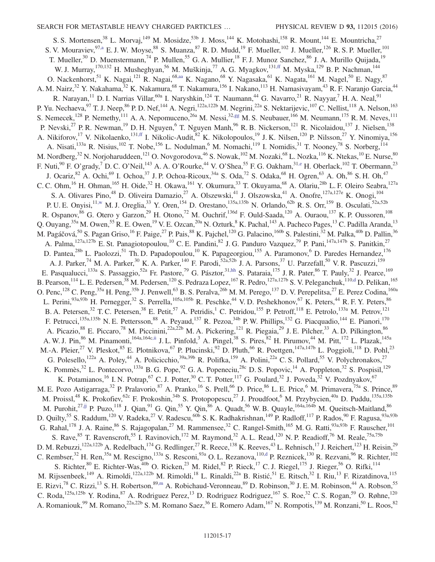<span id="page-17-3"></span><span id="page-17-2"></span><span id="page-17-1"></span><span id="page-17-0"></span>S. S. Mortensen,<sup>38</sup> L. Morvaj,<sup>149</sup> M. Mosidze,<sup>53b</sup> J. Moss,<sup>144</sup> K. Motohashi,<sup>158</sup> R. Mount,<sup>144</sup> E. Mountricha,<sup>27</sup> S. V. Mouraviev, <sup>9[7,a](#page-23-7)</sup> E. J. W. Moyse, <sup>88</sup> S. Muanza, <sup>87</sup> R. D. Mudd, <sup>19</sup> F. Mueller, <sup>102</sup> J. Mueller, <sup>126</sup> R. S. P. Mueller, <sup>101</sup> T. Mueller,<sup>30</sup> D. Muenstermann,<sup>74</sup> P. Mullen,<sup>55</sup> G. A. Mullier,<sup>18</sup> F. J. Munoz Sanchez,<sup>86</sup> J. A. Murillo Quijada,<sup>19</sup> W. J. Murray,<sup>170,132</sup> H. Musheghyan,<sup>56</sup> M. Muškinja,<sup>77</sup> A. G. Myagkov,<sup>131[,ff](#page-23-31)</sup> M. Myska,<sup>129</sup> B. P. Nachman,<sup>144</sup> O. Nackenhorst,<sup>51</sup> K. Nagai,<sup>121</sup> R. Nagai,<sup>68[,aa](#page-23-26)</sup> K. Nagano,<sup>68</sup> Y. Nagasaka,<sup>61</sup> K. Nagata,<sup>161</sup> M. Nagel,<sup>50</sup> E. Nagy,<sup>87</sup> A. M. Nairz,<sup>32</sup> Y. Nakahama,<sup>32</sup> K. Nakamura,<sup>68</sup> T. Nakamura,<sup>156</sup> I. Nakano,<sup>113</sup> H. Namasivayam,<sup>43</sup> R. F. Naranjo Garcia,<sup>44</sup> R. Narayan,<sup>11</sup> D. I. Narrias Villar,<sup>60a</sup> I. Naryshkin,<sup>124</sup> T. Naumann,<sup>44</sup> G. Navarro,<sup>21</sup> R. Nayyar,<sup>7</sup> H. A. Neal,<sup>91</sup> P. Yu. Nechaeva, <sup>97</sup> T. J. Neep, <sup>86</sup> P. D. Nef, <sup>144</sup> A. Negri, <sup>122a,122b</sup> M. Negrini,<sup>22a</sup> S. Nektarijevic, <sup>107</sup> C. Nellist, <sup>118</sup> A. Nelson, <sup>163</sup> S. Nemecek,<sup>128</sup> P. Nemethy,<sup>111</sup> A. A. Nepomuceno,<sup>26a</sup> M. Nessi,<sup>3[2,gg](#page-23-32)</sup> M. S. Neubauer,<sup>166</sup> M. Neumann,<sup>175</sup> R. M. Neves,<sup>111</sup> P. Nevski,<sup>27</sup> P. R. Newman,<sup>19</sup> D. H. Nguyen,<sup>6</sup> T. Nguyen Manh,<sup>96</sup> R. B. Nickerson,<sup>121</sup> R. Nicolaidou,<sup>137</sup> J. Nielsen,<sup>138</sup> A. Nikiforov,<sup>17</sup> V. Nikolaenko,<sup>13[1,ff](#page-23-31)</sup> I. Nikolic-Audit,<sup>82</sup> K. Nikolopoulos,<sup>19</sup> J. K. Nilsen,<sup>120</sup> P. Nilsson,<sup>27</sup> Y. Ninomiya,<sup>156</sup> A. Nisati,<sup>133a</sup> R. Nisius,<sup>102</sup> T. Nobe,<sup>156</sup> L. Nodulman,<sup>6</sup> M. Nomachi,<sup>119</sup> I. Nomidis,<sup>31</sup> T. Nooney,<sup>78</sup> S. Norberg,<sup>114</sup> M. Nordberg,<sup>32</sup> N. Norjoharuddeen,<sup>121</sup> O. Novgorodova,<sup>46</sup> S. Nowak,<sup>102</sup> M. Nozaki,<sup>68</sup> L. Nozka,<sup>116</sup> K. Ntekas,<sup>10</sup> E. Nurse,<sup>80</sup> F. Nuti,  $90$  F. O'grady,  $7$  D. C. O'Neil,  $^{143}$  A. A. O'Rourke,  $^{44}$  V. O'Shea,  $^{55}$  F. G. Oakham,  $^{31,e}$  $^{31,e}$  $^{31,e}$  H. Oberlack,  $^{102}$  T. Obermann,  $^{23}$ J. Ocariz, <sup>82</sup> A. Ochi, <sup>69</sup> I. Ochoa, <sup>37</sup> J. P. Ochoa-Ricoux, <sup>34a</sup> S. Oda, <sup>72</sup> S. Odaka, <sup>68</sup> H. Ogren, <sup>63</sup> A. Oh, <sup>86</sup> S. H. Oh, <sup>47</sup> C. C. Ohm, <sup>16</sup> H. Ohman, <sup>165</sup> H. Oide, <sup>32</sup> H. Okawa, <sup>161</sup> Y. Okumura, <sup>33</sup> T. Okuyama, <sup>68</sup> A. Olariu, <sup>28b</sup> L. F. Oleiro Seabra, <sup>127a</sup> S. A. Olivares Pino,<sup>48</sup> D. Oliveira Damazio,<sup>27</sup> A. Olszewski,<sup>41</sup> J. Olszowska,<sup>41</sup> A. Onofre,<sup>127a,127e</sup> K. Onogi,<sup>104</sup> P. U. E. Onyisi,<sup>1[1,w](#page-23-22)</sup> M. J. Oreglia,<sup>33</sup> Y. Oren,<sup>154</sup> D. Orestano,<sup>135a,135b</sup> N. Orlando,<sup>62b</sup> R. S. Orr,<sup>159</sup> B. Osculati,<sup>52a,52b</sup> R. Ospanov, 86 G. Otero y Garzon, 29 H. Otono, <sup>72</sup> M. Ouchrif, 136d F. Ould-Saada, <sup>120</sup> A. Ouraou, <sup>137</sup> K. P. Oussoren, <sup>108</sup> Q. Ouyang,  $35a$  M. Owen,  $55$  R. E. Owen,  $19$  V. E. Ozcan,  $20a$  N. Ozturk,  $8$  K. Pachal,  $143$  A. Pacheco Pages,  $13$  C. Padilla Aranda,  $13$ M. Pagáčová,<sup>50</sup> S. Pagan Griso,<sup>16</sup> F. Paige,<sup>27</sup> P. Pais,<sup>88</sup> K. Pajchel,<sup>120</sup> G. Palacino,<sup>160b</sup> S. Palestini,<sup>32</sup> M. Palka,<sup>40b</sup> D. Pallin,<sup>36</sup> A. Palma,<sup>127a,127b</sup> E. St. Panagiotopoulou,<sup>10</sup> C. E. Pandini,<sup>82</sup> J. G. Panduro Vazquez,<sup>79</sup> P. Pani,<sup>147a,147b</sup> S. Panitkin,<sup>27</sup> D. Pantea,<sup>28b</sup> L. Paolozzi,<sup>51</sup> Th. D. Papadopoulou,<sup>10</sup> K. Papageorgiou,<sup>155</sup> A. Paramonov,<sup>6</sup> D. Paredes Hernandez,<sup>176</sup> A. J. Parker,<sup>74</sup> M. A. Parker,<sup>30</sup> K. A. Parker,<sup>140</sup> F. Parodi,<sup>52a,52b</sup> J. A. Parsons,<sup>37</sup> U. Parzefall,<sup>50</sup> V. R. Pascuzzi,<sup>159</sup> E. Pasqualucci,<sup>133a</sup> S. Passaggio,<sup>52a</sup> Fr. Pastore,<sup>79</sup> G. Pásztor,<sup>3[1,hh](#page-24-0)</sup> S. Pataraia,<sup>175</sup> J. R. Pater,<sup>86</sup> T. Pauly,<sup>32</sup> J. Pearce,<sup>169</sup> B. Pearson, <sup>114</sup> L. E. Pedersen, <sup>38</sup> M. Pedersen, <sup>120</sup> S. Pedraza Lopez, <sup>167</sup> R. Pedro, <sup>127a, 127b</sup> S. V. Peleganchuk, <sup>110[,d](#page-23-2)</sup> D. Pelikan, <sup>165</sup> O. Penc,<sup>128</sup> C. Peng,<sup>35a</sup> H. Peng,<sup>35b</sup> J. Penwell,<sup>63</sup> B. S. Peralva,<sup>26b</sup> M. M. Perego,<sup>137</sup> D. V. Perepelitsa,<sup>27</sup> E. Perez Codina,<sup>160a</sup> L. Perini,<sup>93a,93b</sup> H. Pernegger,<sup>32</sup> S. Perrella,<sup>105a,105b</sup> R. Peschke,<sup>44</sup> V. D. Peshekhonov,<sup>67</sup> K. Peters,<sup>44</sup> R. F. Y. Peters,<sup>86</sup> B. A. Petersen,<sup>32</sup> T. C. Petersen,<sup>38</sup> E. Petit,<sup>57</sup> A. Petridis,<sup>1</sup> C. Petridou,<sup>155</sup> P. Petroff,<sup>118</sup> E. Petrolo,<sup>133a</sup> M. Petrov,<sup>121</sup> F. Petrucci,<sup>135a,135b</sup> N. E. Pettersson,<sup>88</sup> A. Peyaud,<sup>137</sup> R. Pezoa,<sup>34b</sup> P. W. Phillips,<sup>132</sup> G. Piacquadio,<sup>144</sup> E. Pianori,<sup>170</sup> A. Picazio, <sup>88</sup> E. Piccaro, <sup>78</sup> M. Piccinini, <sup>22a, 22b</sup> M. A. Pickering, <sup>121</sup> R. Piegaia, <sup>29</sup> J. E. Pilcher, <sup>33</sup> A. D. Pilkington, <sup>86</sup> A. W. J. Pin,<sup>86</sup> M. Pinamonti,<sup>164a,164c[,ii](#page-24-1)</sup> J. L. Pinfold,<sup>3</sup> A. Pingel,<sup>38</sup> S. Pires,<sup>82</sup> H. Pirumov,<sup>44</sup> M. Pitt,<sup>172</sup> L. Plazak,<sup>145a</sup> M.-A. Pleier,<sup>27</sup> V. Pleskot,<sup>85</sup> E. Plotnikova,<sup>67</sup> P. Plucinski,<sup>92</sup> D. Pluth,<sup>66</sup> R. Poettgen,<sup>147a,147b</sup> L. Poggioli,<sup>118</sup> D. Pohl,<sup>23</sup> G. Polesello,<sup>122a</sup> A. Poley,<sup>44</sup> A. Policicchio,<sup>39a,39b</sup> R. Polifka,<sup>159</sup> A. Polini,<sup>22a</sup> C. S. Pollard,<sup>55</sup> V. Polychronakos,<sup>27</sup> K. Pommès,<sup>32</sup> L. Pontecorvo,<sup>133a</sup> B. G. Pope,<sup>92</sup> G. A. Popeneciu,<sup>28c</sup> D. S. Popovic,<sup>14</sup> A. Poppleton,<sup>32</sup> S. Pospisil,<sup>129</sup> K. Potamianos,<sup>16</sup> I. N. Potrap,<sup>67</sup> C. J. Potter,<sup>30</sup> C. T. Potter,<sup>117</sup> G. Poulard,<sup>32</sup> J. Poveda,<sup>32</sup> V. Pozdnyakov,<sup>67</sup> M. E. Pozo Astigarraga,<sup>32</sup> P. Pralavorio,<sup>87</sup> A. Pranko,<sup>16</sup> S. Prell,<sup>66</sup> D. Price,<sup>86</sup> L. E. Price,<sup>6</sup> M. Primavera,<sup>75a</sup> S. Prince,<sup>89</sup> M. Proissl,<sup>48</sup> K. Prokofiev,<sup>62c</sup> F. Prokoshin,<sup>34b</sup> S. Protopopescu,<sup>27</sup> J. Proudfoot,<sup>6</sup> M. Przybycien,<sup>40a</sup> D. Puddu,<sup>135a,135b</sup> M. Purohit,<sup>27[,jj](#page-24-2)</sup> P. Puzo,<sup>118</sup> J. Qian,<sup>91</sup> G. Qin,<sup>55</sup> Y. Qin,<sup>86</sup> A. Quadt,<sup>56</sup> W. B. Quayle,<sup>164a,164b</sup> M. Queitsch-Maitland,<sup>86</sup> D. Quilty,<sup>55</sup> S. Raddum,<sup>120</sup> V. Radeka,<sup>27</sup> V. Radescu,<sup>60b</sup> S. K. Radhakrishnan,<sup>149</sup> P. Radloff,<sup>117</sup> P. Rados,<sup>90</sup> F. Ragusa,<sup>93a,93b</sup> G. Rahal,<sup>178</sup> J. A. Raine,<sup>86</sup> S. Rajagopalan,<sup>27</sup> M. Rammensee,<sup>32</sup> C. Rangel-Smith,<sup>165</sup> M. G. Ratti,<sup>93a,93b</sup> F. Rauscher,<sup>101</sup> S. Rave,  $85$  T. Ravenscroft,  $55$  I. Ravinovich,  $172$  M. Raymond,  $32$  A. L. Read,  $120$  N. P. Readioff,  $76$  M. Reale,  $75a,75b$ D. M. Rebuzzi,<sup>122a,122b</sup> A. Redelbach,<sup>174</sup> G. Redlinger,<sup>27</sup> R. Reece,<sup>138</sup> K. Reeves,<sup>43</sup> L. Rehnisch,<sup>17</sup> J. Reichert,<sup>123</sup> H. Reisin,<sup>29</sup> C. Rembser,<sup>32</sup> H. Ren,<sup>35a</sup> M. Rescigno,<sup>133a</sup> S. Resconi,<sup>93a</sup> O. L. Rezanova,<sup>11[0,d](#page-23-2)</sup> P. Reznicek,<sup>130</sup> R. Rezvani,<sup>96</sup> R. Richter,<sup>102</sup> S. Richter,<sup>80</sup> E. Richter-Was,<sup>40b</sup> O. Ricken,<sup>23</sup> M. Ridel,<sup>82</sup> P. Rieck,<sup>17</sup> C. J. Riegel,<sup>175</sup> J. Rieger,<sup>56</sup> O. Rifki,<sup>114</sup> M. Rijssenbeek,<sup>149</sup> A. Rimoldi,<sup>122a,122b</sup> M. Rimoldi,<sup>18</sup> L. Rinaldi,<sup>22a</sup> B. Ristić,<sup>51</sup> E. Ritsch,<sup>32</sup> I. Riu,<sup>13</sup> F. Rizatdinova,<sup>115</sup> E. Rizvi,<sup>78</sup> C. Rizzi,<sup>13</sup> S. H. Robertson,<sup>89[,m](#page-23-12)</sup> A. Robichaud-Veronneau,<sup>89</sup> D. Robinson,<sup>30</sup> J. E. M. Robinson, $\frac{44}{10}$  A. Robson,  $\frac{55}{10}$ C. Roda,<sup>125a,125b</sup> Y. Rodina,<sup>87</sup> A. Rodriguez Perez,<sup>13</sup> D. Rodriguez Rodriguez,<sup>167</sup> S. Roe,<sup>32</sup> C. S. Rogan,<sup>59</sup> O. Røhne,<sup>120</sup> A. Romaniouk,<sup>99</sup> M. Romano,<sup>22a,22b</sup> S. M. Romano Saez,<sup>36</sup> E. Romero Adam,<sup>167</sup> N. Rompotis,<sup>139</sup> M. Ronzani,<sup>50</sup> L. Roos,<sup>82</sup>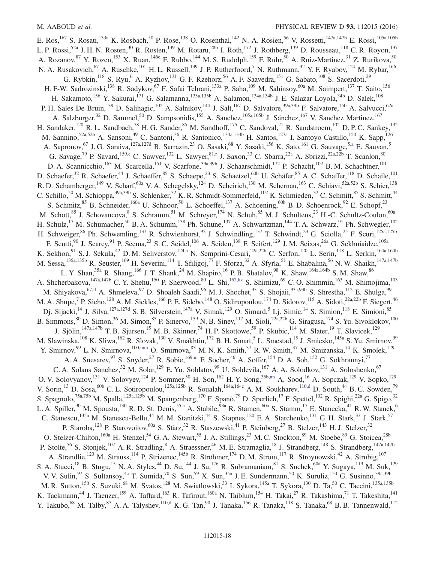<span id="page-18-5"></span><span id="page-18-4"></span><span id="page-18-3"></span><span id="page-18-2"></span><span id="page-18-1"></span><span id="page-18-0"></span>E. Ros,<sup>167</sup> S. Rosati,<sup>133a</sup> K. Rosbach,<sup>50</sup> P. Rose,<sup>138</sup> O. Rosenthal,<sup>142</sup> N.-A. Rosien,<sup>56</sup> V. Rossetti,<sup>147a,147b</sup> E. Rossi,<sup>105a,105b</sup> L. P. Rossi,<sup>52a</sup> J. H. N. Rosten,<sup>30</sup> R. Rosten,<sup>139</sup> M. Rotaru,<sup>28b</sup> I. Roth,<sup>172</sup> J. Rothberg,<sup>139</sup> D. Rousseau,<sup>118</sup> C. R. Royon,<sup>137</sup> A. Rozanov,  $87$  Y. Rozen,<sup>153</sup> X. Ruan,<sup>146c</sup> F. Rubbo,<sup>144</sup> M. S. Rudolph,<sup>159</sup> F. Rühr,<sup>50</sup> A. Ruiz-Martinez,<sup>31</sup> Z. Rurikova,<sup>50</sup> N. A. Rusakovich,<sup>67</sup> A. Ruschke,<sup>101</sup> H. L. Russell,<sup>139</sup> J. P. Rutherfoord,<sup>7</sup> N. Ruthmann,<sup>32</sup> Y. F. Ryabov,<sup>124</sup> M. Rybar,<sup>166</sup> G. Rybkin,<sup>118</sup> S. Ryu,<sup>6</sup> A. Ryzhov,<sup>131</sup> G. F. Rzehorz,<sup>56</sup> A. F. Saavedra,<sup>151</sup> G. Sabato,<sup>108</sup> S. Sacerdoti,<sup>29</sup> H. F-W. Sadrozinski,<sup>138</sup> R. Sadykov,<sup>67</sup> F. Safai Tehrani,<sup>133a</sup> P. Saha,<sup>109</sup> M. Sahinsoy,<sup>60a</sup> M. Saimpert,<sup>137</sup> T. Saito,<sup>156</sup> H. Sakamoto,<sup>156</sup> Y. Sakurai,<sup>171</sup> G. Salamanna,<sup>135a,135b</sup> A. Salamon,<sup>134a,134b</sup> J. E. Salazar Loyola,<sup>34b</sup> D. Salek,<sup>108</sup> P. H. Sales De Bruin,<sup>139</sup> D. Salihagic,<sup>102</sup> A. Salnikov,<sup>144</sup> J. Salt,<sup>167</sup> D. Salvatore,<sup>39a,39b</sup> F. Salvatore,<sup>150</sup> A. Salvucci,<sup>62a</sup> A. Salzburger,<sup>32</sup> D. Sammel,<sup>50</sup> D. Sampsonidis,<sup>155</sup> A. Sanchez,<sup>105a,105b</sup> J. Sánchez,<sup>167</sup> V. Sanchez Martinez,<sup>167</sup> H. Sandaker,<sup>120</sup> R. L. Sandbach,<sup>78</sup> H. G. Sander,<sup>85</sup> M. Sandhoff,<sup>175</sup> C. Sandoval,<sup>21</sup> R. Sandstroem,<sup>102</sup> D. P. C. Sankey,<sup>132</sup> M. Sannino, <sup>52a,52b</sup> A. Sansoni,<sup>49</sup> C. Santoni,<sup>36</sup> R. Santonico, <sup>134a,134b</sup> H. Santos, <sup>127a</sup> I. Santoyo Castillo, <sup>150</sup> K. Sapp, <sup>126</sup> A. Sapronov,<sup>67</sup> J. G. Saraiva,<sup>127a,127d</sup> B. Sarrazin,<sup>23</sup> O. Sasaki,<sup>68</sup> Y. Sasaki,<sup>156</sup> K. Sato,<sup>161</sup> G. Sauvage,<sup>5[,a](#page-23-7)</sup> E. Sauvan,<sup>5</sup> G. Savage,<sup>79</sup> P. Savard,<sup>159[,e](#page-23-3)</sup> C. Sawyer,<sup>132</sup> L. Sawyer,<sup>8[1,r](#page-23-17)</sup> J. Saxon,<sup>33</sup> C. Sbarra,<sup>22a</sup> A. Sbrizzi,<sup>22a,22b</sup> T. Scanlon,<sup>80</sup> D. A. Scannicchio,<sup>163</sup> M. Scarcella,<sup>151</sup> V. Scarfone,<sup>39a,39b</sup> J. Schaarschmidt,<sup>172</sup> P. Schacht,<sup>102</sup> B. M. Schachtner,<sup>101</sup> D. Schaefer,<sup>32</sup> R. Schaefer,<sup>44</sup> J. Schaeffer,<sup>85</sup> S. Schaepe,<sup>23</sup> S. Schaetzel,<sup>60b</sup> U. Schäfer,<sup>85</sup> A. C. Schaffer,<sup>118</sup> D. Schaile,<sup>101</sup> R. D. Schamberger,<sup>149</sup> V. Scharf,<sup>60a</sup> V. A. Schegelsky,<sup>124</sup> D. Scheirich,<sup>130</sup> M. Schernau,<sup>163</sup> C. Schiavi,<sup>52a,52b</sup> S. Schier,<sup>138</sup> C. Schillo,<sup>50</sup> M. Schioppa,<sup>39a,39b</sup> S. Schlenker,<sup>32</sup> K. R. Schmidt-Sommerfeld,<sup>102</sup> K. Schmieden,<sup>32</sup> C. Schmitt,<sup>85</sup> S. Schmitt,<sup>44</sup> S. Schmitz,  $85$  B. Schneider,<sup>160a</sup> U. Schnoor,<sup>50</sup> L. Schoeffel,<sup>137</sup> A. Schoening,<sup>60b</sup> B. D. Schoenrock,<sup>92</sup> E. Schopf,<sup>23</sup> M. Schott,<sup>85</sup> J. Schovancova, <sup>8</sup> S. Schramm, <sup>51</sup> M. Schreyer, <sup>174</sup> N. Schuh, <sup>85</sup> M. J. Schultens, <sup>23</sup> H.-C. Schultz-Coulon, <sup>60a</sup> H. Schulz,<sup>17</sup> M. Schumacher,<sup>50</sup> B. A. Schumm,<sup>138</sup> Ph. Schune,<sup>137</sup> A. Schwartzman,<sup>144</sup> T. A. Schwarz,<sup>91</sup> Ph. Schwegler,<sup>102</sup> H. Schweiger,  $86$  Ph. Schwemling,  $^{137}$  R. Schwienhorst,  $92$  J. Schwindling,  $^{137}$  T. Schwindt,  $^{23}$  G. Sciolla,  $^{25}$  F. Scuri,  $^{125a,125b}$ F. Scutti,  $90$  J. Searcy,  $91$  P. Seema,  $23$  S. C. Seidel,  $106$  A. Seiden,  $138$  F. Seifert,  $129$  J. M. Seixas,  $26a$  G. Sekhniaidze,  $105a$ K. Sekhon,<sup>91</sup> S. J. Sekula,<sup>42</sup> D. M. Seliverstov,<sup>124[,a](#page-23-7)</sup> N. Semprini-Cesari,<sup>22a,22b</sup> C. Serfon,<sup>120</sup> L. Serin,<sup>118</sup> L. Serkin,<sup>164a,164b</sup> M. Sessa,<sup>135a,135b</sup> R. Seuster,<sup>169</sup> H. Severini,<sup>114</sup> T. Sfiligoj,<sup>77</sup> F. Sforza,<sup>32</sup> A. Sfyrla,<sup>51</sup> E. Shabalina,<sup>56</sup> N. W. Shaikh,<sup>147a,147b</sup> L. Y. Shan,<sup>35a</sup> R. Shang,<sup>166</sup> J. T. Shank,<sup>24</sup> M. Shapiro,<sup>16</sup> P. B. Shatalov,<sup>98</sup> K. Shaw,<sup>164a,164b</sup> S. M. Shaw,<sup>86</sup> A. Shcherbakova,<sup>147a,147b</sup> C. Y. Shehu,<sup>150</sup> P. Sherwood,<sup>80</sup> L. Shi,<sup>15[2,kk](#page-24-3)</sup> S. Shimizu,<sup>69</sup> C. O. Shimmin,<sup>163</sup> M. Shimojima,<sup>103</sup> M. Shiyakova,<sup>67[,ll](#page-24-4)</sup> A. Shmeleva,<sup>97</sup> D. Shoaleh Saadi,<sup>96</sup> M. J. Shochet,<sup>33</sup> S. Shojaii,<sup>93a,93b</sup> S. Shrestha,<sup>112</sup> E. Shulga,<sup>99</sup> M. A. Shupe,<sup>7</sup> P. Sicho,<sup>128</sup> A. M. Sickles,<sup>166</sup> P. E. Sidebo,<sup>148</sup> O. Sidiropoulou,<sup>174</sup> D. Sidorov,<sup>115</sup> A. Sidoti,<sup>22a,22b</sup> F. Siegert,<sup>46</sup> Dj. Sijacki,  $14$  J. Silva,  $127a,127d$  S. B. Silverstein,  $147a$  V. Simak,  $129$  O. Simard,  $5$  Lj. Simic,  $14$  S. Simion,  $118$  E. Simioni,  $85$ B. Simmons,  ${}^{80}$  D. Simon,  ${}^{36}$  M. Simon,  ${}^{85}$  P. Sinervo,  ${}^{159}$  N. B. Sinev,  ${}^{117}$  M. Sioli,  ${}^{22a,22b}$  G. Siragusa,  ${}^{174}$  S. Yu. Sivoklokov,  ${}^{100}$ J. Sjölin,<sup>147a,147b</sup> T. B. Sjursen,<sup>15</sup> M. B. Skinner,<sup>74</sup> H. P. Skottowe,<sup>59</sup> P. Skubic,<sup>114</sup> M. Slater,<sup>19</sup> T. Slavicek,<sup>129</sup> M. Slawinska, <sup>108</sup> K. Sliwa, <sup>162</sup> R. Slovak, <sup>130</sup> V. Smakhtin, <sup>172</sup> B. H. Smart, <sup>5</sup> L. Smestad, <sup>15</sup> J. Smiesko, <sup>145a</sup> S. Yu. Smirnov, <sup>99</sup> Y. Smirnov,  $99$  L. N. Smirnova,  $100, \text{mm}$  O. Smirnova,  $83$  M. N. K. Smith,  $37$  R. W. Smith,  $37$  M. Smizanska,  $74$  K. Smolek,  $129$ A. A. Snesarev, <sup>97</sup> S. Snyder, <sup>27</sup> R. Sobie, <sup>169[,m](#page-23-12)</sup> F. Socher, <sup>46</sup> A. Soffer, <sup>154</sup> D. A. Soh, <sup>152</sup> G. Sokhrannyi,<sup>77</sup> C. A. Solans Sanchez,<sup>32</sup> M. Solar,<sup>129</sup> E. Yu. Soldatov,<sup>99</sup> U. Soldevila,<sup>167</sup> A. A. Solodkov,<sup>131</sup> A. Soloshenko,<sup>67</sup> O. V. Solovyanov,<sup>131</sup> V. Solovyev,<sup>124</sup> P. Sommer,<sup>50</sup> H. Son,<sup>162</sup> H. Y. Song,<sup>35[b,nn](#page-24-6)</sup> A. Sood,<sup>16</sup> A. Sopczak,<sup>129</sup> V. Sopko,<sup>129</sup> V. Sorin,<sup>13</sup> D. Sosa,<sup>60b</sup> C. L. Sotiropoulou,<sup>125a,125b</sup> R. Soualah,<sup>164a,164c</sup> A. M. Soukharev,<sup>110[,d](#page-23-2)</sup> D. South,<sup>44</sup> B. C. Sowden,<sup>79</sup> S. Spagnolo,<sup>75a,75b</sup> M. Spalla,<sup>125a,125b</sup> M. Spangenberg,<sup>170</sup> F. Spanò,<sup>79</sup> D. Sperlich,<sup>17</sup> F. Spettel,<sup>102</sup> R. Spighi,<sup>22a</sup> G. Spigo,<sup>32</sup> L. A. Spiller,<sup>90</sup> M. Spousta,<sup>130</sup> R. D. St. Denis,<sup>5[5,a](#page-23-7)</sup> A. Stabile,<sup>93a</sup> R. Stamen,<sup>60a</sup> S. Stamm,<sup>17</sup> E. Stanecka,<sup>41</sup> R. W. Stanek,<sup>6</sup> C. Stanescu,<sup>135a</sup> M. Stanescu-Bellu,<sup>44</sup> M. M. Stanitzki,<sup>44</sup> S. Stapnes,<sup>120</sup> E. A. Starchenko,<sup>131</sup> G. H. Stark,<sup>33</sup> J. Stark,<sup>57</sup> P. Staroba,<sup>128</sup> P. Starovoitov,<sup>60a</sup> S. Stärz,<sup>32</sup> R. Staszewski,<sup>41</sup> P. Steinberg,<sup>27</sup> B. Stelzer,<sup>143</sup> H. J. Stelzer,<sup>32</sup> O. Stelzer-Chilton,<sup>160a</sup> H. Stenzel,<sup>54</sup> G. A. Stewart,<sup>55</sup> J. A. Stillings,<sup>23</sup> M. C. Stockton,<sup>89</sup> M. Stoebe,<sup>89</sup> G. Stoicea,<sup>28b</sup> P. Stolte,<sup>56</sup> S. Stonjek,<sup>102</sup> A. R. Stradling,<sup>8</sup> A. Straessner,<sup>46</sup> M. E. Stramaglia,<sup>18</sup> J. Strandberg,<sup>148</sup> S. Strandberg,<sup>147a,147b</sup> A. Strandlie,<sup>120</sup> M. Strauss,<sup>114</sup> P. Strizenec,<sup>145b</sup> R. Ströhmer,<sup>174</sup> D. M. Strom,<sup>117</sup> R. Stroynowski,<sup>42</sup> A. Strubig,<sup>107</sup> S. A. Stucci,<sup>18</sup> B. Stugu,<sup>15</sup> N. A. Styles,<sup>44</sup> D. Su,<sup>144</sup> J. Su,<sup>126</sup> R. Subramaniam,<sup>81</sup> S. Suchek,<sup>60a</sup> Y. Sugaya,<sup>119</sup> M. Suk,<sup>129</sup> V. V. Sulin,  $97$  S. Sultansoy,  $4c$  T. Sumida,  $70$  S. Sun,  $59$  X. Sun,  $35a$  J. E. Sundermann,  $50$  K. Suruliz,  $150$  G. Susinno,  $39a,39b$ M. R. Sutton,<sup>150</sup> S. Suzuki,<sup>68</sup> M. Svatos,<sup>128</sup> M. Swiatlowski,<sup>33</sup> I. Sykora,<sup>145a</sup> T. Sykora,<sup>130</sup> D. Ta,<sup>50</sup> C. Taccini,<sup>135a,135b</sup> K. Tackmann,<sup>44</sup> J. Taenzer,<sup>159</sup> A. Taffard,<sup>163</sup> R. Tafirout,<sup>160a</sup> N. Taiblum,<sup>154</sup> H. Takai,<sup>27</sup> R. Takashima,<sup>71</sup> T. Takeshita,<sup>141</sup> Y. Takubo, <sup>68</sup> M. Talby, <sup>87</sup> A. A. Talyshev,  $110, d$  K. G. Tan,  $90$  J. Tanaka,  $156$  R. Tanaka,  $118$  S. Tanaka,  $68$  B. B. Tannenwald,  $112$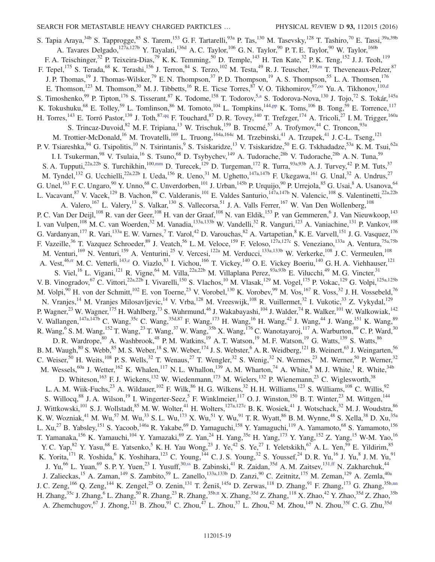S. Tapia Araya,<sup>34b</sup> S. Tapprogge,<sup>85</sup> S. Tarem,<sup>153</sup> G. F. Tartarelli,<sup>93a</sup> P. Tas,<sup>130</sup> M. Tasevsky,<sup>128</sup> T. Tashiro,<sup>70</sup> E. Tassi,<sup>39a,39b</sup> A. Tavares Delgado,<sup>127a,127b</sup> Y. Tayalati,<sup>136d</sup> A. C. Taylor,<sup>106</sup> G. N. Taylor,<sup>90</sup> P. T. E. Taylor,<sup>90</sup> W. Taylor,<sup>160b</sup> F. A. Teischinger,<sup>32</sup> P. Teixeira-Dias,<sup>79</sup> K. K. Temming,<sup>50</sup> D. Temple,<sup>143</sup> H. Ten Kate,<sup>32</sup> P. K. Teng,<sup>152</sup> J. J. Teoh,<sup>119</sup> F. Tepel,  $^{175}$  S. Terada,  $^{68}$  K. Terashi,  $^{156}$  J. Terron,  $^{84}$  S. Terzo,  $^{102}$  M. Testa,  $^{49}$  R. J. Teuscher,  $^{159,m}$  $^{159,m}$  $^{159,m}$  T. Theveneaux-Pelzer,  $^{87}$ J. P. Thomas,<sup>19</sup> J. Thomas-Wilsker,<sup>79</sup> E. N. Thompson,<sup>37</sup> P. D. Thompson,<sup>19</sup> A. S. Thompson,<sup>55</sup> L. A. Thomsen,<sup>176</sup> E. Thomson,<sup>123</sup> M. Thomson,<sup>30</sup> M. J. Tibbetts,<sup>16</sup> R. E. Ticse Torres,<sup>87</sup> V. O. Tikhomirov,<sup>97,00</sup> Yu. A. Tikhonov,<sup>110[,d](#page-23-2)</sup> S. Timoshenko,<sup>99</sup> P. Tipton,<sup>176</sup> S. Tisserant,<sup>87</sup> K. Todome,<sup>158</sup> T. Todorov,<sup>[5,a](#page-23-7)</sup> S. Todorova-Nova,<sup>130</sup> J. Tojo,<sup>72</sup> S. Tokár,<sup>145a</sup> K. Tokushuku,<sup>68</sup> E. Tolley,<sup>59</sup> L. Tomlinson,<sup>86</sup> M. Tomoto,<sup>104</sup> L. Tompkins,<sup>14[4,pp](#page-24-8)</sup> K. Toms,<sup>106</sup> B. Tong,<sup>59</sup> E. Torrence,<sup>117</sup> H. Torres,<sup>143</sup> E. Torró Pastor,<sup>139</sup> J. Toth,<sup>87[,qq](#page-24-9)</sup> F. Touchard,<sup>87</sup> D. R. Tovey,<sup>140</sup> T. Trefzger,<sup>174</sup> A. Tricoli,<sup>27</sup> I. M. Trigger,<sup>160a</sup> S. Trincaz-Duvoid,<sup>82</sup> M. F. Tripiana,<sup>13</sup> W. Trischuk,<sup>159</sup> B. Trocmé,<sup>57</sup> A. Trofymov,<sup>44</sup> C. Troncon,<sup>93a</sup> M. Trottier-McDonald,<sup>16</sup> M. Trovatelli,<sup>169</sup> L. Truong,<sup>164a,164c</sup> M. Trzebinski,<sup>41</sup> A. Trzupek,<sup>41</sup> J. C-L. Tseng,<sup>121</sup> P. V. Tsiareshka, <sup>94</sup> G. Tsipolitis, <sup>10</sup> N. Tsirintanis, <sup>9</sup> S. Tsiskaridze, <sup>13</sup> V. Tsiskaridze, <sup>50</sup> E. G. Tskhadadze, <sup>53a</sup> K. M. Tsui, <sup>62a</sup> I. I. Tsukerman,<sup>98</sup> V. Tsulaia,<sup>16</sup> S. Tsuno,<sup>68</sup> D. Tsybychev,<sup>149</sup> A. Tudorache,<sup>28b</sup> V. Tudorache,<sup>28b</sup> A. N. Tuna,<sup>59</sup> S. A. Tupputi,<sup>22a,22b</sup> S. Turchikhin,<sup>100[,mm](#page-24-5)</sup> D. Turecek,<sup>129</sup> D. Turgeman,<sup>172</sup> R. Turra,<sup>93a,93b</sup> A. J. Turvey,<sup>42</sup> P. M. Tuts,<sup>37</sup> M. Tyndel,<sup>132</sup> G. Ucchielli,<sup>22a,22b</sup> I. Ueda,<sup>156</sup> R. Ueno,<sup>31</sup> M. Ughetto,<sup>147a,147b</sup> F. Ukegawa,<sup>161</sup> G. Unal,<sup>32</sup> A. Undrus,<sup>27</sup> G. Unel,  $^{163}$  F. C. Ungaro,  $^{90}$  Y. Unno,  $^{68}$  C. Unverdorben,  $^{101}$  J. Urban,  $^{145b}$  P. Urquijo,  $^{90}$  P. Urrejola,  $^{85}$  G. Usai,  $^8$  A. Usanova,  $^{64}$ L. Vacavant, <sup>87</sup> V. Vacek, <sup>129</sup> B. Vachon, <sup>89</sup> C. Valderanis, <sup>101</sup> E. Valdes Santurio, <sup>147a, 147b</sup> N. Valencic, <sup>108</sup> S. Valentinetti, <sup>22a, 22b</sup> A. Valero,<sup>167</sup> L. Valery,<sup>13</sup> S. Valkar,<sup>130</sup> S. Vallecorsa,<sup>51</sup> J. A. Valls Ferrer,<sup>167</sup> W. Van Den Wollenberg,<sup>108</sup> P. C. Van Der Deijl,<sup>108</sup> R. van der Geer,<sup>108</sup> H. van der Graaf,<sup>108</sup> N. van Eldik,<sup>153</sup> P. van Gemmeren,<sup>6</sup> J. Van Nieuwkoop,<sup>143</sup> I. van Vulpen,<sup>108</sup> M. C. van Woerden,<sup>32</sup> M. Vanadia,<sup>133a,133b</sup> W. Vandelli,<sup>32</sup> R. Vanguri,<sup>123</sup> A. Vaniachine,<sup>131</sup> P. Vankov,<sup>108</sup> G. Vardanyan,  $^{177}$  R. Vari,  $^{133a}$  E. W. Varnes,  $^7$  T. Varol,  $^{42}$  D. Varouchas,  $^{82}$  A. Vartapetian,  $^8$  K. E. Varvell,  $^{151}$  J. G. Vasquez,  $^{176}$ F. Vazeille,<sup>36</sup> T. Vazquez Schroeder,<sup>89</sup> J. Veatch,<sup>56</sup> L. M. Veloce,<sup>159</sup> F. Veloso,<sup>127a,127c</sup> S. Veneziano,<sup>133a</sup> A. Ventura,<sup>75a,75b</sup> M. Venturi,<sup>169</sup> N. Venturi,<sup>159</sup> A. Venturini,<sup>25</sup> V. Vercesi,<sup>122a</sup> M. Verducci,<sup>133a,133b</sup> W. Verkerke,<sup>108</sup> J. C. Vermeulen,<sup>108</sup> A. Vest,<sup>4[6,rr](#page-24-10)</sup> M. C. Vetterli,<sup>14[3,e](#page-23-3)</sup> O. Viazlo,<sup>83</sup> I. Vichou,<sup>166</sup> T. Vickey,<sup>140</sup> O. E. Vickey Boeriu,<sup>140</sup> G. H. A. Viehhauser,<sup>121</sup> S. Viel,<sup>16</sup> L. Vigani,<sup>121</sup> R. Vigne,<sup>64</sup> M. Villa,<sup>22a,22b</sup> M. Villaplana Perez,<sup>93a,93b</sup> E. Vilucchi,<sup>49</sup> M. G. Vincter,<sup>31</sup> V. B. Vinogradov,<sup>67</sup> C. Vittori,<sup>22a,22b</sup> I. Vivarelli,<sup>150</sup> S. Vlachos,<sup>10</sup> M. Vlasak,<sup>129</sup> M. Vogel,<sup>175</sup> P. Vokac,<sup>129</sup> G. Volpi,<sup>125a,125b</sup> M. Volpi,<sup>90</sup> H. von der Schmitt,<sup>102</sup> E. von Toerne,<sup>23</sup> V. Vorobel,<sup>130</sup> K. Vorobev,<sup>99</sup> M. Vos,<sup>167</sup> R. Voss,<sup>32</sup> J. H. Vossebeld,<sup>76</sup> N. Vranjes,<sup>14</sup> M. Vranjes Milosavljevic,<sup>14</sup> V. Vrba,<sup>128</sup> M. Vreeswijk,<sup>108</sup> R. Vuillermet,<sup>32</sup> I. Vukotic,<sup>33</sup> Z. Vykydal,<sup>129</sup> P. Wagner,<sup>23</sup> W. Wagner,<sup>175</sup> H. Wahlberg,<sup>73</sup> S. Wahrmund,<sup>46</sup> J. Wakabayashi,<sup>104</sup> J. Walder,<sup>74</sup> R. Walker,<sup>101</sup> W. Walkowiak,<sup>142</sup> V. Wallangen,<sup>147a,147b</sup> C. Wang,<sup>35c</sup> C. Wang,<sup>35d,87</sup> F. Wang,<sup>173</sup> H. Wang,<sup>16</sup> H. Wang,<sup>42</sup> J. Wang,<sup>44</sup> J. Wang,<sup>151</sup> K. Wang,<sup>89</sup> R. Wang,  $^6$  S. M. Wang,  $^{152}$  T. Wang,  $^{23}$  T. Wang,  $^{37}$  W. Wang,  $^{35b}$  X. Wang,  $^{176}$  C. Wanotayaroj,  $^{117}$  A. Warburton,  $^{89}$  C. P. Ward,  $^{30}$ D. R. Wardrope, <sup>80</sup> A. Washbrook, <sup>48</sup> P. M. Watkins, <sup>19</sup> A. T. Watson, <sup>19</sup> M. F. Watson, <sup>19</sup> G. Watts, <sup>139</sup> S. Watts, <sup>86</sup> B. M. Waugh,  $80$  S. Webb,  $85$  M. S. Weber,  $18$  S. W. Weber,  $174$  J. S. Webster,  $6$  A. R. Weidberg,  $121$  B. Weinert,  $63$  J. Weingarten,  $56$ C. Weiser, $50$  H. Weits, $108$  P. S. Wells, $32$  T. Wenaus, $27$  T. Wengler, $32$  S. Wenig, $32$  N. Wermes, $23$  M. Werner,  $50$  P. Werner,  $32$ M. Wessels,<sup>60a</sup> J. Wetter,<sup>162</sup> K. Whalen,<sup>117</sup> N. L. Whallon,<sup>139</sup> A. M. Wharton,<sup>74</sup> A. White,<sup>8</sup> M. J. White,<sup>1</sup> R. White,<sup>34b</sup> D. Whiteson,<sup>163</sup> F. J. Wickens,<sup>132</sup> W. Wiedenmann,<sup>173</sup> M. Wielers,<sup>132</sup> P. Wienemann,<sup>23</sup> C. Wiglesworth,<sup>38</sup> L. A. M. Wiik-Fuchs,  $^{23}$  A. Wildauer,  $^{102}$  F. Wilk,  $^{86}$  H. G. Wilkens,  $^{32}$  H. H. Williams,  $^{123}$  S. Williams,  $^{108}$  C. Willis,  $^{92}$ S. Willocq,<sup>88</sup> J. A. Wilson,<sup>19</sup> I. Wingerter-Seez,<sup>5</sup> F. Winklmeier,<sup>117</sup> O. J. Winston,<sup>150</sup> B. T. Winter,<sup>23</sup> M. Wittgen,<sup>144</sup> J. Wittkowski,<sup>101</sup> S. J. Wollstadt,<sup>85</sup> M. W. Wolter,<sup>41</sup> H. Wolters,<sup>127a,127c</sup> B. K. Wosiek,<sup>41</sup> J. Wotschack,<sup>32</sup> M. J. Woudstra,<sup>86</sup> K. W. Wozniak,<sup>41</sup> M. Wu,<sup>57</sup> M. Wu,<sup>33</sup> S. L. Wu,<sup>173</sup> X. Wu,<sup>51</sup> Y. Wu,<sup>91</sup> T. R. Wyatt,<sup>86</sup> B. M. Wynne,<sup>48</sup> S. Xella,<sup>38</sup> D. Xu,<sup>35a</sup> L. Xu,<sup>27</sup> B. Yabsley,<sup>151</sup> S. Yacoob,<sup>146a</sup> R. Yakabe,<sup>69</sup> D. Yamaguchi,<sup>158</sup> Y. Yamaguchi,<sup>119</sup> A. Yamamoto,<sup>68</sup> S. Yamamoto,<sup>156</sup> T. Yamanaka,<sup>156</sup> K. Yamauchi,<sup>104</sup> Y. Yamazaki,<sup>69</sup> Z. Yan,<sup>24</sup> H. Yang,<sup>35e</sup> H. Yang,<sup>173</sup> Y. Yang,<sup>152</sup> Z. Yang,<sup>15</sup> W-M. Yao,<sup>16</sup> Y. C. Yap,  $82$  Y. Yasu,  $68$  E. Yatsenko,  $5$  K. H. Yau Wong,  $23$  J. Ye,  $42$  S. Ye,  $27$  I. Yeletskikh,  $67$  A. L. Yen,  $59$  E. Yildirim,  $85$ K. Yorita,  $^{171}$  R. Yoshida,  $^{6}$  K. Yoshihara,  $^{123}$  C. Young,  $^{144}$  C.J. S. Young,  $^{32}$  S. Youssef,  $^{24}$  D.R. Yu,  $^{16}$  J. Yu,  $^{8}$  J.M. Yu,  $^{91}$ J. Yu,<sup>66</sup> L. Yuan,<sup>69</sup> S. P. Y. Yuen,<sup>23</sup> I. Yusuff,<sup>3[0,ss](#page-24-11)</sup> B. Zabinski,<sup>41</sup> R. Zaidan,<sup>35d</sup> A. M. Zaitsev,<sup>131[,ff](#page-23-31)</sup> N. Zakharchuk,<sup>44</sup> J. Zalieckas,<sup>15</sup> A. Zaman,<sup>149</sup> S. Zambito,<sup>59</sup> L. Zanello,<sup>133a,133b</sup> D. Zanzi,<sup>90</sup> C. Zeitnitz,<sup>175</sup> M. Zeman,<sup>129</sup> A. Zemla,<sup>40a</sup> J. C. Zeng,<sup>166</sup> Q. Zeng,<sup>144</sup> K. Zengel,<sup>25</sup> O. Zenin,<sup>131</sup> T. Ženiš,<sup>145a</sup> D. Zerwas,<sup>118</sup> D. Zhang,<sup>91</sup> F. Zhang,<sup>173</sup> G. Zhang,<sup>35[b,nn](#page-24-6)</sup> H. Zhang,<sup>35c</sup> J. Zhang,<sup>6</sup> L. Zhang,<sup>50</sup> R. Zhang,<sup>23</sup> R. Zhang,<sup>35[b,tt](#page-24-12)</sup> X. Zhang,<sup>35d</sup> Z. Zhang,<sup>118</sup> X. Zhao,<sup>42</sup> Y. Zhao,<sup>35d</sup> Z. Zhao,<sup>35b</sup> A. Zhemchugov,  $^{67}$  J. Zhong,  $^{121}$  B. Zhou,  $^{91}$  C. Zhou,  $^{47}$  L. Zhou,  $^{37}$  L. Zhou,  $^{42}$  M. Zhou,  $^{149}$  N. Zhou,  $^{35f}$  C. G. Zhu,  $^{35d}$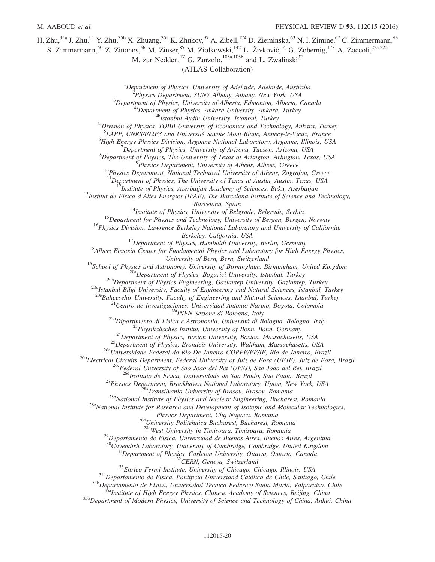H. Zhu,<sup>35a</sup> J. Zhu,<sup>91</sup> Y. Zhu,<sup>35b</sup> X. Zhuang,<sup>35a</sup> K. Zhukov,<sup>97</sup> A. Zibell,<sup>174</sup> D. Zieminska,<sup>63</sup> N. I. Zimine,<sup>67</sup> C. Zimmermann,<sup>85</sup>

S. Zimmermann,<sup>50</sup> Z. Zinonos,<sup>56</sup> M. Zinser,<sup>85</sup> M. Ziolkowski,<sup>142</sup> L. Živković,<sup>14</sup> G. Zobernig,<sup>173</sup> A. Zoccoli,<sup>22a,22b</sup>

M. zur Nedden,  $^{17}$  G. Zurzolo,  $^{105a,105b}$  and L. Zwalinski<sup>32</sup>

(ATLAS Collaboration)

 ${}^{1}$ Department of Physics, University of Adelaide, Adelaide, Australia

<sup>2</sup>Physics Department, SUNY Albany, Albany, New York, USA

 $3$ Department of Physics, University of Alberta, Edmonton, Alberta, Canada

<sup>4a</sup>Department of Physics, Ankara University, Ankara, Turkey

<sup>4b</sup>Istanbul Aydin University, Istanbul, Turkey

<sup>4c</sup>Division of Physics, TOBB University of Economics and Technology, Ankara, Turkey

<sup>5</sup>LAPP, CNRS/IN2P3 and Université Savoie Mont Blanc, Annecy-le-Vieux, France

 ${}^{6}$ High Energy Physics Division, Argonne National Laboratory, Argonne, Illinois, USA

 $7$ Department of Physics, University of Arizona, Tucson, Arizona, USA

<sup>8</sup>Department of Physics, The University of Texas at Arlington, Arlington, Texas, USA <sup>9</sup>Physics Department, University of Athens, Athens, Greece

 $10P$ hysics Department, National Technical University of Athens, Zografou, Greece

 $11$ Department of Physics, The University of Texas at Austin, Austin, Texas, USA

 $^{2}$ Institute of Physics, Azerbaijan Academy of Sciences, Baku, Azerbaijan

 $^{13}$ Institut de Física d'Altes Energies (IFAE), The Barcelona Institute of Science and Technology,

Barcelona, Spain

<sup>14</sup>Institute of Physics, University of Belgrade, Belgrade, Serbia

 $15$ Department for Physics and Technology, University of Bergen, Bergen, Norway

<sup>16</sup>Physics Division, Lawrence Berkeley National Laboratory and University of California,

Berkeley, California, USA

 $17$ Department of Physics, Humboldt University, Berlin, Germany

<sup>18</sup>Albert Einstein Center for Fundamental Physics and Laboratory for High Energy Physics, University of Bern, Bern, Switzerland

<sup>19</sup>School of Physics and Astronomy, University of Birmingham, Birmingham, United Kingdom  $^{20a}$ Department of Physics, Bogazici University, Istanbul, Turkey

20b Department of Physics Engineering, Gaziantep University, Gaziantep, Turkey

<sup>20d</sup>Istanbul Bilgi University, Faculty of Engineering and Natural Sciences, Istanbul, Turkey

 $20e$ Bahcesehir University, Faculty of Engineering and Natural Sciences, Istanbul, Turkey

 $^{21}$ Centro de Investigaciones, Universidad Antonio Narino, Bogota, Colombia

<sup>22a</sup>INFN Sezione di Bologna, Italy

<sup>22b</sup>Dipartimento di Fisica e Astronomia, Università di Bologna, Bologna, Italy  $^{23}$ Physikalisches Institut, University of Bonn, Bonn, Germany

<sup>24</sup>Department of Physics, Boston University, Boston, Massachusetts, USA

 $^{25}$ Department of Physics, Brandeis University, Waltham, Massachusetts, USA

26aUniversidade Federal do Rio De Janeiro COPPE/EE/IF, Rio de Janeiro, Brazil

<sup>26b</sup>Electrical Circuits Department, Federal University of Juiz de Fora (UFJF), Juiz de Fora, Brazil

<sup>26c</sup>Federal University of Sao Joao del Rei (UFSJ), Sao Joao del Rei, Brazil

<sup>26d</sup>Instituto de Fisica, Universidade de Sao Paulo, Sao Paulo, Brazil

<sup>27</sup>Physics Department, Brookhaven National Laboratory, Upton, New York, USA

<sup>28a</sup>Transilvania University of Brasov, Brasov, Romania

<sup>28b</sup>National Institute of Physics and Nuclear Engineering, Bucharest, Romania

 $28c$ National Institute for Research and Development of Isotopic and Molecular Technologies,

Physics Department, Cluj Napoca, Romania

 $^{28d}$ University Politehnica Bucharest, Bucharest, Romania

<sup>28e</sup>West University in Timisoara, Timisoara, Romania

 $^{29}$ Departamento de Física, Universidad de Buenos Aires, Buenos Aires, Argentina

 $30C$ avendish Laboratory, University of Cambridge, Cambridge, United Kingdom

<sup>31</sup>Department of Physics, Carleton University, Ottawa, Ontario, Canada

<sup>32</sup>CERN, Geneva, Switzerland

 $33$ Enrico Fermi Institute, University of Chicago, Chicago, Illinois, USA

<sup>34a</sup>Departamento de Física, Pontificia Universidad Católica de Chile, Santiago, Chile

34bDepartamento de Física, Universidad Técnica Federico Santa María, Valparaíso, Chile

<sup>a</sup>Institute of High Energy Physics, Chinese Academy of Sciences, Beijing, China

<sup>35b</sup>Department of Modern Physics, University of Science and Technology of China, Anhui, China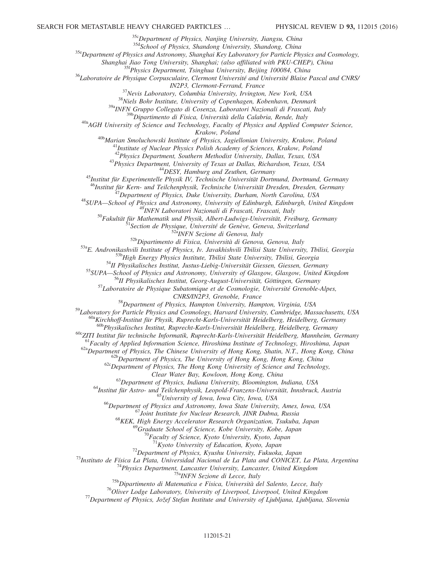<sup>35c</sup>Department of Physics, Nanjing University, Jiangsu, China

<sup>35d</sup>School of Physics, Shandong University, Shandong, China

<sup>35e</sup>Department of Physics and Astronomy, Shanghai Key Laboratory for Particle Physics and Cosmology,

Shanghai Jiao Tong University, Shanghai; (also affiliated with PKU-CHEP), China

<sup>35f</sup>Physics Department, Tsinghua University, Beijing 100084, China

<sup>36</sup>Laboratoire de Physique Corpusculaire, Clermont Université and Université Blaise Pascal and CNRS/

IN2P3, Clermont-Ferrand, France

 $37$ Nevis Laboratory, Columbia University, Irvington, New York, USA

<sup>38</sup>Niels Bohr Institute, University of Copenhagen, Kobenhavn, Denmark

<sup>39a</sup>INFN Gruppo Collegato di Cosenza, Laboratori Nazionali di Frascati, Italy

<sup>39b</sup>Dipartimento di Fisica, Università della Calabria, Rende, Italy

 $^{40a}$ AGH University of Science and Technology, Faculty of Physics and Applied Computer Science, Krakow, Poland

<sup>40b</sup>Marian Smoluchowski Institute of Physics, Jagiellonian University, Krakow, Poland

<sup>41</sup>Institute of Nuclear Physics Polish Academy of Sciences, Krakow, Poland

<sup>42</sup>Physics Department, Southern Methodist University, Dallas, Texas, USA

<sup>43</sup>Physics Department, University of Texas at Dallas, Richardson, Texas, USA

<sup>44</sup>DESY, Hamburg and Zeuthen, Germany

<sup>45</sup>Institut für Experimentelle Physik IV, Technische Universität Dortmund, Dortmund, Germany

<sup>46</sup>Institut für Kern- und Teilchenphysik, Technische Universität Dresden, Dresden, Germany

 $^{47}$ Department of Physics, Duke University, Durham, North Carolina, USA

<sup>48</sup>SUPA—School of Physics and Astronomy, University of Edinburgh, Edinburgh, United Kingdom

<sup>49</sup>INFN Laboratori Nazionali di Frascati, Frascati, Italy

<sup>50</sup>Fakultät für Mathematik und Physik, Albert-Ludwigs-Universität, Freiburg, Germany

<sup>1</sup>Section de Physique, Université de Genève, Geneva, Switzerland

52<sup>a</sup>INFN Sezione di Genova, Italy

52b Dipartimento di Fisica, Università di Genova, Genova, Italy

53aE. Andronikashvili Institute of Physics, Iv. Javakhishvili Tbilisi State University, Tbilisi, Georgia

<sup>53b</sup>High Energy Physics Institute, Tbilisi State University, Tbilisi, Georgia

<sup>54</sup>II Physikalisches Institut, Justus-Liebig-Universität Giessen, Giessen, Germany

<sup>55</sup>SUPA—School of Physics and Astronomy, University of Glasgow, Glasgow, United Kingdom

<sup>56</sup>II Physikalisches Institut, Georg-August-Universität, Göttingen, Germany

 $57$ Laboratoire de Physique Subatomique et de Cosmologie, Université Grenoble-Alpes,

CNRS/IN2P3, Grenoble, France

<sup>58</sup>Department of Physics, Hampton University, Hampton, Virginia, USA

<sup>59</sup>Laboratory for Particle Physics and Cosmology, Harvard University, Cambridge, Massachusetts, USA

Kirchhoff-Institut für Physik, Ruprecht-Karls-Universität Heidelberg, Heidelberg, Germany

<sup>60b</sup>Physikalisches Institut, Ruprecht-Karls-Universität Heidelberg, Heidelberg, Germany

60cZITI Institut für technische Informatik, Ruprecht-Karls-Universität Heidelberg, Mannheim, Germany

 $^{61}$ Faculty of Applied Information Science, Hiroshima Institute of Technology, Hiroshima, Japan

 $62a$ Department of Physics, The Chinese University of Hong Kong, Shatin, N.T., Hong Kong, China

 $62b$ Department of Physics, The University of Hong Kong, Hong Kong, China

 $62c$ Department of Physics, The Hong Kong University of Science and Technology,

Clear Water Bay, Kowloon, Hong Kong, China

 $^{63}$ Department of Physics, Indiana University, Bloomington, Indiana, USA

<sup>64</sup>Institut für Astro- und Teilchenphysik, Leopold-Franzens-Universität, Innsbruck, Austria

<sup>65</sup>University of Iowa, Iowa City, Iowa, USA

<sup>66</sup>Department of Physics and Astronomy, Iowa State University, Ames, Iowa, USA

<sup>67</sup>Joint Institute for Nuclear Research, JINR Dubna, Russia

<sup>68</sup>KEK, High Energy Accelerator Research Organization, Tsukuba, Japan

<sup>69</sup>Graduate School of Science, Kobe University, Kobe, Japan

 $^{70}$ Faculty of Science, Kyoto University, Kyoto, Japan

 $71$ Kyoto University of Education, Kyoto, Japan

 $12$ Department of Physics, Kyushu University, Fukuoka, Japan

 $^{73}$ Instituto de Física La Plata, Universidad Nacional de La Plata and CONICET, La Plata, Argentina

<sup>74</sup>Physics Department, Lancaster University, Lancaster, United Kingdom

<sup>75a</sup>INFN Sezione di Lecce, Italy

<sup>75b</sup>Dipartimento di Matematica e Fisica, Università del Salento, Lecce, Italy

 $76$ Oliver Lodge Laboratory, University of Liverpool, Liverpool, United Kingdom

 $^{77}$ Department of Physics, Jožef Stefan Institute and University of Ljubljana, Ljubljana, Slovenia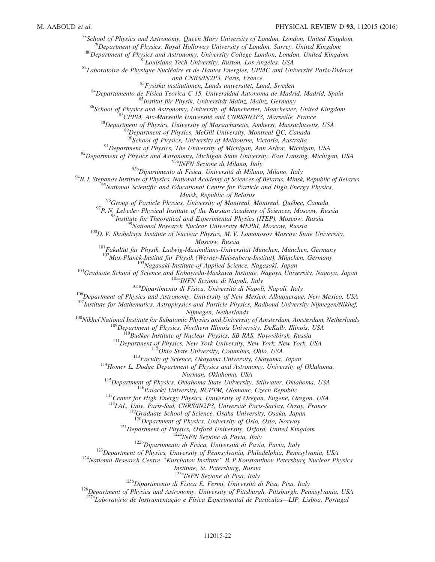$^{78}$ School of Physics and Astronomy, Queen Mary University of London, London, United Kingdom

<sup>(9</sup>Department of Physics, Royal Holloway University of London, Surrey, United Kingdom

80 Department of Physics and Astronomy, University College London, London, United Kingdom

 $81$ Louisiana Tech University, Ruston, Los Angeles, USA

 $82$ Laboratoire de Physique Nucléaire et de Hautes Energies, UPMC and Université Paris-Diderot

and CNRS/IN2P3, Paris, France

 $83$ Fysiska institutionen, Lunds universitet, Lund, Sweden

<sup>84</sup>Departamento de Fisica Teorica C-15, Universidad Autonoma de Madrid, Madrid, Spain

<sup>85</sup>Institut für Physik, Universität Mainz, Mainz, Germany

<sup>86</sup>School of Physics and Astronomy, University of Manchester, Manchester, United Kingdom

<sup>87</sup>CPPM, Aix-Marseille Université and CNRS/IN2P3, Marseille, France

88Department of Physics, University of Massachusetts, Amherst, Massachusetts, USA

 $^{9}$ Department of Physics, McGill University, Montreal QC, Canada

 $90S<sub>0</sub>$ Chool of Physics, University of Melbourne, Victoria, Australia

 $91$ Department of Physics, The University of Michigan, Ann Arbor, Michigan, USA

 $92$ Department of Physics and Astronomy, Michigan State University, East Lansing, Michigan, USA

93a<sub>INFN</sub> Sezione di Milano, Italy

93bDipartimento di Fisica, Università di Milano, Milano, Italy

 $94$ B. I. Stepanov Institute of Physics, National Academy of Sciences of Belarus, Minsk, Republic of Belarus

 $<sup>5</sup>$ National Scientific and Educational Centre for Particle and High Energy Physics,</sup>

Minsk, Republic of Belarus

 $96$ Group of Particle Physics, University of Montreal, Montreal, Québec, Canada

 $97P$ . N. Lebedev Physical Institute of the Russian Academy of Sciences, Moscow, Russia

 $^{98}$ Institute for Theoretical and Experimental Physics (ITEP), Moscow, Russia

<sup>99</sup>National Research Nuclear University MEPhI, Moscow, Russia

 $100$ D. V. Skobeltsyn Institute of Nuclear Physics, M. V. Lomonosov Moscow State University,

Moscow, Russia

 $101$ Fakultät für Physik, Ludwig-Maximilians-Universität München, München, Germany

 $102$ Max-Planck-Institut für Physik (Werner-Heisenberg-Institut), München, Germany

 $103$ Nagasaki Institute of Applied Science, Nagasaki, Japan

<sup>104</sup>Graduate School of Science and Kobayashi-Maskawa Institute, Nagoya University, Nagoya, Japan 105a<sub>INFN</sub> Sezione di Napoli, Italy

<sup>105b</sup>Dipartimento di Fisica, Università di Napoli, Napoli, Italy

<sup>106</sup>Department of Physics and Astronomy, University of New Mexico, Albuquerque, New Mexico, USA

 $107$ Institute for Mathematics, Astrophysics and Particle Physics, Radboud University Nijmegen/Nikhef,

Nijmegen, Netherlands

<sup>108</sup>Nikhef National Institute for Subatomic Physics and University of Amsterdam, Amsterdam, Netherlands

<sup>109</sup>Department of Physics, Northern Illinois University, DeKalb, Illinois, USA

<sup>110</sup>Budker Institute of Nuclear Physics, SB RAS, Novosibirsk, Russia

<sup>111</sup>Department of Physics, New York University, New York, New York, USA

 $112$ Ohio State University, Columbus, Ohio, USA

<sup>113</sup>Faculty of Science, Okayama University, Okayama, Japan

<sup>114</sup>Homer L. Dodge Department of Physics and Astronomy, University of Oklahoma,

Norman, Oklahoma, USA

<sup>115</sup>Department of Physics, Oklahoma State University, Stillwater, Oklahoma, USA

 $116$ Palacký University, RCPTM, Olomouc, Czech Republic

<sup>117</sup>Center for High Energy Physics, University of Oregon, Eugene, Oregon, USA

<sup>118</sup>LAL, Univ. Paris-Sud, CNRS/IN2P3, Université Paris-Saclay, Orsay, France

 ${}^{9}$ Graduate School of Science, Osaka University, Osaka, Japan

 $120$ Department of Physics, University of Oslo, Oslo, Norway

 $121$ Department of Physics, Oxford University, Oxford, United Kingdom

<sup>122a</sup>INFN Sezione di Pavia, Italy

<sup>122b</sup>Dipartimento di Fisica, Università di Pavia, Pavia, Italy

 $123$ Department of Physics, University of Pennsylvania, Philadelphia, Pennsylvania, USA

<sup>124</sup>National Research Centre "Kurchatov Institute" B. P.Konstantinov Petersburg Nuclear Physics

Institute, St. Petersburg, Russia

<sup>125a</sup>INFN Sezione di Pisa, Italy

 $125<sup>b</sup>Dipartimento$  di Fisica E. Fermi, Università di Pisa, Pisa, Italy

<sup>126</sup>Department of Physics and Astronomy, University of Pittsburgh, Pittsburgh, Pennsylvania, USA

 $127a$ Laboratório de Instrumentação e Física Experimental de Partículas—LIP, Lisboa, Portugal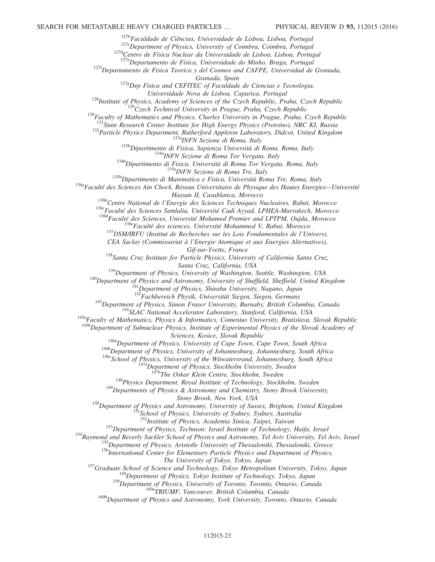#### SEARCH FOR METASTABLE HEAVY CHARGED PARTICLES … PHYSICAL REVIEW D 93, 112015 (2016)

<sup>127b</sup>Faculdade de Ciências, Universidade de Lisboa, Lisboa, Portugal

 $127c$ Department of Physics, University of Coimbra, Coimbra, Portugal

<sup>127d</sup>Centro de Física Nuclear da Universidade de Lisboa, Lisboa, Portugal

<sup>127e</sup>Departamento de Fisica, Universidade do Minho, Braga, Portugal

 $127f$ Departamento de Fisica Teorica y del Cosmos and CAFPE, Universidad de Granada,

Granada, Spain

 $1278$ Dep Fisica and CEFITEC of Faculdade de Ciencias e Tecnologia,

Universidade Nova de Lisboa, Caparica, Portugal

<sup>128</sup>Institute of Physics, Academy of Sciences of the Czech Republic, Praha, Czech Republic

 $129C$ zech Technical University in Prague, Praha, Czech Republic

 $130$ Faculty of Mathematics and Physics, Charles University in Prague, Praha, Czech Republic

<sup>131</sup>State Research Center Institute for High Energy Physics (Protvino), NRC KI, Russia

<sup>132</sup>Particle Physics Department, Rutherford Appleton Laboratory, Didcot, United Kingdom

<sup>133a</sup>INFN Sezione di Roma, Italy

<sup>133b</sup>Dipartimento di Fisica, Sapienza Università di Roma, Roma, Italy 134aINFN Sezione di Roma Tor Vergata, Italy

<sup>134b</sup>Dipartimento di Fisica, Università di Roma Tor Vergata, Roma, Italy

<sup>135a</sup>INFN Sezione di Roma Tre, Italy

<sup>135b</sup>Dipartimento di Matematica e Fisica, Università Roma Tre, Roma, Italy

<sup>136a</sup>Faculté des Sciences Ain Chock, Réseau Universitaire de Physique des Hautes Energies—Université

Hassan II, Casablanca, Morocco

<sup>136b</sup>Centre National de l'Energie des Sciences Techniques Nucleaires, Rabat, Morocco

136cFaculté des Sciences Semlalia, Université Cadi Ayyad, LPHEA-Marrakech, Morocco

<span id="page-23-7"></span><sup>136d</sup>Faculté des Sciences, Université Mohamed Premier and LPTPM, Oujda, Morocco

 $136e$ Faculté des sciences, Université Mohammed V, Rabat, Morocco

<sup>137</sup>DSM/IRFU (Institut de Recherches sur les Lois Fondamentales de l'Univers),

CEA Saclay (Commissariat à l'Energie Atomique et aux Energies Alternatives), Gif-sur-Yvette, France

 $138$ Santa Cruz Institute for Particle Physics, University of California Santa Cruz, Santa Cruz, California, USA

 $139$ Department of Physics, University of Washington, Seattle, Washington, USA

<span id="page-23-4"></span><span id="page-23-3"></span><span id="page-23-2"></span><span id="page-23-1"></span><span id="page-23-0"></span><sup>140</sup>Department of Physics and Astronomy, University of Sheffield, Sheffield, United Kingdom

<sup>141</sup>Department of Physics, Shinshu University, Nagano, Japan

<sup>142</sup>Fachbereich Physik, Universität Siegen, Siegen, Germany

<sup>143</sup>Department of Physics, Simon Fraser University, Burnaby, British Columbia, Canada

<sup>144</sup>SLAC National Accelerator Laboratory, Stanford, California, USA

<span id="page-23-12"></span><span id="page-23-11"></span><span id="page-23-10"></span><span id="page-23-9"></span><span id="page-23-8"></span><span id="page-23-6"></span><span id="page-23-5"></span> $145a$ Faculty of Mathematics, Physics & Informatics, Comenius University, Bratislava, Slovak Republic

<span id="page-23-17"></span><span id="page-23-16"></span><span id="page-23-15"></span><span id="page-23-14"></span><span id="page-23-13"></span><sup>145b</sup>Department of Subnuclear Physics, Institute of Experimental Physics of the Slovak Academy of

Sciences, Kosice, Slovak Republic

<sup>146a</sup>Department of Physics, University of Cape Town, Cape Town, South Africa

146b Department of Physics, University of Johannesburg, Johannesburg, South Africa

<sup>146c</sup>School of Physics, University of the Witwatersrand, Johannesburg, South Africa

<sup>147a</sup>Department of Physics, Stockholm University, Sweden

147bThe Oskar Klein Centre, Stockholm, Sweden

 $148$ Physics Department, Royal Institute of Technology, Stockholm, Sweden

<sup>149</sup>Departments of Physics & Astronomy and Chemistry, Stony Brook University,

Stony Brook, New York, USA

<span id="page-23-19"></span><span id="page-23-18"></span><sup>150</sup>Department of Physics and Astronomy, University of Sussex, Brighton, United Kingdom

School of Physics, University of Sydney, Sydney, Australia

<sup>152</sup>Institute of Physics, Academia Sinica, Taipei, Taiwan

<sup>153</sup>Department of Physics, Technion: Israel Institute of Technology, Haifa, Israel

<span id="page-23-28"></span><span id="page-23-27"></span><span id="page-23-26"></span><span id="page-23-25"></span><span id="page-23-24"></span><span id="page-23-23"></span><span id="page-23-22"></span><span id="page-23-21"></span><span id="page-23-20"></span><sup>154</sup>Ravmond and Beverly Sackler School of Physics and Astronomy, Tel Aviv University, Tel Aviv, Israel

<sup>155</sup>Department of Physics, Aristotle University of Thessaloniki, Thessaloniki, Greece

<sup>156</sup>International Center for Elementary Particle Physics and Department of Physics,

The University of Tokyo, Tokyo, Japan

<span id="page-23-32"></span><span id="page-23-31"></span><span id="page-23-30"></span><span id="page-23-29"></span><sup>157</sup>Graduate School of Science and Technology, Tokyo Metropolitan University, Tokyo, Japan

<sup>158</sup>Department of Physics, Tokyo Institute of Technology, Tokyo, Japan

<sup>159</sup>Department of Physics, University of Toronto, Toronto, Ontario, Canada

160aTRIUMF, Vancouver, British Columbia, Canada

<sup>160b</sup>Department of Physics and Astronomy, York University, Toronto, Ontario, Canada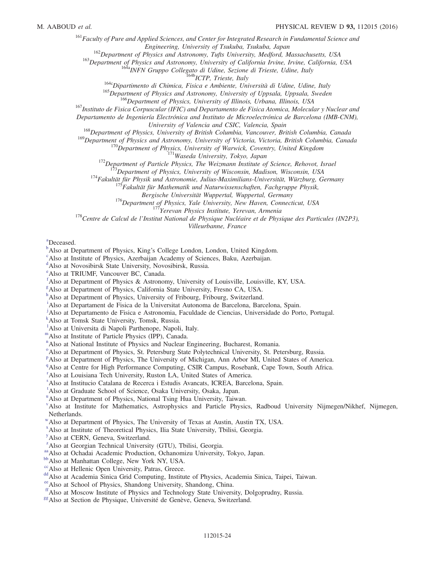<span id="page-24-3"></span><span id="page-24-2"></span><span id="page-24-1"></span><span id="page-24-0"></span><sup>161</sup>Faculty of Pure and Applied Sciences, and Center for Integrated Research in Fundamental Science and Engineering, University of Tsukuba, Tsukuba, Japan

<sup>162</sup>Department of Physics and Astronomy, Tufts University, Medford, Massachusetts, USA

<span id="page-24-5"></span><span id="page-24-4"></span><sup>163</sup>Department of Physics and Astronomy, University of California Irvine, Irvine, California, USA

<sup>164a</sup>INFN Gruppo Collegato di Udine, Sezione di Trieste, Udine, Italy

<sup>164b</sup>ICTP, Trieste, Italy

<sup>164c</sup>Dipartimento di Chimica, Fisica e Ambiente, Università di Udine, Udine, Italy

<sup>165</sup>Department of Physics and Astronomy, University of Uppsala, Uppsala, Sweden

<sup>166</sup>Department of Physics, University of Illinois, Urbana, Illinois, USA

<span id="page-24-9"></span><span id="page-24-8"></span><span id="page-24-7"></span><span id="page-24-6"></span><sup>167</sup>Instituto de Fisica Corpuscular (IFIC) and Departamento de Fisica Atomica, Molecular y Nuclear and

<span id="page-24-12"></span><span id="page-24-11"></span><span id="page-24-10"></span>Departamento de Ingeniería Electrónica and Instituto de Microelectrónica de Barcelona (IMB-CNM), University of Valencia and CSIC, Valencia, Spain

<sup>168</sup>Department of Physics, University of British Columbia, Vancouver, British Columbia, Canada

<sup>169</sup>Department of Physics and Astronomy, University of Victoria, Victoria, British Columbia, Canada

 $170$ Department of Physics, University of Warwick, Coventry, United Kingdom

<sup>171</sup>Waseda University, Tokyo, Japan

<sup>172</sup>Department of Particle Physics, The Weizmann Institute of Science, Rehovot, Israel

<sup>[73</sup>Department of Physics, University of Wisconsin, Madison, Wisconsin, USA

<sup>174</sup>Fakultät für Physik und Astronomie, Julius-Maximilians-Universität, Würzburg, Germany

 $175$ Fakultät für Mathematik und Naturwissenschaften, Fachgruppe Physik,

Bergische Universität Wuppertal, Wuppertal, Germany

<sup>176</sup>Department of Physics, Yale University, New Haven, Connecticut, USA

 $177$ Yerevan Physics Institute, Yerevan, Armenia

 $1^{178}$ Centre de Calcul de l'Institut National de Physique Nucléaire et de Physique des Particules (IN2P3),

Villeurbanne, France

<sup>[a](#page-11-8)</sup>Deceased.

<sup>[c](#page-11-10)</sup>Also at Institute of Physics, Azerbaijan Academy of Sciences, Baku, Azerbaijan.

[d](#page-11-11)Also at Novosibirsk State University, Novosibirsk, Russia.

[e](#page-11-12)Also at TRIUMF, Vancouver BC, Canada.

[f](#page-11-13)Also at Department of Physics & Astronomy, University of Louisville, Louisville, KY, USA.

<sup>[g](#page-11-14)</sup>Also at Department of Physics, California State University, Fresno CA, USA.

[h](#page-11-14)Also at Department of Physics, University of Fribourg, Fribourg, Switzerland.

[i](#page-12-0)Also at Departament de Fisica de la Universitat Autonoma de Barcelona, Barcelona, Spain.

[j](#page-12-1)Also at Departamento de Fisica e Astronomia, Faculdade de Ciencias, Universidade do Porto, Portugal.

[k](#page-12-2)Also at Tomsk State University, Tomsk, Russia.

<sup>1</sup>A[l](#page-12-3)so at Universita di Napoli Parthenope, Napoli, Italy.

[m](#page-12-4)Also at Institute of Particle Physics (IPP), Canada.

<sup>[n](#page-13-0)</sup>Also at National Institute of Physics and Nuclear Engineering, Bucharest, Romania.

<sup>[o](#page-13-1)</sup>Also at Department of Physics, St. Petersburg State Polytechnical University, St. Petersburg, Russia.

<su[p](#page-13-2)>p</sup>Also at Department of Physics, The University of Michigan, Ann Arbor MI, United States of America.

<sup>[q](#page-13-3)</sup>Also at Centre for High Performance Computing, CSIR Campus, Rosebank, Cape Town, South Africa.

<sup>[r](#page-13-4)</sup>Also at Louisiana Tech University, Ruston LA, United States of America.

[s](#page-13-5)Also at Institucio Catalana de Recerca i Estudis Avancats, ICREA, Barcelona, Spain.

<sup>[t](#page-14-0)</sup>Also at Graduate School of Science, Osaka University, Osaka, Japan.

<s[u](#page-14-1)p>u</sup>Also at Department of Physics, National Tsing Hua University, Taiwan.

<sup>[v](#page-14-2)</sup>Also at Institute for Mathematics, Astrophysics and Particle Physics, Radboud University Nijmegen/Nikhef, Nijmegen, Netherlands.

[w](#page-14-2)Also at Department of Physics, The University of Texas at Austin, Austin TX, USA.

[x](#page-14-3)Also at Institute of Theoretical Physics, Ilia State University, Tbilisi, Georgia.

<sup>[y](#page-14-4)</sup>Also at CERN, Geneva, Switzerland.

<sup>[z](#page-14-5)</sup>Also at Georgian Technical University (GTU), Tbilisi, Georgia.

[aa](#page-14-6) Also at Ochadai Academic Production, Ochanomizu University, Tokyo, Japan.

[bb](#page-14-7)<sub>Also</sub> at Manhattan College, New York NY, USA.

<sup>[cc](#page-15-0)</sup>Also at Hellenic Open University, Patras, Greece.

[dd](#page-15-1) Also at Academia Sinica Grid Computing, Institute of Physics, Academia Sinica, Taipei, Taiwan.

[ee](#page-15-2) Also at School of Physics, Shandong University, Shandong, China.

[ff](#page-16-0)Also at Moscow Institute of Physics and Technology State University, Dolgoprudny, Russia.

<sup>[gg](#page-16-1)</sup>Also at Section de Physique, Université de Genève, Geneva, Switzerland.

<sup>&</sup>lt;sup>[b](#page-11-9)</sup>Also at Department of Physics, King's College London, London, United Kingdom.